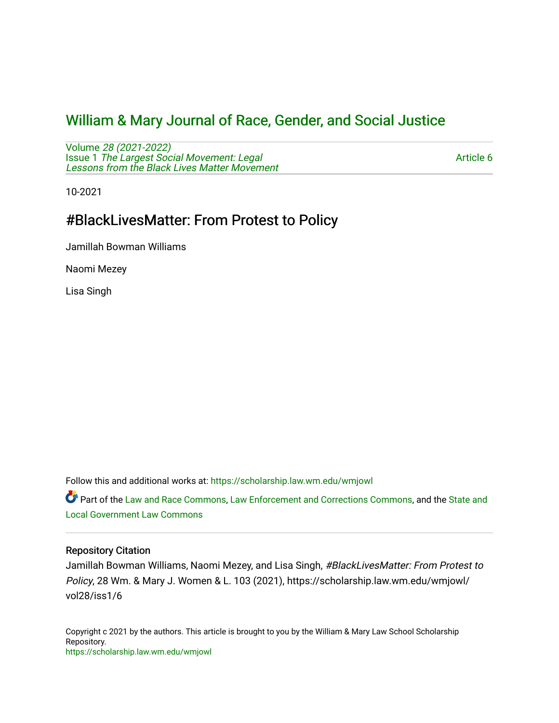# [William & Mary Journal of Race, Gender, and Social Justice](https://scholarship.law.wm.edu/wmjowl)

Volume [28 \(2021-2022\)](https://scholarship.law.wm.edu/wmjowl/vol28)  Issue 1 [The Largest Social Movement: Legal](https://scholarship.law.wm.edu/wmjowl/vol28/iss1) [Lessons from the Black Lives Matter Movement](https://scholarship.law.wm.edu/wmjowl/vol28/iss1) 

[Article 6](https://scholarship.law.wm.edu/wmjowl/vol28/iss1/6) 

10-2021

# #BlackLivesMatter: From Protest to Policy

Jamillah Bowman Williams

Naomi Mezey

Lisa Singh

Follow this and additional works at: [https://scholarship.law.wm.edu/wmjowl](https://scholarship.law.wm.edu/wmjowl?utm_source=scholarship.law.wm.edu%2Fwmjowl%2Fvol28%2Fiss1%2F6&utm_medium=PDF&utm_campaign=PDFCoverPages) 

Part of the [Law and Race Commons,](http://network.bepress.com/hgg/discipline/1300?utm_source=scholarship.law.wm.edu%2Fwmjowl%2Fvol28%2Fiss1%2F6&utm_medium=PDF&utm_campaign=PDFCoverPages) [Law Enforcement and Corrections Commons,](http://network.bepress.com/hgg/discipline/854?utm_source=scholarship.law.wm.edu%2Fwmjowl%2Fvol28%2Fiss1%2F6&utm_medium=PDF&utm_campaign=PDFCoverPages) and the [State and](http://network.bepress.com/hgg/discipline/879?utm_source=scholarship.law.wm.edu%2Fwmjowl%2Fvol28%2Fiss1%2F6&utm_medium=PDF&utm_campaign=PDFCoverPages) [Local Government Law Commons](http://network.bepress.com/hgg/discipline/879?utm_source=scholarship.law.wm.edu%2Fwmjowl%2Fvol28%2Fiss1%2F6&utm_medium=PDF&utm_campaign=PDFCoverPages)

### Repository Citation

Jamillah Bowman Williams, Naomi Mezey, and Lisa Singh, #BlackLivesMatter: From Protest to Policy, 28 Wm. & Mary J. Women & L. 103 (2021), https://scholarship.law.wm.edu/wmjowl/ vol28/iss1/6

Copyright c 2021 by the authors. This article is brought to you by the William & Mary Law School Scholarship Repository. <https://scholarship.law.wm.edu/wmjowl>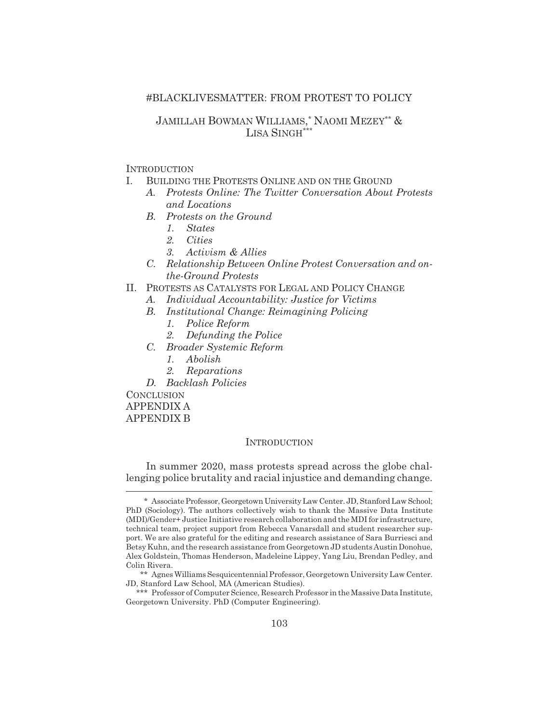#### #BLACKLIVESMATTER: FROM PROTEST TO POLICY

### JAMILLAH BOWMAN WILLIAMS, \* NAOMI MEZEY\*\* & LISA SINGH\*\*\*

#### **INTRODUCTION**

- I. BUILDING THE PROTESTS ONLINE AND ON THE GROUND
	- *A. Protests Online: The Twitter Conversation About Protests and Locations*
	- *B. Protests on the Ground*
		- *1. States*
		- *2. Cities*
		- *3. Activism & Allies*
	- *C. Relationship Between Online Protest Conversation and onthe-Ground Protests*
- II. PROTESTS AS CATALYSTS FOR LEGAL AND POLICY CHANGE
	- *A. Individual Accountability: Justice for Victims*
	- *B. Institutional Change: Reimagining Policing*
		- *1. Police Reform*
		- *2. Defunding the Police*
	- *C. Broader Systemic Reform*
		- *1. Abolish*
		- *2. Reparations*
	- *D. Backlash Policies*

**CONCLUSION** APPENDIX A

APPENDIX B

#### **INTRODUCTION**

In summer 2020, mass protests spread across the globe challenging police brutality and racial injustice and demanding change.

<sup>\*</sup> Associate Professor, Georgetown University Law Center. JD, Stanford Law School; PhD (Sociology). The authors collectively wish to thank the Massive Data Institute (MDI)/Gender+ Justice Initiative research collaboration and the MDI for infrastructure, technical team, project support from Rebecca Vanarsdall and student researcher support. We are also grateful for the editing and research assistance of Sara Burriesci and Betsy Kuhn, and the research assistance from Georgetown JD students Austin Donohue, Alex Goldstein, Thomas Henderson, Madeleine Lippey, Yang Liu, Brendan Pedley, and Colin Rivera.

<sup>\*\*</sup> Agnes Williams Sesquicentennial Professor, Georgetown University Law Center. JD, Stanford Law School, MA (American Studies).

<sup>\*\*\*</sup> Professor of Computer Science, Research Professor in the Massive Data Institute, Georgetown University. PhD (Computer Engineering).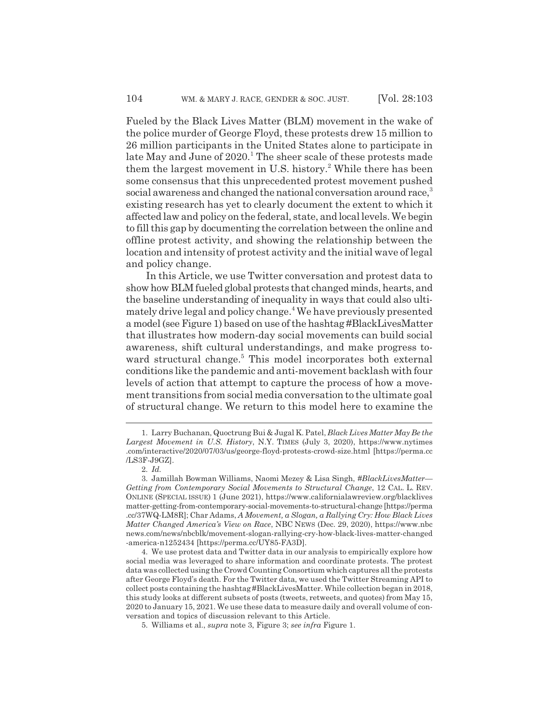Fueled by the Black Lives Matter (BLM) movement in the wake of the police murder of George Floyd, these protests drew 15 million to 26 million participants in the United States alone to participate in late May and June of 2020.<sup>1</sup> The sheer scale of these protests made them the largest movement in U.S. history.<sup>2</sup> While there has been some consensus that this unprecedented protest movement pushed social awareness and changed the national conversation around race,<sup>3</sup> existing research has yet to clearly document the extent to which it affected law and policy on the federal, state, and local levels. We begin to fill this gap by documenting the correlation between the online and offline protest activity, and showing the relationship between the location and intensity of protest activity and the initial wave of legal and policy change.

In this Article, we use Twitter conversation and protest data to show how BLM fueled global protests that changed minds, hearts, and the baseline understanding of inequality in ways that could also ultimately drive legal and policy change.4 We have previously presented a model (see Figure 1) based on use of the hashtag #BlackLivesMatter that illustrates how modern-day social movements can build social awareness, shift cultural understandings, and make progress toward structural change.<sup>5</sup> This model incorporates both external conditions like the pandemic and anti-movement backlash with four levels of action that attempt to capture the process of how a movement transitions from social media conversation to the ultimate goal of structural change. We return to this model here to examine the

<sup>1.</sup> Larry Buchanan, Quoctrung Bui & Jugal K. Patel, *Black Lives Matter May Be the Largest Movement in U.S. History*, N.Y. TIMES (July 3, 2020), https://www.nytimes .com/interactive/2020/07/03/us/george-floyd-protests-crowd-size.html [https://perma.cc /LS3F-J9GZ].

<sup>2.</sup> *Id.*

<sup>3.</sup> Jamillah Bowman Williams, Naomi Mezey & Lisa Singh, *#BlackLivesMatter— Getting from Contemporary Social Movements to Structural Change*, 12 CAL. L. REV. ONLINE (SPECIAL ISSUE) 1 (June 2021), https://www.californialawreview.org/blacklives matter-getting-from-contemporary-social-movements-to-structural-change [https://perma .cc/37WQ-LM8R]; Char Adams, *A Movement, a Slogan, a Rallying Cry: How Black Lives Matter Changed America's View on Race*, NBC NEWS (Dec. 29, 2020), https://www.nbc news.com/news/nbcblk/movement-slogan-rallying-cry-how-black-lives-matter-changed -america-n1252434 [https://perma.cc/UY85-FA3D].

<sup>4.</sup> We use protest data and Twitter data in our analysis to empirically explore how social media was leveraged to share information and coordinate protests. The protest data was collected using the Crowd Counting Consortium which captures all the protests after George Floyd's death. For the Twitter data, we used the Twitter Streaming API to collect posts containing the hashtag #BlackLivesMatter. While collection began in 2018, this study looks at different subsets of posts (tweets, retweets, and quotes) from May 15, 2020 to January 15, 2021. We use these data to measure daily and overall volume of conversation and topics of discussion relevant to this Article.

<sup>5.</sup> Williams et al., *supra* note 3, Figure 3; *see infra* Figure 1.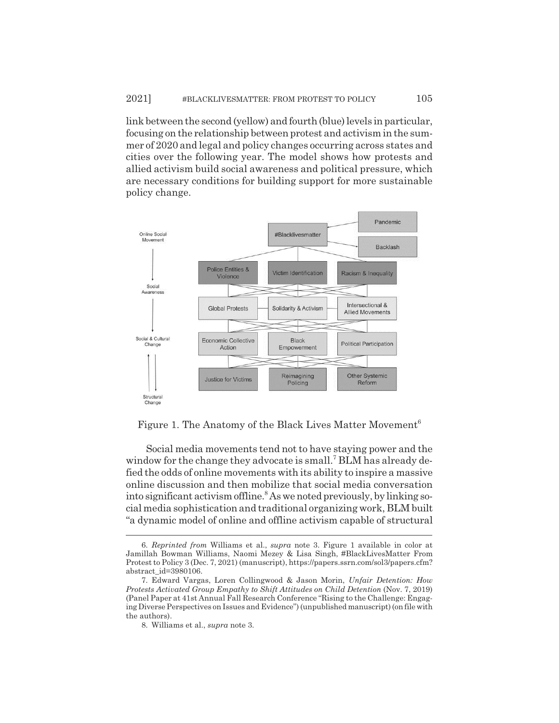link between the second (yellow) and fourth (blue) levels in particular, focusing on the relationship between protest and activism in the summer of 2020 and legal and policy changes occurring across states and cities over the following year. The model shows how protests and allied activism build social awareness and political pressure, which are necessary conditions for building support for more sustainable policy change.



Figure 1. The Anatomy of the Black Lives Matter Movement<sup>6</sup>

Social media movements tend not to have staying power and the window for the change they advocate is small.<sup>7</sup> BLM has already defied the odds of online movements with its ability to inspire a massive online discussion and then mobilize that social media conversation into significant activism offline.<sup>8</sup> As we noted previously, by linking social media sophistication and traditional organizing work, BLM built "a dynamic model of online and offline activism capable of structural

<sup>6.</sup> *Reprinted from* Williams et al., *supra* note 3. Figure 1 available in color at Jamillah Bowman Williams, Naomi Mezey & Lisa Singh, #BlackLivesMatter From Protest to Policy 3 (Dec. 7, 2021) (manuscript), https://papers.ssrn.com/sol3/papers.cfm? abstract\_id=3980106.

<sup>7.</sup> Edward Vargas, Loren Collingwood & Jason Morin, *Unfair Detention: How Protests Activated Group Empathy to Shift Attitudes on Child Detention* (Nov. 7, 2019) (Panel Paper at 41st Annual Fall Research Conference "Rising to the Challenge: Engaging Diverse Perspectives on Issues and Evidence") (unpublished manuscript) (on file with the authors).

<sup>8.</sup> Williams et al., *supra* note 3.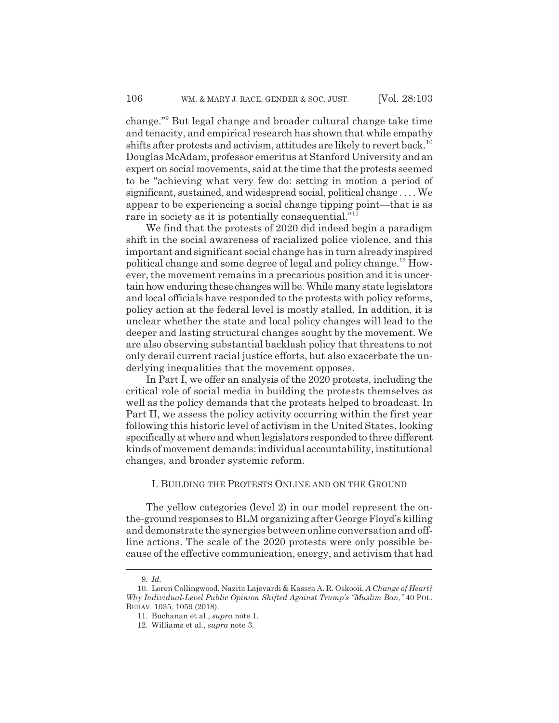change."9 But legal change and broader cultural change take time and tenacity, and empirical research has shown that while empathy shifts after protests and activism, attitudes are likely to revert back.<sup>10</sup> Douglas McAdam, professor emeritus at Stanford University and an expert on social movements, said at the time that the protests seemed to be "achieving what very few do: setting in motion a period of significant, sustained, and widespread social, political change . . . . We appear to be experiencing a social change tipping point—that is as rare in society as it is potentially consequential."<sup>11</sup>

We find that the protests of 2020 did indeed begin a paradigm shift in the social awareness of racialized police violence, and this important and significant social change has in turn already inspired political change and some degree of legal and policy change.<sup>12</sup> However, the movement remains in a precarious position and it is uncertain how enduring these changes will be. While many state legislators and local officials have responded to the protests with policy reforms, policy action at the federal level is mostly stalled. In addition, it is unclear whether the state and local policy changes will lead to the deeper and lasting structural changes sought by the movement. We are also observing substantial backlash policy that threatens to not only derail current racial justice efforts, but also exacerbate the underlying inequalities that the movement opposes.

In Part I, we offer an analysis of the 2020 protests, including the critical role of social media in building the protests themselves as well as the policy demands that the protests helped to broadcast. In Part II, we assess the policy activity occurring within the first year following this historic level of activism in the United States, looking specifically at where and when legislators responded to three different kinds of movement demands: individual accountability, institutional changes, and broader systemic reform.

#### I. BUILDING THE PROTESTS ONLINE AND ON THE GROUND

The yellow categories (level 2) in our model represent the onthe-ground responses to BLM organizing after George Floyd's killing and demonstrate the synergies between online conversation and offline actions. The scale of the 2020 protests were only possible because of the effective communication, energy, and activism that had

<sup>9.</sup> *Id.*

<sup>10.</sup> Loren Collingwood, Nazita Lajevardi & Kassra A. R. Oskooii, *A Change of Heart? Why Individual-Level Public Opinion Shifted Against Trump's "Muslim Ban*,*"* 40 POL. BEHAV. 1035, 1059 (2018).

<sup>11.</sup> Buchanan et al., *supra* note 1.

<sup>12.</sup> Williams et al., *supra* note 3.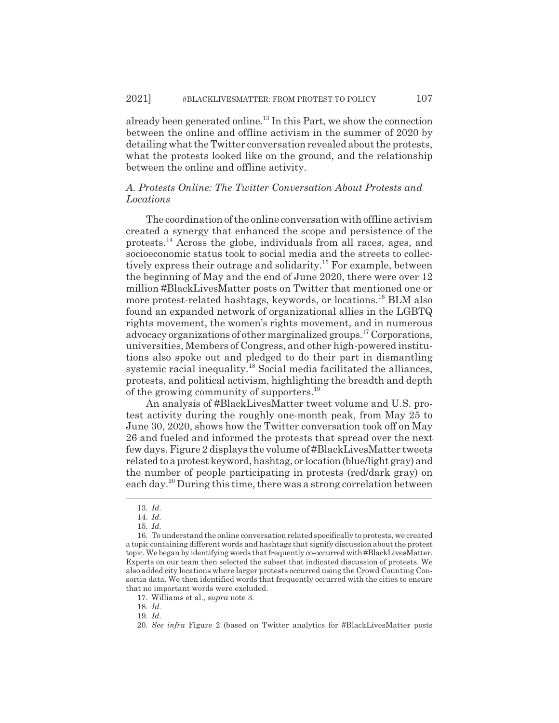already been generated online.<sup>13</sup> In this Part, we show the connection between the online and offline activism in the summer of 2020 by detailing what the Twitter conversation revealed about the protests, what the protests looked like on the ground, and the relationship between the online and offline activity.

### *A. Protests Online: The Twitter Conversation About Protests and Locations*

The coordination of the online conversation with offline activism created a synergy that enhanced the scope and persistence of the protests.14 Across the globe, individuals from all races, ages, and socioeconomic status took to social media and the streets to collectively express their outrage and solidarity.15 For example, between the beginning of May and the end of June 2020, there were over 12 million #BlackLivesMatter posts on Twitter that mentioned one or more protest-related hashtags, keywords, or locations.<sup>16</sup> BLM also found an expanded network of organizational allies in the LGBTQ rights movement, the women's rights movement, and in numerous advocacy organizations of other marginalized groups.17 Corporations, universities, Members of Congress, and other high-powered institutions also spoke out and pledged to do their part in dismantling systemic racial inequality. $18$  Social media facilitated the alliances, protests, and political activism, highlighting the breadth and depth of the growing community of supporters.<sup>19</sup>

An analysis of #BlackLivesMatter tweet volume and U.S. protest activity during the roughly one-month peak, from May 25 to June 30, 2020, shows how the Twitter conversation took off on May 26 and fueled and informed the protests that spread over the next few days. Figure 2 displays the volume of #BlackLivesMatter tweets related to a protest keyword, hashtag, or location (blue/light gray) and the number of people participating in protests (red/dark gray) on each day.20 During this time, there was a strong correlation between

18. *Id.*

<sup>13.</sup> *Id.*

<sup>14.</sup> *Id.*

<sup>15.</sup> *Id.*

<sup>16.</sup> To understand the online conversation related specifically to protests, we created a topic containing different words and hashtags that signify discussion about the protest topic. We began by identifying words that frequently co-occurred with #BlackLivesMatter. Experts on our team then selected the subset that indicated discussion of protests. We also added city locations where larger protests occurred using the Crowd Counting Consortia data. We then identified words that frequently occurred with the cities to ensure that no important words were excluded.

<sup>17.</sup> Williams et al., *supra* note 3.

<sup>19.</sup> *Id.*

<sup>20.</sup> *See infra* Figure 2 (based on Twitter analytics for #BlackLivesMatter posts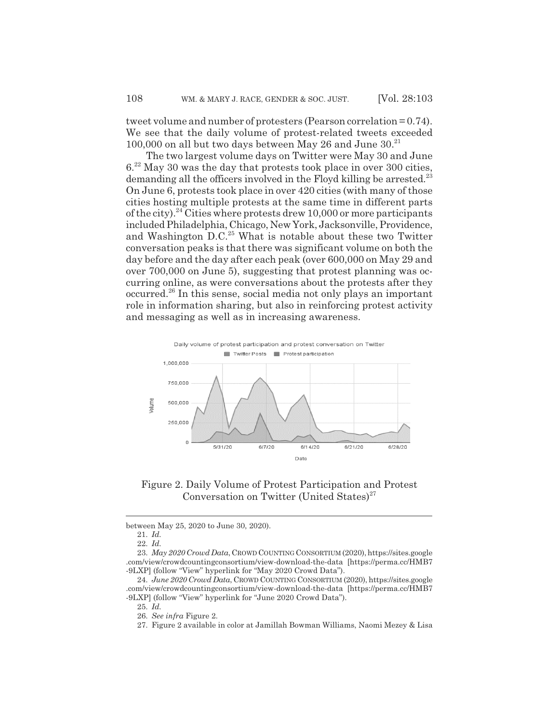tweet volume and number of protesters (Pearson correlation = 0.74). We see that the daily volume of protest-related tweets exceeded 100,000 on all but two days between May 26 and June  $30.^{21}$ 

The two largest volume days on Twitter were May 30 and June 6.22 May 30 was the day that protests took place in over 300 cities, demanding all the officers involved in the Floyd killing be arrested.<sup>23</sup> On June 6, protests took place in over 420 cities (with many of those cities hosting multiple protests at the same time in different parts of the city).<sup>24</sup> Cities where protests drew 10,000 or more participants included Philadelphia, Chicago, New York, Jacksonville, Providence, and Washington D.C.<sup>25</sup> What is notable about these two Twitter conversation peaks is that there was significant volume on both the day before and the day after each peak (over 600,000 on May 29 and over 700,000 on June 5), suggesting that protest planning was occurring online, as were conversations about the protests after they occurred.26 In this sense, social media not only plays an important role in information sharing, but also in reinforcing protest activity and messaging as well as in increasing awareness.



Figure 2. Daily Volume of Protest Participation and Protest Conversation on Twitter (United States)<sup>27</sup>

between May 25, 2020 to June 30, 2020).

23. *May 2020 Crowd Data*, CROWD COUNTING CONSORTIUM (2020), https://sites.google .com/view/crowdcountingconsortium/view-download-the-data [https://perma.cc/HMB7 -9LXP] (follow "View" hyperlink for "May 2020 Crowd Data").

24. *June 2020 Crowd Data*, CROWD COUNTING CONSORTIUM (2020), https://sites.google .com/view/crowdcountingconsortium/view-download-the-data [https://perma.cc/HMB7 -9LXP] (follow "View" hyperlink for "June 2020 Crowd Data").

25. *Id.*

26. *See infra* Figure 2.

27. Figure 2 available in color at Jamillah Bowman Williams, Naomi Mezey & Lisa

<sup>21.</sup> *Id.*

<sup>22.</sup> *Id.*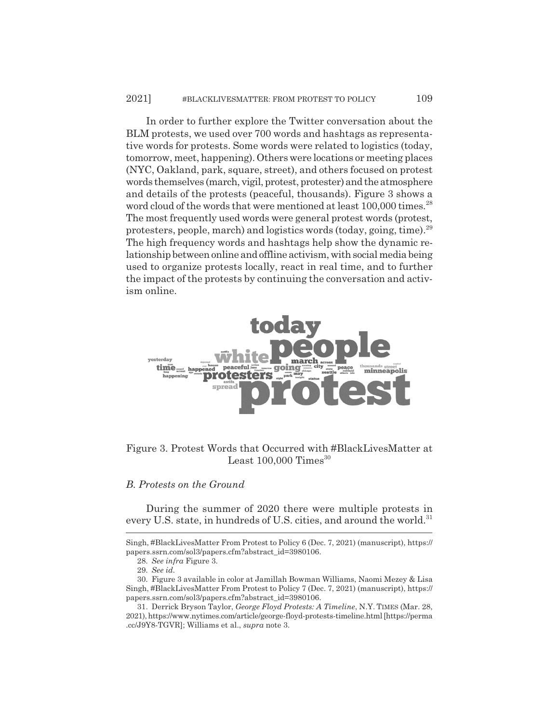In order to further explore the Twitter conversation about the BLM protests, we used over 700 words and hashtags as representative words for protests. Some words were related to logistics (today, tomorrow, meet, happening). Others were locations or meeting places (NYC, Oakland, park, square, street), and others focused on protest words themselves (march, vigil, protest, protester) and the atmosphere and details of the protests (peaceful, thousands). Figure 3 shows a word cloud of the words that were mentioned at least 100,000 times.<sup>28</sup> The most frequently used words were general protest words (protest, protesters, people, march) and logistics words (today, going, time).29 The high frequency words and hashtags help show the dynamic relationship between online and offline activism, with social media being used to organize protests locally, react in real time, and to further the impact of the protests by continuing the conversation and activism online.



### Figure 3. Protest Words that Occurred with #BlackLivesMatter at Least  $100,000$  Times<sup>30</sup>

#### *B. Protests on the Ground*

During the summer of 2020 there were multiple protests in every U.S. state, in hundreds of U.S. cities, and around the world.<sup>31</sup>

Singh, #BlackLivesMatter From Protest to Policy 6 (Dec. 7, 2021) (manuscript), https:// papers.ssrn.com/sol3/papers.cfm?abstract\_id=3980106.

<sup>28.</sup> *See infra* Figure 3.

<sup>29.</sup> *See id.*

<sup>30.</sup> Figure 3 available in color at Jamillah Bowman Williams, Naomi Mezey & Lisa Singh, #BlackLivesMatter From Protest to Policy 7 (Dec. 7, 2021) (manuscript), https:// papers.ssrn.com/sol3/papers.cfm?abstract\_id=3980106.

<sup>31.</sup> Derrick Bryson Taylor, *George Floyd Protests: A Timeline*, N.Y. TIMES (Mar. 28, 2021), https://www.nytimes.com/article/george-floyd-protests-timeline.html [https://perma .cc/J9Y8-TGVR]; Williams et al., *supra* note 3.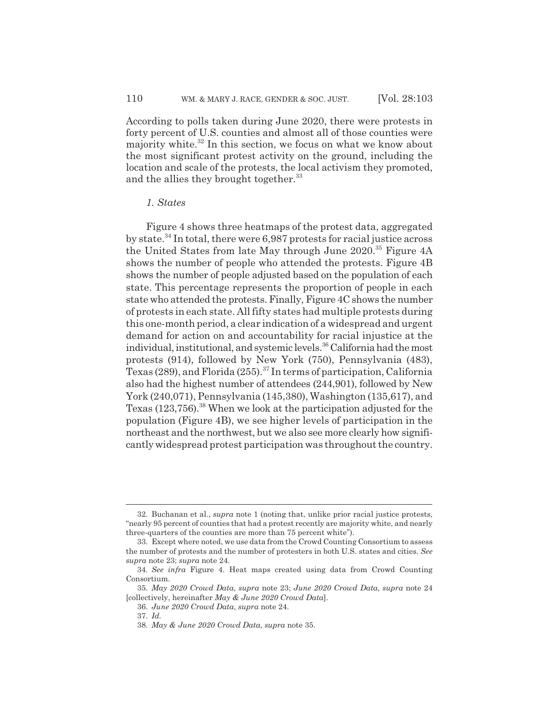According to polls taken during June 2020, there were protests in forty percent of U.S. counties and almost all of those counties were majority white.<sup>32</sup> In this section, we focus on what we know about the most significant protest activity on the ground, including the location and scale of the protests, the local activism they promoted, and the allies they brought together.<sup>33</sup>

#### *1. States*

Figure 4 shows three heatmaps of the protest data, aggregated by state.<sup>34</sup> In total, there were  $6,987$  protests for racial justice across the United States from late May through June 2020.<sup>35</sup> Figure 4A shows the number of people who attended the protests. Figure 4B shows the number of people adjusted based on the population of each state. This percentage represents the proportion of people in each state who attended the protests. Finally, Figure 4C shows the number of protests in each state. All fifty states had multiple protests during this one-month period, a clear indication of a widespread and urgent demand for action on and accountability for racial injustice at the individual, institutional, and systemic levels.<sup>36</sup> California had the most protests (914), followed by New York (750), Pennsylvania (483), Texas (289), and Florida (255).<sup>37</sup> In terms of participation, California also had the highest number of attendees (244,901), followed by New York (240,071), Pennsylvania (145,380), Washington (135,617), and Texas (123,756).<sup>38</sup> When we look at the participation adjusted for the population (Figure 4B), we see higher levels of participation in the northeast and the northwest, but we also see more clearly how significantly widespread protest participation was throughout the country.

<sup>32.</sup> Buchanan et al., *supra* note 1 (noting that, unlike prior racial justice protests, "nearly 95 percent of counties that had a protest recently are majority white, and nearly three-quarters of the counties are more than 75 percent white").

<sup>33.</sup> Except where noted, we use data from the Crowd Counting Consortium to assess the number of protests and the number of protesters in both U.S. states and cities. *See supra* note 23; *supra* note 24.

<sup>34.</sup> *See infra* Figure 4. Heat maps created using data from Crowd Counting Consortium.

<sup>35.</sup> *May 2020 Crowd Data*, *supra* note 23; *June 2020 Crowd Data*, *supra* note 24 [collectively, hereinafter *May & June 2020 Crowd Data*].

<sup>36.</sup> *June 2020 Crowd Data*, *supra* note 24.

<sup>37.</sup> *Id.*

<sup>38.</sup> *May & June 2020 Crowd Data*, *supra* note 35.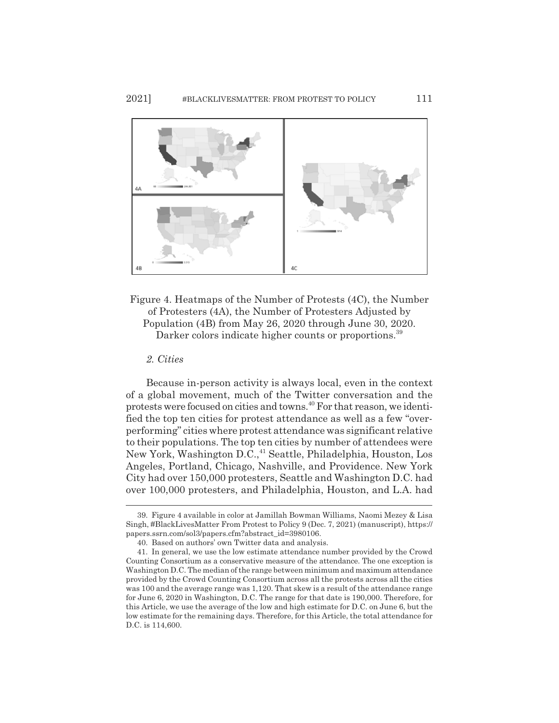

Figure 4. Heatmaps of the Number of Protests (4C), the Number of Protesters (4A), the Number of Protesters Adjusted by Population (4B) from May 26, 2020 through June 30, 2020. Darker colors indicate higher counts or proportions.<sup>39</sup>

*2. Cities*

Because in-person activity is always local, even in the context of a global movement, much of the Twitter conversation and the protests were focused on cities and towns.40 For that reason, we identified the top ten cities for protest attendance as well as a few "overperforming" cities where protest attendance was significant relative to their populations. The top ten cities by number of attendees were New York, Washington D.C.,41 Seattle, Philadelphia, Houston, Los Angeles, Portland, Chicago, Nashville, and Providence. New York City had over 150,000 protesters, Seattle and Washington D.C. had over 100,000 protesters, and Philadelphia, Houston, and L.A. had

<sup>39.</sup> Figure 4 available in color at Jamillah Bowman Williams, Naomi Mezey & Lisa Singh, #BlackLivesMatter From Protest to Policy 9 (Dec. 7, 2021) (manuscript), https:// papers.ssrn.com/sol3/papers.cfm?abstract\_id=3980106.

<sup>40.</sup> Based on authors' own Twitter data and analysis.

<sup>41.</sup> In general, we use the low estimate attendance number provided by the Crowd Counting Consortium as a conservative measure of the attendance. The one exception is Washington D.C. The median of the range between minimum and maximum attendance provided by the Crowd Counting Consortium across all the protests across all the cities was 100 and the average range was 1,120. That skew is a result of the attendance range for June 6, 2020 in Washington, D.C. The range for that date is 190,000. Therefore, for this Article, we use the average of the low and high estimate for D.C. on June 6, but the low estimate for the remaining days. Therefore, for this Article, the total attendance for D.C. is 114,600.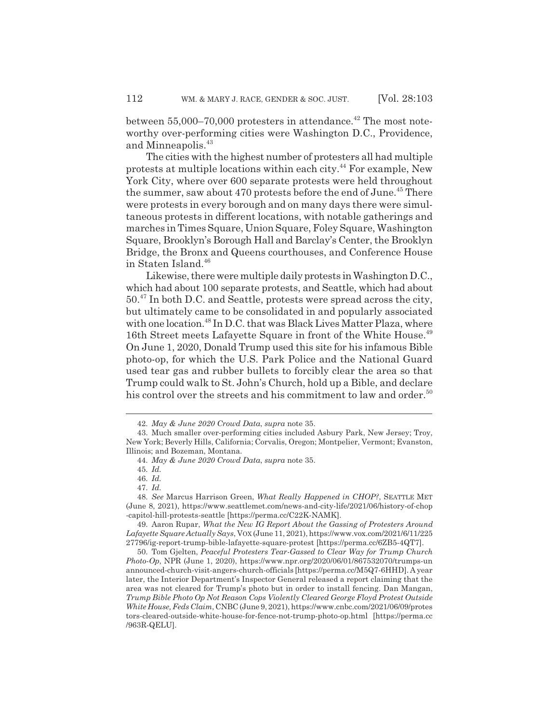between  $55,000-70,000$  protesters in attendance.<sup>42</sup> The most noteworthy over-performing cities were Washington D.C., Providence, and Minneapolis.<sup>43</sup>

The cities with the highest number of protesters all had multiple protests at multiple locations within each city.44 For example, New York City, where over 600 separate protests were held throughout the summer, saw about 470 protests before the end of June.<sup>45</sup> There were protests in every borough and on many days there were simultaneous protests in different locations, with notable gatherings and marches in Times Square, Union Square, Foley Square, Washington Square, Brooklyn's Borough Hall and Barclay's Center, the Brooklyn Bridge, the Bronx and Queens courthouses, and Conference House in Staten Island.<sup>46</sup>

Likewise, there were multiple daily protests in Washington D.C., which had about 100 separate protests, and Seattle, which had about 50.47 In both D.C. and Seattle, protests were spread across the city, but ultimately came to be consolidated in and popularly associated with one location.<sup>48</sup> In D.C. that was Black Lives Matter Plaza, where 16th Street meets Lafayette Square in front of the White House.<sup>49</sup> On June 1, 2020, Donald Trump used this site for his infamous Bible photo-op, for which the U.S. Park Police and the National Guard used tear gas and rubber bullets to forcibly clear the area so that Trump could walk to St. John's Church, hold up a Bible, and declare his control over the streets and his commitment to law and order.<sup>50</sup>

<sup>42.</sup> *May & June 2020 Crowd Data*, *supra* note 35.

<sup>43.</sup> Much smaller over-performing cities included Asbury Park, New Jersey; Troy, New York; Beverly Hills, California; Corvalis, Oregon; Montpelier, Vermont; Evanston, Illinois; and Bozeman, Montana.

<sup>44.</sup> *May & June 2020 Crowd Data*, *supra* note 35.

<sup>45.</sup> *Id.*

<sup>46.</sup> *Id.*

<sup>47.</sup> *Id.*

<sup>48.</sup> *See* Marcus Harrison Green, *What Really Happened in CHOP?*, SEATTLE MET (June 8, 2021), https://www.seattlemet.com/news-and-city-life/2021/06/history-of-chop -capitol-hill-protests-seattle [https://perma.cc/C22K-NAMK].

<sup>49.</sup> Aaron Rupar, *What the New IG Report About the Gassing of Protesters Around Lafayette Square Actually Says*, VOX (June 11, 2021), https://www.vox.com/2021/6/11/225 27796/ig-report-trump-bible-lafayette-square-protest [https://perma.cc/6ZB5-4QT7].

<sup>50.</sup> Tom Gjelten, *Peaceful Protesters Tear-Gassed to Clear Way for Trump Church Photo-Op*, NPR (June 1, 2020), https://www.npr.org/2020/06/01/867532070/trumps-un announced-church-visit-angers-church-officials [https://perma.cc/M5Q7-6HHD]. A year later, the Interior Department's Inspector General released a report claiming that the area was not cleared for Trump's photo but in order to install fencing. Dan Mangan, *Trump Bible Photo Op Not Reason Cops Violently Cleared George Floyd Protest Outside White House, Feds Claim*, CNBC (June 9, 2021), https://www.cnbc.com/2021/06/09/protes tors-cleared-outside-white-house-for-fence-not-trump-photo-op.html [https://perma.cc /963R-QELU].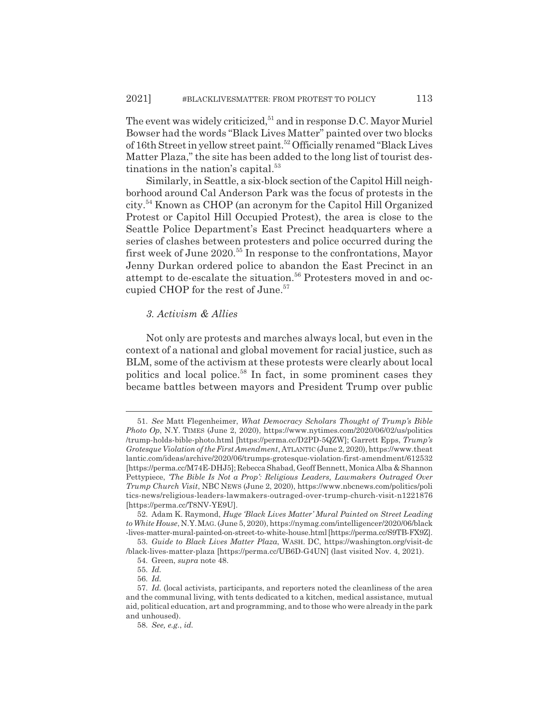The event was widely criticized,  $51$  and in response D.C. Mayor Muriel Bowser had the words "Black Lives Matter" painted over two blocks of 16th Street in yellow street paint.<sup>52</sup> Officially renamed "Black Lives Matter Plaza," the site has been added to the long list of tourist destinations in the nation's capital. $53$ 

Similarly, in Seattle, a six-block section of the Capitol Hill neighborhood around Cal Anderson Park was the focus of protests in the city.54 Known as CHOP (an acronym for the Capitol Hill Organized Protest or Capitol Hill Occupied Protest), the area is close to the Seattle Police Department's East Precinct headquarters where a series of clashes between protesters and police occurred during the first week of June 2020.<sup>55</sup> In response to the confrontations, Mayor Jenny Durkan ordered police to abandon the East Precinct in an attempt to de-escalate the situation.<sup>56</sup> Protesters moved in and occupied CHOP for the rest of June.<sup>57</sup>

#### *3. Activism & Allies*

Not only are protests and marches always local, but even in the context of a national and global movement for racial justice, such as BLM, some of the activism at these protests were clearly about local politics and local police.<sup>58</sup> In fact, in some prominent cases they became battles between mayors and President Trump over public

<sup>51.</sup> *See* Matt Flegenheimer, *What Democracy Scholars Thought of Trump's Bible Photo Op*, N.Y. TIMES (June 2, 2020), https://www.nytimes.com/2020/06/02/us/politics /trump-holds-bible-photo.html [https://perma.cc/D2PD-5QZW]; Garrett Epps, *Trump's Grotesque Violation of the First Amendment*, ATLANTIC (June 2, 2020), https://www.theat lantic.com/ideas/archive/2020/06/trumps-grotesque-violation-first-amendment/612532 [https://perma.cc/M74E-DHJ5]; Rebecca Shabad, Geoff Bennett, Monica Alba & Shannon Pettypiece, *'The Bible Is Not a Prop': Religious Leaders, Lawmakers Outraged Over Trump Church Visit*, NBC NEWS (June 2, 2020), https://www.nbcnews.com/politics/poli tics-news/religious-leaders-lawmakers-outraged-over-trump-church-visit-n1221876 [https://perma.cc/T8NV-YE9U].

<sup>52.</sup> Adam K. Raymond, *Huge 'Black Lives Matter' Mural Painted on Street Leading to White House*, N.Y.MAG. (June 5, 2020), https://nymag.com/intelligencer/2020/06/black -lives-matter-mural-painted-on-street-to-white-house.html [https://perma.cc/S9TB-FX9Z].

<sup>53.</sup> *Guide to Black Lives Matter Plaza*, WASH. DC, https://washington.org/visit-dc /black-lives-matter-plaza [https://perma.cc/UB6D-G4UN] (last visited Nov. 4, 2021).

<sup>54.</sup> Green, *supra* note 48.

<sup>55.</sup> *Id.*

<sup>56.</sup> *Id.*

<sup>57.</sup> *Id.* (local activists, participants, and reporters noted the cleanliness of the area and the communal living, with tents dedicated to a kitchen, medical assistance, mutual aid, political education, art and programming, and to those who were already in the park and unhoused).

<sup>58.</sup> *See, e.g.*, *id.*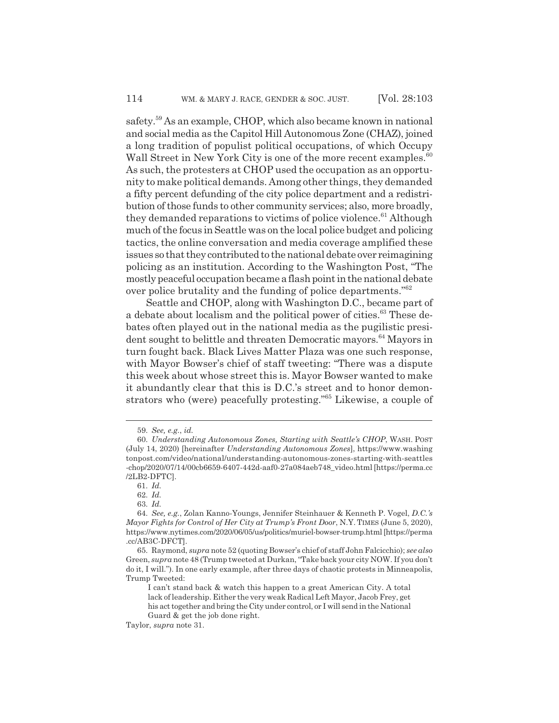safety.59 As an example, CHOP, which also became known in national and social media as the Capitol Hill Autonomous Zone (CHAZ), joined a long tradition of populist political occupations, of which Occupy Wall Street in New York City is one of the more recent examples.<sup>60</sup> As such, the protesters at CHOP used the occupation as an opportunity to make political demands. Among other things, they demanded a fifty percent defunding of the city police department and a redistribution of those funds to other community services; also, more broadly, they demanded reparations to victims of police violence.<sup>61</sup> Although much of the focus in Seattle was on the local police budget and policing tactics, the online conversation and media coverage amplified these issues so that they contributed to the national debate over reimagining policing as an institution. According to the Washington Post, "The mostly peaceful occupation became a flash point in the national debate over police brutality and the funding of police departments."62

Seattle and CHOP, along with Washington D.C., became part of a debate about localism and the political power of cities.<sup>63</sup> These debates often played out in the national media as the pugilistic president sought to belittle and threaten Democratic mayors.<sup>64</sup> Mayors in turn fought back. Black Lives Matter Plaza was one such response, with Mayor Bowser's chief of staff tweeting: "There was a dispute this week about whose street this is. Mayor Bowser wanted to make it abundantly clear that this is D.C.'s street and to honor demonstrators who (were) peacefully protesting."65 Likewise, a couple of

<sup>59.</sup> *See, e.g.*, *id.*

<sup>60.</sup> *Understanding Autonomous Zones, Starting with Seattle's CHOP*, WASH. POST (July 14, 2020) [hereinafter *Understanding Autonomous Zones*], https://www.washing tonpost.com/video/national/understanding-autonomous-zones-starting-with-seattles -chop/2020/07/14/00cb6659-6407-442d-aaf0-27a084aeb748\_video.html [https://perma.cc /2LB2-DFTC].

<sup>61.</sup> *Id.*

<sup>62.</sup> *Id.*

<sup>63.</sup> *Id.*

<sup>64.</sup> *See, e.g.*, Zolan Kanno-Youngs, Jennifer Steinhauer & Kenneth P. Vogel, *D.C.'s Mayor Fights for Control of Her City at Trump's Front Door*, N.Y. TIMES (June 5, 2020), https://www.nytimes.com/2020/06/05/us/politics/muriel-bowser-trump.html [https://perma .cc/AB3C-DFCT].

<sup>65.</sup> Raymond, *supra* note 52 (quoting Bowser's chief of staff John Falcicchio); *see also* Green, *supra* note 48 (Trump tweeted at Durkan, "Take back your city NOW. If you don't do it, I will."). In one early example, after three days of chaotic protests in Minneapolis, Trump Tweeted:

I can't stand back & watch this happen to a great American City. A total lack of leadership. Either the very weak Radical Left Mayor, Jacob Frey, get his act together and bring the City under control, or I will send in the National

Guard & get the job done right.

Taylor, *supra* note 31.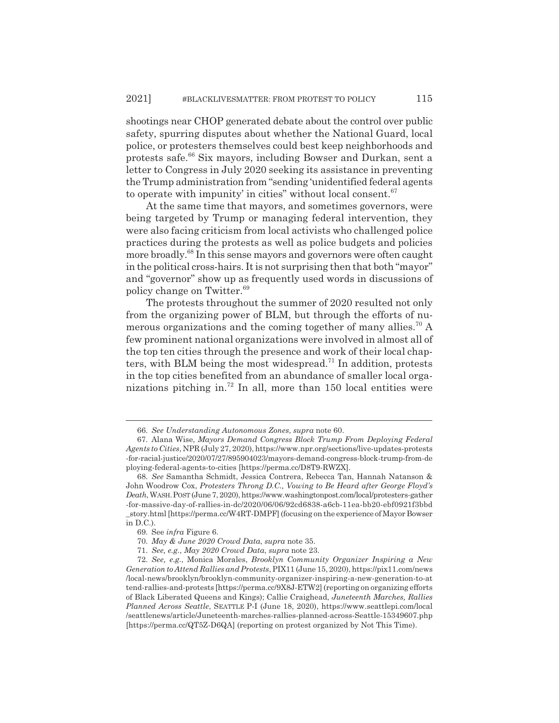shootings near CHOP generated debate about the control over public safety, spurring disputes about whether the National Guard, local police, or protesters themselves could best keep neighborhoods and protests safe.66 Six mayors, including Bowser and Durkan, sent a letter to Congress in July 2020 seeking its assistance in preventing the Trump administration from "sending 'unidentified federal agents to operate with impunity' in cities" without local consent. $67$ 

At the same time that mayors, and sometimes governors, were being targeted by Trump or managing federal intervention, they were also facing criticism from local activists who challenged police practices during the protests as well as police budgets and policies more broadly.68 In this sense mayors and governors were often caught in the political cross-hairs. It is not surprising then that both "mayor" and "governor" show up as frequently used words in discussions of policy change on Twitter.69

The protests throughout the summer of 2020 resulted not only from the organizing power of BLM, but through the efforts of numerous organizations and the coming together of many allies.<sup>70</sup> A few prominent national organizations were involved in almost all of the top ten cities through the presence and work of their local chapters, with BLM being the most widespread.<sup>71</sup> In addition, protests in the top cities benefited from an abundance of smaller local organizations pitching in.<sup>72</sup> In all, more than 150 local entities were

<sup>66.</sup> *See Understanding Autonomous Zones*, *supra* note 60.

<sup>67.</sup> Alana Wise, *Mayors Demand Congress Block Trump From Deploying Federal Agents to Cities*, NPR (July 27, 2020), https://www.npr.org/sections/live-updates-protests -for-racial-justice/2020/07/27/895904023/mayors-demand-congress-block-trump-from-de ploying-federal-agents-to-cities [https://perma.cc/D8T9-RWZX].

<sup>68.</sup> *See* Samantha Schmidt, Jessica Contrera, Rebecca Tan, Hannah Natanson & John Woodrow Cox, *Protesters Throng D.C., Vowing to Be Heard after George Floyd's Death*, WASH.POST (June 7, 2020), https://www.washingtonpost.com/local/protesters-gather -for-massive-day-of-rallies-in-dc/2020/06/06/92cd6838-a6cb-11ea-bb20-ebf0921f3bbd \_story.html [https://perma.cc/W4RT-DMPF] (focusing on the experience of Mayor Bowser in D.C.).

<sup>69.</sup> See *infra* Figure 6.

<sup>70.</sup> *May & June 2020 Crowd Data*, *supra* note 35.

<sup>71.</sup> *See, e.g.*, *May 2020 Crowd Data*, *supra* note 23.

<sup>72.</sup> *See, e.g.*, Monica Morales, *Brooklyn Community Organizer Inspiring a New Generation to Attend Rallies and Protests*, PIX11 (June 15, 2020), https://pix11.com/news /local-news/brooklyn/brooklyn-community-organizer-inspiring-a-new-generation-to-at tend-rallies-and-protests [https://perma.cc/9X8J-ETW2] (reporting on organizing efforts of Black Liberated Queens and Kings); Callie Craighead, *Juneteenth Marches, Rallies Planned Across Seattle*, SEATTLE P-I (June 18, 2020), https://www.seattlepi.com/local /seattlenews/article/Juneteenth-marches-rallies-planned-across-Seattle-15349607.php [https://perma.cc/QT5Z-D6QA] (reporting on protest organized by Not This Time).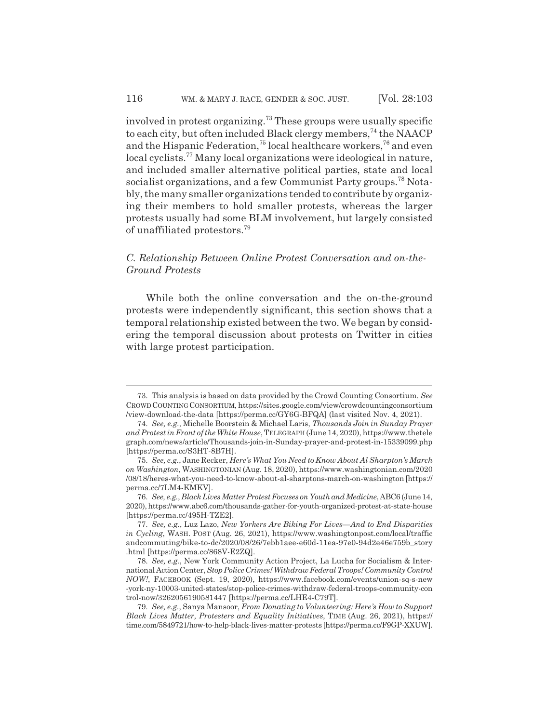involved in protest organizing.<sup>73</sup> These groups were usually specific to each city, but often included Black clergy members,  $74$  the NAACP and the Hispanic Federation,<sup>75</sup> local healthcare workers,<sup>76</sup> and even local cyclists.<sup>77</sup> Many local organizations were ideological in nature, and included smaller alternative political parties, state and local socialist organizations, and a few Communist Party groups.<sup>78</sup> Notably, the many smaller organizations tended to contribute by organizing their members to hold smaller protests, whereas the larger protests usually had some BLM involvement, but largely consisted of unaffiliated protestors.<sup>79</sup>

### *C. Relationship Between Online Protest Conversation and on-the-Ground Protests*

While both the online conversation and the on-the-ground protests were independently significant, this section shows that a temporal relationship existed between the two. We began by considering the temporal discussion about protests on Twitter in cities with large protest participation.

<sup>73.</sup> This analysis is based on data provided by the Crowd Counting Consortium. *See* CROWDCOUNTINGCONSORTIUM, https://sites.google.com/view/crowdcountingconsortium /view-download-the-data [https://perma.cc/GY6G-BFQA] (last visited Nov. 4, 2021).

<sup>74.</sup> *See, e.g.*, Michelle Boorstein & Michael Laris, *Thousands Join in Sunday Prayer and Protest in Front of the White House*, TELEGRAPH (June 14, 2020), https://www.thetele graph.com/news/article/Thousands-join-in-Sunday-prayer-and-protest-in-15339099.php [https://perma.cc/S3HT-8B7H].

<sup>75.</sup> *See, e.g.*, Jane Recker, *Here's What You Need to Know About Al Sharpton's March on Washington*, WASHINGTONIAN (Aug. 18, 2020), https://www.washingtonian.com/2020 /08/18/heres-what-you-need-to-know-about-al-sharptons-march-on-washington [https:// perma.cc/7LM4-KMKV].

<sup>76.</sup> *See, e.g.*, *Black Lives Matter Protest Focuses on Youth and Medicine*, ABC6 (June 14, 2020), https://www.abc6.com/thousands-gather-for-youth-organized-protest-at-state-house [https://perma.cc/495H-TZE2].

<sup>77.</sup> *See, e.g.*, Luz Lazo, *New Yorkers Are Biking For Lives—And to End Disparities in Cycling*, WASH. POST (Aug. 26, 2021), https://www.washingtonpost.com/local/traffic andcommuting/bike-to-dc/2020/08/26/7ebb1aee-e60d-11ea-97e0-94d2e46e759b\_story .html [https://perma.cc/868V-E2ZQ].

<sup>78.</sup> *See, e.g.*, New York Community Action Project, La Lucha for Socialism & International Action Center, *Stop Police Crimes! Withdraw Federal Troops! Community Control NOW!*, FACEBOOK (Sept. 19, 2020), https://www.facebook.com/events/union-sq-s-new -york-ny-10003-united-states/stop-police-crimes-withdraw-federal-troops-community-con trol-now/3262056190581447 [https://perma.cc/LHE4-C79T].

<sup>79.</sup> *See, e.g.*, Sanya Mansoor, *From Donating to Volunteering: Here's How to Support Black Lives Matter, Protesters and Equality Initiatives*, TIME (Aug. 26, 2021), https:// time.com/5849721/how-to-help-black-lives-matter-protests [https://perma.cc/F9GP-XXUW].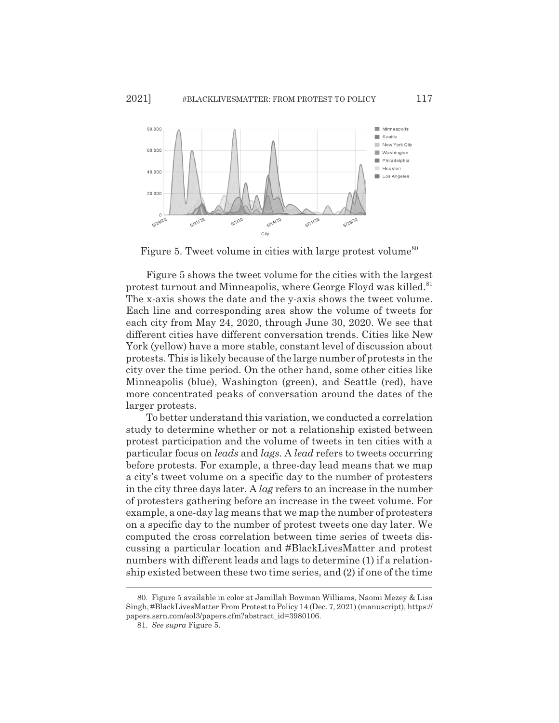

Figure 5. Tweet volume in cities with large protest volume<sup>80</sup>

Figure 5 shows the tweet volume for the cities with the largest protest turnout and Minneapolis, where George Floyd was killed.<sup>81</sup> The x-axis shows the date and the y-axis shows the tweet volume. Each line and corresponding area show the volume of tweets for each city from May 24, 2020, through June 30, 2020. We see that different cities have different conversation trends. Cities like New York (yellow) have a more stable, constant level of discussion about protests. This is likely because of the large number of protests in the city over the time period. On the other hand, some other cities like Minneapolis (blue), Washington (green), and Seattle (red), have more concentrated peaks of conversation around the dates of the larger protests.

To better understand this variation, we conducted a correlation study to determine whether or not a relationship existed between protest participation and the volume of tweets in ten cities with a particular focus on *leads* and *lags.* A *lead* refers to tweets occurring before protests. For example, a three-day lead means that we map a city's tweet volume on a specific day to the number of protesters in the city three days later. A *lag* refers to an increase in the number of protesters gathering before an increase in the tweet volume. For example, a one-day lag means that we map the number of protesters on a specific day to the number of protest tweets one day later. We computed the cross correlation between time series of tweets discussing a particular location and #BlackLivesMatter and protest numbers with different leads and lags to determine (1) if a relationship existed between these two time series, and (2) if one of the time

<sup>80.</sup> Figure 5 available in color at Jamillah Bowman Williams, Naomi Mezey & Lisa Singh, #BlackLivesMatter From Protest to Policy 14 (Dec. 7, 2021) (manuscript), https:// papers.ssrn.com/sol3/papers.cfm?abstract\_id=3980106.

<sup>81.</sup> *See supra* Figure 5.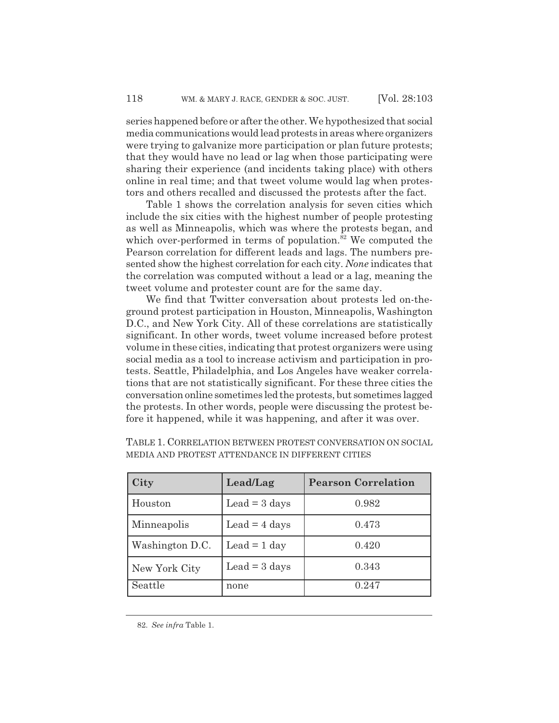series happened before or after the other. We hypothesized that social media communications would lead protests in areas where organizers were trying to galvanize more participation or plan future protests; that they would have no lead or lag when those participating were sharing their experience (and incidents taking place) with others online in real time; and that tweet volume would lag when protestors and others recalled and discussed the protests after the fact.

Table 1 shows the correlation analysis for seven cities which include the six cities with the highest number of people protesting as well as Minneapolis, which was where the protests began, and which over-performed in terms of population. $82$  We computed the Pearson correlation for different leads and lags. The numbers presented show the highest correlation for each city. *None* indicates that the correlation was computed without a lead or a lag, meaning the tweet volume and protester count are for the same day.

We find that Twitter conversation about protests led on-theground protest participation in Houston, Minneapolis, Washington D.C., and New York City. All of these correlations are statistically significant. In other words, tweet volume increased before protest volume in these cities, indicating that protest organizers were using social media as a tool to increase activism and participation in protests. Seattle, Philadelphia, and Los Angeles have weaker correlations that are not statistically significant. For these three cities the conversation online sometimes led the protests, but sometimes lagged the protests. In other words, people were discussing the protest before it happened, while it was happening, and after it was over.

| City            | Lead/Lag                       | <b>Pearson Correlation</b> |
|-----------------|--------------------------------|----------------------------|
| Houston         | Lead $=$ 3 days                | 0.982                      |
| Minneapolis     | Lead = $4 \text{ days}$        | 0.473                      |
| Washington D.C. | Lead $= 1$ day                 | 0.420                      |
| New York City   | $\text{Lead} = 3 \text{ days}$ | 0.343                      |
| Seattle         | none                           | 0.247                      |

TABLE 1. CORRELATION BETWEEN PROTEST CONVERSATION ON SOCIAL MEDIA AND PROTEST ATTENDANCE IN DIFFERENT CITIES

<sup>82.</sup> *See infra* Table 1.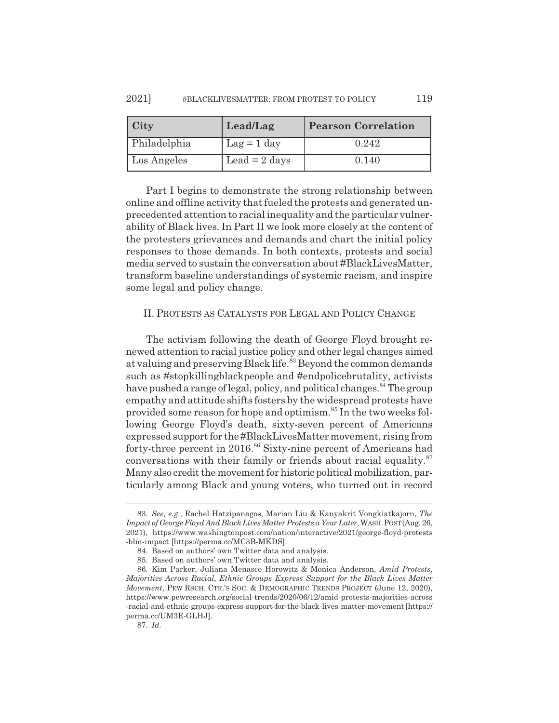| $\int$ City  | Lead/Lag                     | <b>Pearson Correlation</b> |
|--------------|------------------------------|----------------------------|
| Philadelphia | $\text{Lag} = 1 \text{ day}$ | 0.242                      |
| Los Angeles  | Lead = $2$ days              | 0.140                      |

Part I begins to demonstrate the strong relationship between online and offline activity that fueled the protests and generated unprecedented attention to racial inequality and the particular vulnerability of Black lives. In Part II we look more closely at the content of the protesters grievances and demands and chart the initial policy responses to those demands. In both contexts, protests and social media served to sustain the conversation about #BlackLivesMatter, transform baseline understandings of systemic racism, and inspire some legal and policy change.

#### II. PROTESTS AS CATALYSTS FOR LEGAL AND POLICY CHANGE

The activism following the death of George Floyd brought renewed attention to racial justice policy and other legal changes aimed at valuing and preserving Black life.<sup>83</sup> Beyond the common demands such as #stopkillingblackpeople and #endpolicebrutality, activists have pushed a range of legal, policy, and political changes.<sup>84</sup> The group empathy and attitude shifts fosters by the widespread protests have provided some reason for hope and optimism.<sup>85</sup> In the two weeks following George Floyd's death, sixty-seven percent of Americans expressed support for the #BlackLivesMatter movement, rising from forty-three percent in 2016.<sup>86</sup> Sixty-nine percent of Americans had conversations with their family or friends about racial equality.<sup>87</sup> Many also credit the movement for historic political mobilization, particularly among Black and young voters, who turned out in record

<sup>83.</sup> *See, e.g.*, Rachel Hatzipanagos, Marian Liu & Kanyakrit Vongkiatkajorn, *The Impact of George Floyd And Black Lives Matter Protests a Year Later*, WASH.POST(Aug. 26, 2021), https://www.washingtonpost.com/nation/interactive/2021/george-floyd-protests -blm-impact [https://perma.cc/MC3B-MKDS].

<sup>84.</sup> Based on authors' own Twitter data and analysis.

<sup>85.</sup> Based on authors' own Twitter data and analysis.

<sup>86.</sup> Kim Parker, Juliana Menasce Horowitz & Monica Anderson, *Amid Protests, Majorities Across Racial, Ethnic Groups Express Support for the Black Lives Matter Movement*, PEW RSCH. CTR.'S SOC.&DEMOGRAPHIC TRENDS PROJECT (June 12, 2020), https://www.pewresearch.org/social-trends/2020/06/12/amid-protests-majorities-across -racial-and-ethnic-groups-express-support-for-the-black-lives-matter-movement [https:// perma.cc/UM3E-GLHJ].

<sup>87.</sup> *Id.*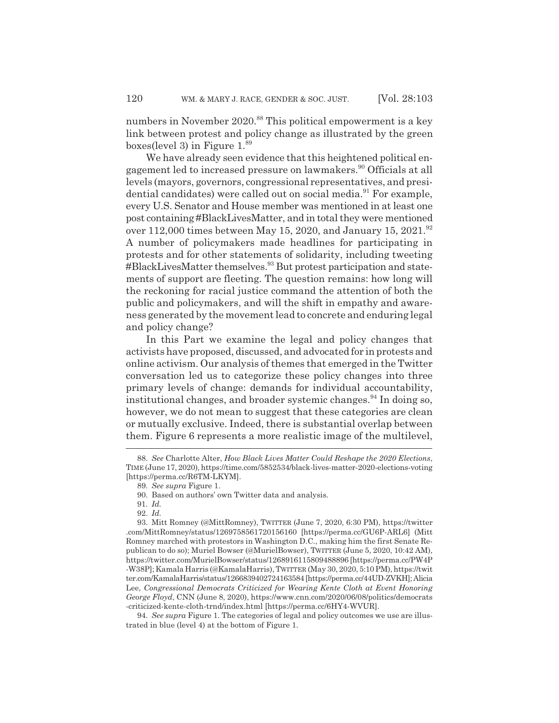numbers in November 2020.<sup>88</sup> This political empowerment is a key link between protest and policy change as illustrated by the green boxes(level 3) in Figure 1.89

We have already seen evidence that this heightened political engagement led to increased pressure on lawmakers.<sup>90</sup> Officials at all levels (mayors, governors, congressional representatives, and presidential candidates) were called out on social media.<sup>91</sup> For example, every U.S. Senator and House member was mentioned in at least one post containing #BlackLivesMatter, and in total they were mentioned over 112,000 times between May 15, 2020, and January 15, 2021.<sup>92</sup> A number of policymakers made headlines for participating in protests and for other statements of solidarity, including tweeting #BlackLivesMatter themselves.<sup>93</sup> But protest participation and statements of support are fleeting. The question remains: how long will the reckoning for racial justice command the attention of both the public and policymakers, and will the shift in empathy and awareness generated by the movement lead to concrete and enduring legal and policy change?

In this Part we examine the legal and policy changes that activists have proposed, discussed, and advocated for in protests and online activism. Our analysis of themes that emerged in the Twitter conversation led us to categorize these policy changes into three primary levels of change: demands for individual accountability, institutional changes, and broader systemic changes.<sup>94</sup> In doing so, however, we do not mean to suggest that these categories are clean or mutually exclusive. Indeed, there is substantial overlap between them. Figure 6 represents a more realistic image of the multilevel,

<sup>88.</sup> *See* Charlotte Alter, *How Black Lives Matter Could Reshape the 2020 Elections*, TIME (June 17, 2020), https://time.com/5852534/black-lives-matter-2020-elections-voting [https://perma.cc/R6TM-LKYM].

<sup>89.</sup> *See supra* Figure 1.

<sup>90.</sup> Based on authors' own Twitter data and analysis.

<sup>91.</sup> *Id.*

<sup>92.</sup> *Id.*

<sup>93.</sup> Mitt Romney (@MittRomney), TWITTER (June 7, 2020, 6:30 PM), https://twitter .com/MittRomney/status/1269758561720156160 [https://perma.cc/GU6P-ARL6] (Mitt Romney marched with protestors in Washington D.C., making him the first Senate Republican to do so); Muriel Bowser (@MurielBowser), TWITTER (June 5, 2020, 10:42 AM), https://twitter.com/MurielBowser/status/1268916115809488896 [https://perma.cc/PW4P -W38P]; Kamala Harris (@KamalaHarris), TWITTER (May 30, 2020, 5:10 PM), https://twit ter.com/KamalaHarris/status/1266839402724163584 [https://perma.cc/44UD-ZVKH]; Alicia Lee, *Congressional Democrats Criticized for Wearing Kente Cloth at Event Honoring George Floyd*, CNN (June 8, 2020), https://www.cnn.com/2020/06/08/politics/democrats -criticized-kente-cloth-trnd/index.html [https://perma.cc/6HY4-WVUR].

<sup>94.</sup> *See supra* Figure 1. The categories of legal and policy outcomes we use are illustrated in blue (level 4) at the bottom of Figure 1.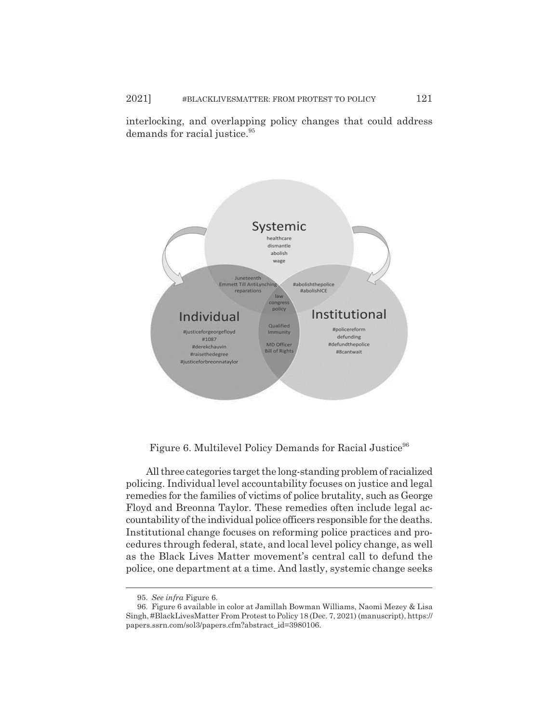interlocking, and overlapping policy changes that could address demands for racial justice.<sup>95</sup>



Figure 6. Multilevel Policy Demands for Racial Justice<sup>96</sup>

All three categories target the long-standing problem of racialized policing. Individual level accountability focuses on justice and legal remedies for the families of victims of police brutality, such as George Floyd and Breonna Taylor. These remedies often include legal accountability of the individual police officers responsible for the deaths. Institutional change focuses on reforming police practices and procedures through federal, state, and local level policy change, as well as the Black Lives Matter movement's central call to defund the police, one department at a time. And lastly, systemic change seeks

<sup>95.</sup> *See infra* Figure 6.

<sup>96.</sup> Figure 6 available in color at Jamillah Bowman Williams, Naomi Mezey & Lisa Singh, #BlackLivesMatter From Protest to Policy 18 (Dec. 7, 2021) (manuscript), https:// papers.ssrn.com/sol3/papers.cfm?abstract\_id=3980106.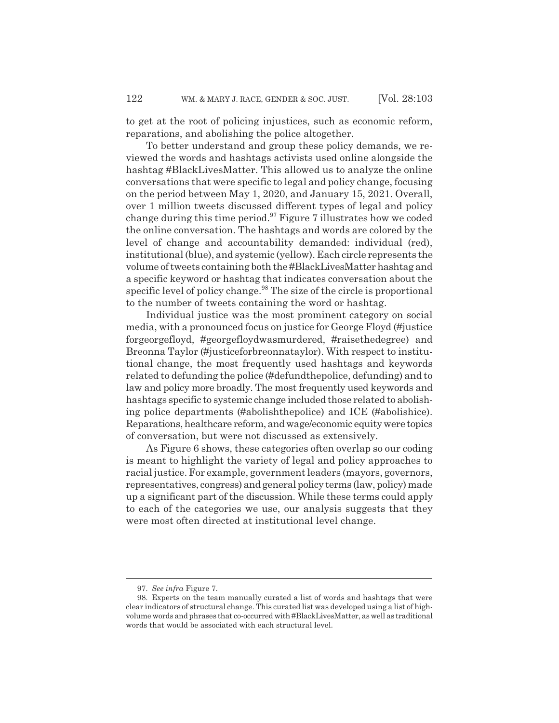to get at the root of policing injustices, such as economic reform, reparations, and abolishing the police altogether.

To better understand and group these policy demands, we reviewed the words and hashtags activists used online alongside the hashtag #BlackLivesMatter. This allowed us to analyze the online conversations that were specific to legal and policy change, focusing on the period between May 1, 2020, and January 15, 2021. Overall, over 1 million tweets discussed different types of legal and policy change during this time period.<sup>97</sup> Figure 7 illustrates how we coded the online conversation. The hashtags and words are colored by the level of change and accountability demanded: individual (red), institutional (blue), and systemic (yellow). Each circle represents the volume of tweets containing both the #BlackLivesMatter hashtag and a specific keyword or hashtag that indicates conversation about the specific level of policy change.<sup>98</sup> The size of the circle is proportional to the number of tweets containing the word or hashtag.

Individual justice was the most prominent category on social media, with a pronounced focus on justice for George Floyd (#justice forgeorgefloyd, #georgefloydwasmurdered, #raisethedegree) and Breonna Taylor (#justiceforbreonnataylor). With respect to institutional change, the most frequently used hashtags and keywords related to defunding the police (#defundthepolice, defunding) and to law and policy more broadly. The most frequently used keywords and hashtags specific to systemic change included those related to abolishing police departments (#abolishthepolice) and ICE (#abolishice). Reparations, healthcare reform, and wage/economic equity were topics of conversation, but were not discussed as extensively.

As Figure 6 shows, these categories often overlap so our coding is meant to highlight the variety of legal and policy approaches to racial justice. For example, government leaders (mayors, governors, representatives, congress) and general policy terms (law, policy) made up a significant part of the discussion. While these terms could apply to each of the categories we use, our analysis suggests that they were most often directed at institutional level change.

<sup>97.</sup> *See infra* Figure 7.

<sup>98.</sup> Experts on the team manually curated a list of words and hashtags that were clear indicators of structural change. This curated list was developed using a list of highvolume words and phrases that co-occurred with #BlackLivesMatter, as well as traditional words that would be associated with each structural level.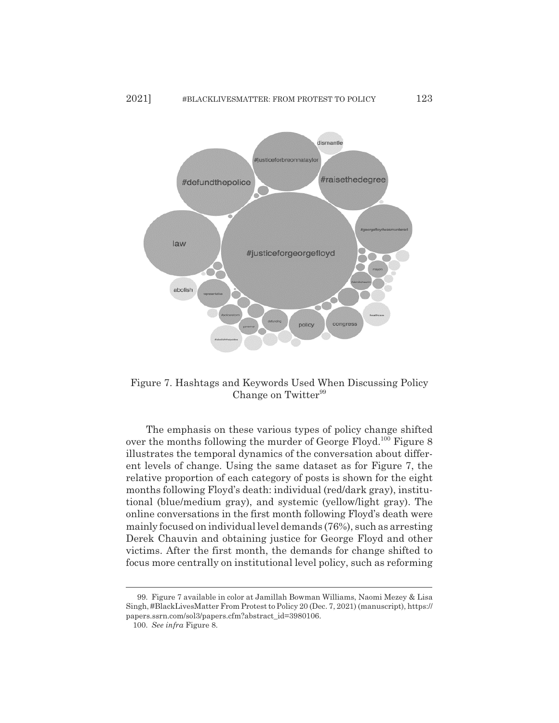

Figure 7. Hashtags and Keywords Used When Discussing Policy Change on Twitter<sup>99</sup>

The emphasis on these various types of policy change shifted over the months following the murder of George Floyd.<sup>100</sup> Figure 8 illustrates the temporal dynamics of the conversation about different levels of change. Using the same dataset as for Figure 7, the relative proportion of each category of posts is shown for the eight months following Floyd's death: individual (red/dark gray), institutional (blue/medium gray), and systemic (yellow/light gray). The online conversations in the first month following Floyd's death were mainly focused on individual level demands (76%), such as arresting Derek Chauvin and obtaining justice for George Floyd and other victims. After the first month, the demands for change shifted to focus more centrally on institutional level policy, such as reforming

<sup>99.</sup> Figure 7 available in color at Jamillah Bowman Williams, Naomi Mezey & Lisa Singh, #BlackLivesMatter From Protest to Policy 20 (Dec. 7, 2021) (manuscript), https:// papers.ssrn.com/sol3/papers.cfm?abstract\_id=3980106.

<sup>100.</sup> *See infra* Figure 8.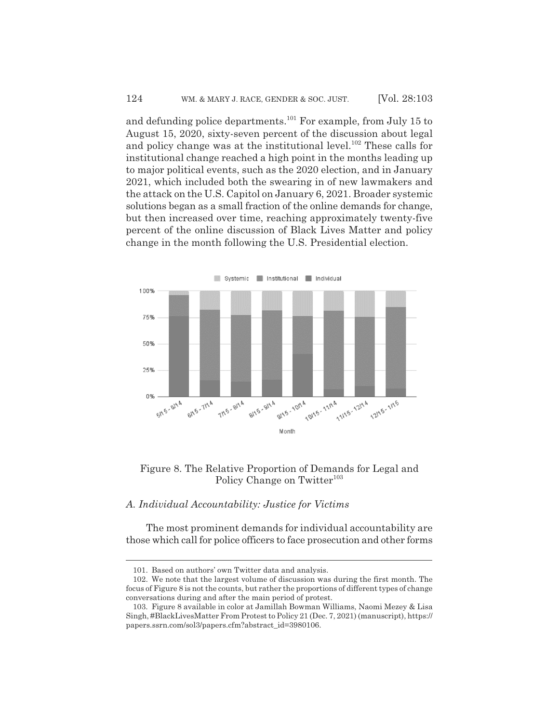and defunding police departments.<sup>101</sup> For example, from July 15 to August 15, 2020, sixty-seven percent of the discussion about legal and policy change was at the institutional level.<sup>102</sup> These calls for institutional change reached a high point in the months leading up to major political events, such as the 2020 election, and in January 2021, which included both the swearing in of new lawmakers and the attack on the U.S. Capitol on January 6, 2021. Broader systemic solutions began as a small fraction of the online demands for change, but then increased over time, reaching approximately twenty-five percent of the online discussion of Black Lives Matter and policy change in the month following the U.S. Presidential election.



### Figure 8. The Relative Proportion of Demands for Legal and Policy Change on Twitter<sup>103</sup>

#### *A. Individual Accountability: Justice for Victims*

The most prominent demands for individual accountability are those which call for police officers to face prosecution and other forms

<sup>101.</sup> Based on authors' own Twitter data and analysis.

<sup>102.</sup> We note that the largest volume of discussion was during the first month. The focus of Figure 8 is not the counts, but rather the proportions of different types of change conversations during and after the main period of protest.

<sup>103.</sup> Figure 8 available in color at Jamillah Bowman Williams, Naomi Mezey & Lisa Singh, #BlackLivesMatter From Protest to Policy 21 (Dec. 7, 2021) (manuscript), https:// papers.ssrn.com/sol3/papers.cfm?abstract\_id=3980106.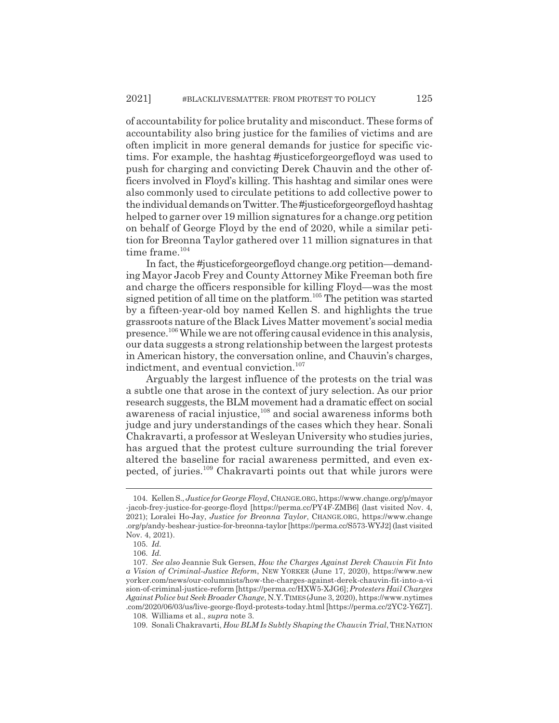of accountability for police brutality and misconduct. These forms of accountability also bring justice for the families of victims and are often implicit in more general demands for justice for specific victims. For example, the hashtag #justiceforgeorgefloyd was used to push for charging and convicting Derek Chauvin and the other officers involved in Floyd's killing. This hashtag and similar ones were also commonly used to circulate petitions to add collective power to the individual demands on Twitter. The #justiceforgeorgefloyd hashtag helped to garner over 19 million signatures for a change.org petition on behalf of George Floyd by the end of 2020, while a similar petition for Breonna Taylor gathered over 11 million signatures in that time frame.<sup>104</sup>

In fact, the #justiceforgeorgefloyd change.org petition—demanding Mayor Jacob Frey and County Attorney Mike Freeman both fire and charge the officers responsible for killing Floyd—was the most signed petition of all time on the platform.<sup>105</sup> The petition was started by a fifteen-year-old boy named Kellen S. and highlights the true grassroots nature of the Black Lives Matter movement's social media presence.106 While we are not offering causal evidence in this analysis, our data suggests a strong relationship between the largest protests in American history, the conversation online, and Chauvin's charges, indictment, and eventual conviction.<sup>107</sup>

Arguably the largest influence of the protests on the trial was a subtle one that arose in the context of jury selection. As our prior research suggests, the BLM movement had a dramatic effect on social awareness of racial injustice,<sup>108</sup> and social awareness informs both judge and jury understandings of the cases which they hear. Sonali Chakravarti, a professor at Wesleyan University who studies juries, has argued that the protest culture surrounding the trial forever altered the baseline for racial awareness permitted, and even expected, of juries.<sup>109</sup> Chakravarti points out that while jurors were

<sup>104.</sup> Kellen S., *Justice for George Floyd*, CHANGE.ORG, https://www.change.org/p/mayor -jacob-frey-justice-for-george-floyd [https://perma.cc/PY4F-ZMB6] (last visited Nov. 4, 2021); Loralei Ho-Jay, *Justice for Breonna Taylor*, CHANGE.ORG, https://www.change .org/p/andy-beshear-justice-for-breonna-taylor [https://perma.cc/S573-WYJ2] (last visited Nov. 4, 2021).

<sup>105.</sup> *Id.*

<sup>106.</sup> *Id.*

<sup>107.</sup> *See also* Jeannie Suk Gersen, *How the Charges Against Derek Chauvin Fit Into a Vision of Criminal-Justice Reform*, NEW YORKER (June 17, 2020), https://www.new yorker.com/news/our-columnists/how-the-charges-against-derek-chauvin-fit-into-a-vi sion-of-criminal-justice-reform [https://perma.cc/HXW5-XJG6]; *Protesters Hail Charges Against Police but Seek Broader Change*, N.Y.TIMES(June 3, 2020), https://www.nytimes .com/2020/06/03/us/live-george-floyd-protests-today.html [https://perma.cc/2YC2-Y6Z7].

<sup>108.</sup> Williams et al., *supra* note 3.

<sup>109.</sup> Sonali Chakravarti, *How BLM Is Subtly Shaping the Chauvin Trial*, THENATION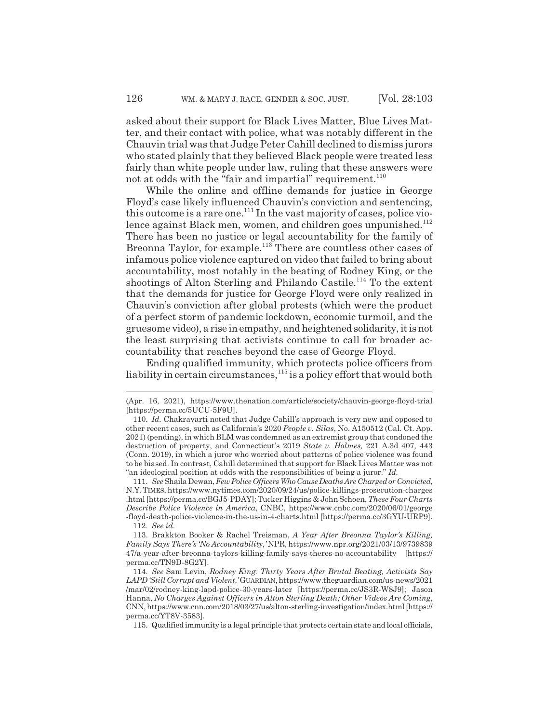asked about their support for Black Lives Matter, Blue Lives Matter, and their contact with police, what was notably different in the Chauvin trial was that Judge Peter Cahill declined to dismiss jurors who stated plainly that they believed Black people were treated less fairly than white people under law, ruling that these answers were not at odds with the "fair and impartial" requirement.<sup>110</sup>

While the online and offline demands for justice in George Floyd's case likely influenced Chauvin's conviction and sentencing, this outcome is a rare one.111 In the vast majority of cases, police violence against Black men, women, and children goes unpunished.<sup>112</sup> There has been no justice or legal accountability for the family of Breonna Taylor, for example.<sup>113</sup> There are countless other cases of infamous police violence captured on video that failed to bring about accountability, most notably in the beating of Rodney King, or the shootings of Alton Sterling and Philando Castile.<sup>114</sup> To the extent that the demands for justice for George Floyd were only realized in Chauvin's conviction after global protests (which were the product of a perfect storm of pandemic lockdown, economic turmoil, and the gruesome video), a rise in empathy, and heightened solidarity, it is not the least surprising that activists continue to call for broader accountability that reaches beyond the case of George Floyd.

Ending qualified immunity, which protects police officers from liability in certain circumstances,  $^{115}$  is a policy effort that would both

115. Qualified immunity is a legal principle that protects certain state and local officials,

<sup>(</sup>Apr. 16, 2021), https://www.thenation.com/article/society/chauvin-george-floyd-trial [https://perma.cc/5UCU-5F9U].

<sup>110.</sup> *Id.* Chakravarti noted that Judge Cahill's approach is very new and opposed to other recent cases, such as California's 2020 *People v. Silas*, No. A150512 (Cal. Ct. App. 2021) (pending), in which BLM was condemned as an extremist group that condoned the destruction of property, and Connecticut's 2019 *State v. Holmes,* 221 A.3d 407, 443 (Conn. 2019), in which a juror who worried about patterns of police violence was found to be biased. In contrast, Cahill determined that support for Black Lives Matter was not "an ideological position at odds with the responsibilities of being a juror." *Id.*

<sup>111.</sup> *See* Shaila Dewan, *Few Police Officers Who Cause Deaths Are Charged or Convicted*, N.Y.TIMES, https://www.nytimes.com/2020/09/24/us/police-killings-prosecution-charges .html [https://perma.cc/BGJ5-PDAY]; Tucker Higgins & John Schoen, *These Four Charts Describe Police Violence in America*, CNBC, https://www.cnbc.com/2020/06/01/george -floyd-death-police-violence-in-the-us-in-4-charts.html [https://perma.cc/3GYU-URP9]. 112. *See id.*

<sup>113.</sup> Brakkton Booker & Rachel Treisman, *A Year After Breonna Taylor's Killing, Family Says There's 'No Accountability*,*'* NPR, https://www.npr.org/2021/03/13/9739839 47/a-year-after-breonna-taylors-killing-family-says-theres-no-accountability [https:// perma.cc/TN9D-8G2Y].

<sup>114.</sup> *See* Sam Levin, *Rodney King: Thirty Years After Brutal Beating, Activists Say LAPD 'Still Corrupt and Violent*,*'*GUARDIAN, https://www.theguardian.com/us-news/2021 /mar/02/rodney-king-lapd-police-30-years-later [https://perma.cc/JS3R-W8J9]; Jason Hanna, *No Charges Against Officers in Alton Sterling Death; Other Videos Are Coming*, CNN, https://www.cnn.com/2018/03/27/us/alton-sterling-investigation/index.html [https:// perma.cc/YT8V-3583].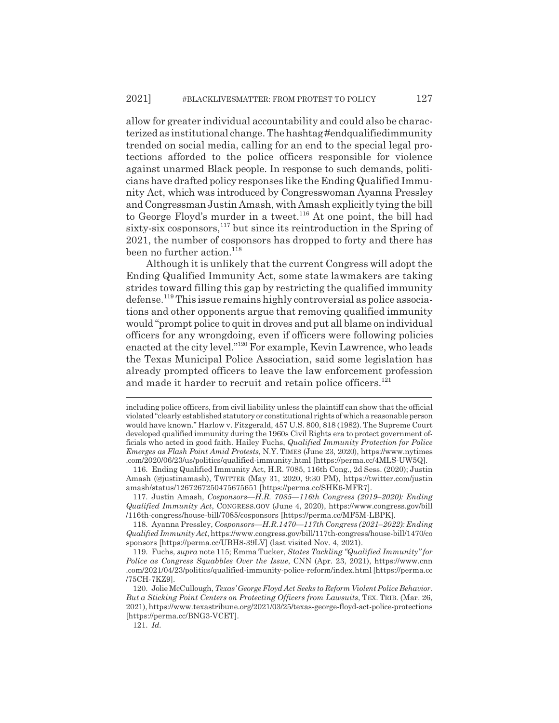allow for greater individual accountability and could also be characterized as institutional change. The hashtag #endqualifiedimmunity trended on social media, calling for an end to the special legal protections afforded to the police officers responsible for violence against unarmed Black people. In response to such demands, politicians have drafted policy responses like the Ending Qualified Immunity Act, which was introduced by Congresswoman Ayanna Pressley and Congressman Justin Amash, with Amash explicitly tying the bill to George Floyd's murder in a tweet.<sup>116</sup> At one point, the bill had sixty-six cosponsors, $117$  but since its reintroduction in the Spring of 2021, the number of cosponsors has dropped to forty and there has been no further action.<sup>118</sup>

Although it is unlikely that the current Congress will adopt the Ending Qualified Immunity Act, some state lawmakers are taking strides toward filling this gap by restricting the qualified immunity defense.119 This issue remains highly controversial as police associations and other opponents argue that removing qualified immunity would "prompt police to quit in droves and put all blame on individual officers for any wrongdoing, even if officers were following policies enacted at the city level."120 For example, Kevin Lawrence, who leads the Texas Municipal Police Association, said some legislation has already prompted officers to leave the law enforcement profession and made it harder to recruit and retain police officers.<sup>121</sup>

117. Justin Amash, *Cosponsors—H.R. 7085—116th Congress (2019*–*2020): Ending Qualified Immunity Act*, CONGRESS.GOV (June 4, 2020), https://www.congress.gov/bill /116th-congress/house-bill/7085/cosponsors [https://perma.cc/MF5M-LBPK].

118. Ayanna Pressley, *Cosponsors—H.R.1470—117th Congress (2021*–*2022): Ending Qualified Immunity Act*, https://www.congress.gov/bill/117th-congress/house-bill/1470/co sponsors [https://perma.cc/UBH8-39LV] (last visited Nov. 4, 2021).

119. Fuchs, *supra* note 115; Emma Tucker, *States Tackling "Qualified Immunity" for Police as Congress Squabbles Over the Issue*, CNN (Apr. 23, 2021), https://www.cnn .com/2021/04/23/politics/qualified-immunity-police-reform/index.html [https://perma.cc /75CH-7KZ9].

121. *Id.*

including police officers, from civil liability unless the plaintiff can show that the official violated "clearly established statutory or constitutional rights of which a reasonable person would have known." Harlow v. Fitzgerald, 457 U.S. 800, 818 (1982). The Supreme Court developed qualified immunity during the 1960s Civil Rights era to protect government officials who acted in good faith. Hailey Fuchs, *Qualified Immunity Protection for Police Emerges as Flash Point Amid Protests*, N.Y. TIMES (June 23, 2020), https://www.nytimes .com/2020/06/23/us/politics/qualified-immunity.html [https://perma.cc/4MLS-UW5Q].

<sup>116.</sup> Ending Qualified Immunity Act, H.R. 7085, 116th Cong., 2d Sess. (2020); Justin Amash (@justinamash), TWITTER (May 31, 2020, 9:30 PM), https://twitter.com/justin amash/status/1267267250475675651 [https://perma.cc/SHK6-MFR7].

<sup>120.</sup> Jolie McCullough, *Texas' George Floyd Act Seeks to Reform Violent Police Behavior. But a Sticking Point Centers on Protecting Officers from Lawsuits*, TEX. TRIB. (Mar. 26, 2021), https://www.texastribune.org/2021/03/25/texas-george-floyd-act-police-protections [https://perma.cc/BNG3-VCET].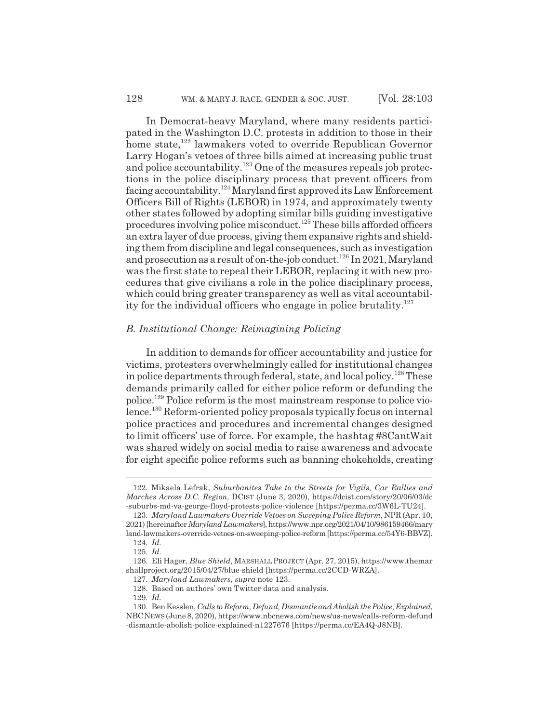In Democrat-heavy Maryland, where many residents participated in the Washington D.C. protests in addition to those in their home state,<sup>122</sup> lawmakers voted to override Republican Governor Larry Hogan's vetoes of three bills aimed at increasing public trust and police accountability.<sup>123</sup> One of the measures repeals job protections in the police disciplinary process that prevent officers from facing accountability.124 Maryland first approved its Law Enforcement Officers Bill of Rights (LEBOR) in 1974, and approximately twenty other states followed by adopting similar bills guiding investigative procedures involving police misconduct.125 These bills afforded officers an extra layer of due process, giving them expansive rights and shielding them from discipline and legal consequences, such as investigation and prosecution as a result of on-the-job conduct.<sup>126</sup> In 2021, Maryland was the first state to repeal their LEBOR, replacing it with new procedures that give civilians a role in the police disciplinary process, which could bring greater transparency as well as vital accountability for the individual officers who engage in police brutality. $127$ 

#### *B. Institutional Change: Reimagining Policing*

In addition to demands for officer accountability and justice for victims, protesters overwhelmingly called for institutional changes in police departments through federal, state, and local policy.<sup>128</sup> These demands primarily called for either police reform or defunding the police.129 Police reform is the most mainstream response to police violence.130 Reform-oriented policy proposals typically focus on internal police practices and procedures and incremental changes designed to limit officers' use of force. For example, the hashtag #8CantWait was shared widely on social media to raise awareness and advocate for eight specific police reforms such as banning chokeholds, creating

<sup>122.</sup> Mikaela Lefrak, *Suburbanites Take to the Streets for Vigils, Car Rallies and Marches Across D.C. Region*, DCIST (June 3, 2020), https://dcist.com/story/20/06/03/dc -suburbs-md-va-george-floyd-protests-police-violence [https://perma.cc/3W6L-TU24].

<sup>123.</sup> *Maryland Lawmakers Override Vetoes on Sweeping Police Reform*, NPR (Apr. 10, 2021) [hereinafter *Maryland Lawmakers*], https://www.npr.org/2021/04/10/986159466/mary land-lawmakers-override-vetoes-on-sweeping-police-reform [https://perma.cc/54Y6-BBVZ].

<sup>124.</sup> *Id.*

<sup>125.</sup> *Id.*

<sup>126.</sup> Eli Hager, *Blue Shield*, MARSHALL PROJECT (Apr. 27, 2015), https://www.themar shallproject.org/2015/04/27/blue-shield [https://perma.cc/2CCD-WRZA].

<sup>127.</sup> *Maryland Lawmakers*, *supra* note 123.

<sup>128.</sup> Based on authors' own Twitter data and analysis.

<sup>129.</sup> *Id.*

<sup>130.</sup> Ben Kesslen, *Calls to Reform, Defund, Dismantle and Abolish the Police, Explained*, NBCNEWS (June 8, 2020), https://www.nbcnews.com/news/us-news/calls-reform-defund -dismantle-abolish-police-explained-n1227676 [https://perma.cc/EA4Q-J8NB].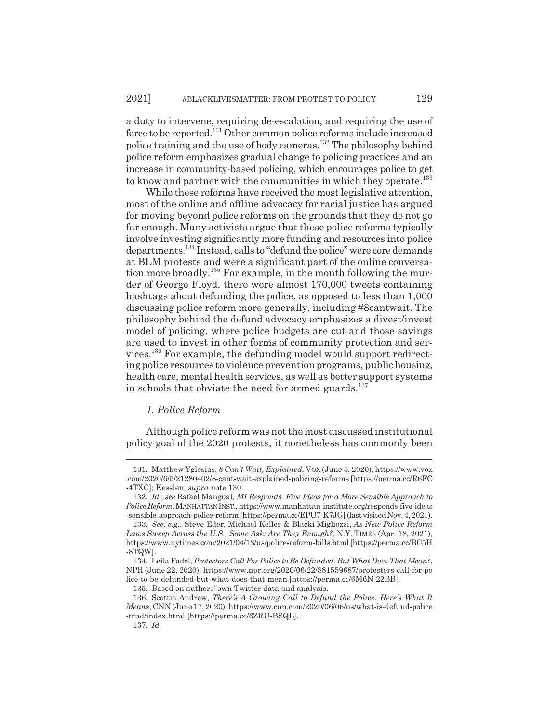a duty to intervene, requiring de-escalation, and requiring the use of force to be reported.131 Other common police reforms include increased police training and the use of body cameras.132 The philosophy behind police reform emphasizes gradual change to policing practices and an increase in community-based policing, which encourages police to get to know and partner with the communities in which they operate.<sup>133</sup>

While these reforms have received the most legislative attention. most of the online and offline advocacy for racial justice has argued for moving beyond police reforms on the grounds that they do not go far enough. Many activists argue that these police reforms typically involve investing significantly more funding and resources into police departments.134 Instead, calls to "defund the police" were core demands at BLM protests and were a significant part of the online conversation more broadly.135 For example, in the month following the murder of George Floyd, there were almost 170,000 tweets containing hashtags about defunding the police, as opposed to less than 1,000 discussing police reform more generally, including #8cantwait. The philosophy behind the defund advocacy emphasizes a divest/invest model of policing, where police budgets are cut and those savings are used to invest in other forms of community protection and services.136 For example, the defunding model would support redirecting police resources to violence prevention programs, public housing, health care, mental health services, as well as better support systems in schools that obviate the need for armed guards. $137$ 

#### *1. Police Reform*

Although police reform was not the most discussed institutional policy goal of the 2020 protests, it nonetheless has commonly been

<sup>131.</sup> Matthew Yglesias, *8 Can't Wait, Explained*, VOX (June 5, 2020), https://www.vox .com/2020/6/5/21280402/8-cant-wait-explained-policing-reforms [https://perma.cc/R6FC -4TXC]; Kesslen, *supra* note 130.

<sup>132.</sup> *Id.*; *see* Rafael Mangual, *MI Responds: Five Ideas for a More Sensible Approach to Police Reform*, MANHATTANINST., https://www.manhattan-institute.org/responds-five-ideas -sensible-approach-police-reform [https://perma.cc/EPU7-K7JG] (last visited Nov. 4, 2021).

<sup>133.</sup> *See, e.g.*, Steve Eder, Michael Keller & Blacki Migliozzi, *As New Police Reform Laws Sweep Across the U.S., Some Ask: Are They Enough?*, N.Y. TIMES (Apr. 18, 2021), https://www.nytimes.com/2021/04/18/us/police-reform-bills.html [https://perma.cc/BC5H -8TQW].

<sup>134.</sup> Leila Fadel, *Protestors Call For Police to Be Defunded. But What Does That Mean?*, NPR (June 22, 2020), https://www.npr.org/2020/06/22/881559687/protesters-call-for-po lice-to-be-defunded-but-what-does-that-mean [https://perma.cc/6M6N-22BB].

<sup>135.</sup> Based on authors' own Twitter data and analysis.

<sup>136.</sup> Scottie Andrew, *There's A Growing Call to Defund the Police. Here's What It Means*, CNN (June 17, 2020), https://www.cnn.com/2020/06/06/us/what-is-defund-police -trnd/index.html [https://perma.cc/6ZRU-BSQL].

<sup>137.</sup> *Id.*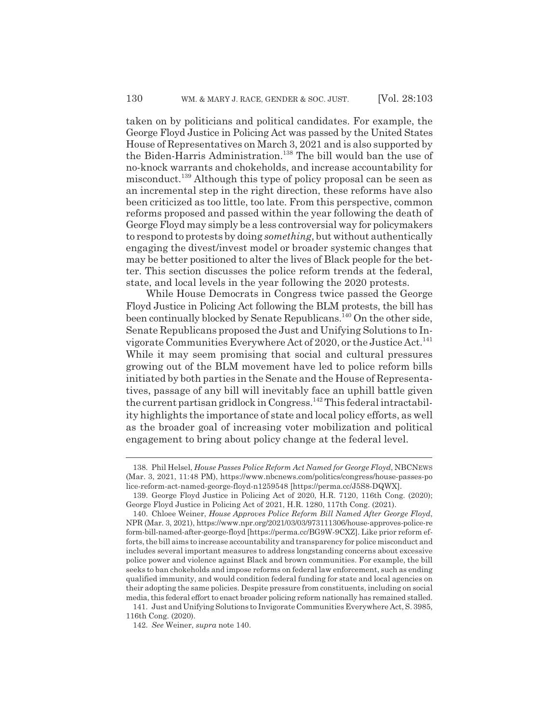taken on by politicians and political candidates. For example, the George Floyd Justice in Policing Act was passed by the United States House of Representatives on March 3, 2021 and is also supported by the Biden-Harris Administration.<sup>138</sup> The bill would ban the use of no-knock warrants and chokeholds, and increase accountability for misconduct.139 Although this type of policy proposal can be seen as an incremental step in the right direction, these reforms have also been criticized as too little, too late. From this perspective, common reforms proposed and passed within the year following the death of George Floyd may simply be a less controversial way for policymakers to respond to protests by doing *something*, but without authentically engaging the divest/invest model or broader systemic changes that may be better positioned to alter the lives of Black people for the better. This section discusses the police reform trends at the federal, state, and local levels in the year following the 2020 protests.

While House Democrats in Congress twice passed the George Floyd Justice in Policing Act following the BLM protests, the bill has been continually blocked by Senate Republicans.<sup>140</sup> On the other side, Senate Republicans proposed the Just and Unifying Solutions to Invigorate Communities Everywhere Act of 2020, or the Justice Act.<sup>141</sup> While it may seem promising that social and cultural pressures growing out of the BLM movement have led to police reform bills initiated by both parties in the Senate and the House of Representatives, passage of any bill will inevitably face an uphill battle given the current partisan gridlock in Congress.142 This federal intractability highlights the importance of state and local policy efforts, as well as the broader goal of increasing voter mobilization and political engagement to bring about policy change at the federal level.

<sup>138.</sup> Phil Helsel, *House Passes Police Reform Act Named for George Floyd*, NBCNEWS (Mar. 3, 2021, 11:48 PM), https://www.nbcnews.com/politics/congress/house-passes-po lice-reform-act-named-george-floyd-n1259548 [https://perma.cc/J5S8-DQWX].

<sup>139.</sup> George Floyd Justice in Policing Act of 2020, H.R. 7120, 116th Cong. (2020); George Floyd Justice in Policing Act of 2021, H.R. 1280, 117th Cong. (2021).

<sup>140.</sup> Chloee Weiner, *House Approves Police Reform Bill Named After George Floyd*, NPR (Mar. 3, 2021), https://www.npr.org/2021/03/03/973111306/house-approves-police-re form-bill-named-after-george-floyd [https://perma.cc/BG9W-9CXZ]. Like prior reform efforts, the bill aims to increase accountability and transparency for police misconduct and includes several important measures to address longstanding concerns about excessive police power and violence against Black and brown communities. For example, the bill seeks to ban chokeholds and impose reforms on federal law enforcement, such as ending qualified immunity, and would condition federal funding for state and local agencies on their adopting the same policies. Despite pressure from constituents, including on social media, this federal effort to enact broader policing reform nationally has remained stalled.

<sup>141.</sup> Just and Unifying Solutions to Invigorate Communities Everywhere Act, S. 3985, 116th Cong. (2020).

<sup>142.</sup> *See* Weiner, *supra* note 140.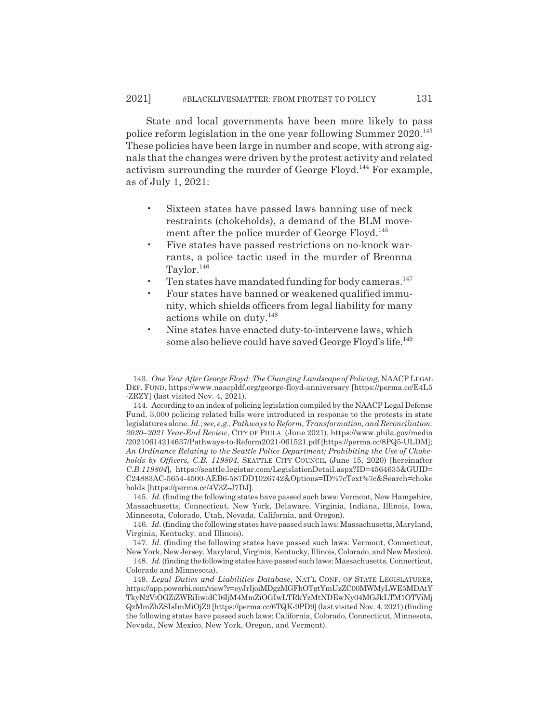State and local governments have been more likely to pass police reform legislation in the one year following Summer  $2020$ <sup>143</sup> These policies have been large in number and scope, with strong signals that the changes were driven by the protest activity and related activism surrounding the murder of George Floyd.<sup>144</sup> For example, as of July 1, 2021:

- Sixteen states have passed laws banning use of neck restraints (chokeholds), a demand of the BLM movement after the police murder of George Floyd.<sup>145</sup>
- Five states have passed restrictions on no-knock warrants, a police tactic used in the murder of Breonna Taylor.<sup>146</sup>
- Ten states have mandated funding for body cameras.<sup>147</sup>
- Four states have banned or weakened qualified immunity, which shields officers from legal liability for many actions while on duty.148
- Nine states have enacted duty-to-intervene laws, which some also believe could have saved George Floyd's life.<sup>149</sup>

<sup>143.</sup> *One Year After George Floyd: The Changing Landscape of Policing*, NAACP LEGAL DEF. FUND, https://www.naacpldf.org/george-floyd-anniversary [https://perma.cc/E4L5 -ZRZY] (last visited Nov. 4, 2021).

<sup>144.</sup> According to an index of policing legislation compiled by the NAACP Legal Defense Fund, 3,000 policing related bills were introduced in response to the protests in state legislatures alone. *Id.*; *see, e.g.*,*Pathways to Reform, Transformation, and Reconciliation: 2020*–*2021 Year-End Review*, CITY OF PHILA. (June 2021), https://www.phila.gov/media /20210614214637/Pathways-to-Reform2021-061521.pdf [https://perma.cc/8PQ5-ULDM]; *An Ordinance Relating to the Seattle Police Department; Prohibiting the Use of Chokeholds by Officers, C.B. 119804*, SEATTLE CITY COUNCIL (June 15, 2020) [hereinafter *C.B.119804*], https://seattle.legistar.com/LegislationDetail.aspx?ID=4564635&GUID= C24883AC-5654-4500-AEB6-587DD1026742&Options=ID%7cText%7c&Search=choke holds [https://perma.cc/4V3Z-J7DJ].

<sup>145.</sup> *Id.* (finding the following states have passed such laws: Vermont, New Hampshire, Massachusetts, Connecticut, New York, Delaware, Virginia, Indiana, Illinois, Iowa, Minnesota, Colorado, Utah, Nevada, California, and Oregon).

<sup>146.</sup> *Id.* (finding the following states have passed such laws: Massachusetts, Maryland, Virginia, Kentucky, and Illinois).

<sup>147.</sup> *Id.* (finding the following states have passed such laws: Vermont, Connecticut, New York, New Jersey, Maryland, Virginia, Kentucky, Illinois, Colorado, and New Mexico). 148. *Id.* (finding the following states have passed such laws: Massachusetts, Connecticut,

Colorado and Minnesota).

<sup>149.</sup> *Legal Duties and Liabilities Database*, NAT'L CONF. OF STATE LEGISLATURES, https://app.powerbi.com/view?r=eyJrIjoiMDgzMGFhOTgtYmUzZC00MWMyLWE5MDAtY TkyN2ViOGZiZWRiIiwidCI6IjM4MmZiOGIwLTRkYzMtNDEwNy04MGJkLTM1OTViMj QzMmZhZSIsImMiOjZ9 [https://perma.cc/6TQK-9PD9] (last visited Nov. 4, 2021) (finding the following states have passed such laws: California, Colorado, Connecticut, Minnesota, Nevada, New Mexico, New York, Oregon, and Vermont).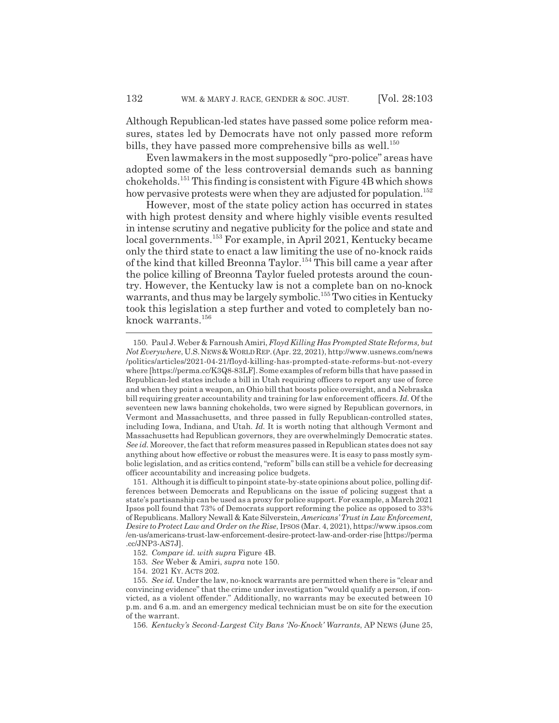Although Republican-led states have passed some police reform measures, states led by Democrats have not only passed more reform bills, they have passed more comprehensive bills as well.<sup>150</sup>

Even lawmakers in the most supposedly "pro-police" areas have adopted some of the less controversial demands such as banning chokeholds.151 This finding is consistent with Figure 4B which shows how pervasive protests were when they are adjusted for population.<sup>152</sup>

However, most of the state policy action has occurred in states with high protest density and where highly visible events resulted in intense scrutiny and negative publicity for the police and state and local governments.153 For example, in April 2021, Kentucky became only the third state to enact a law limiting the use of no-knock raids of the kind that killed Breonna Taylor.154 This bill came a year after the police killing of Breonna Taylor fueled protests around the country. However, the Kentucky law is not a complete ban on no-knock warrants, and thus may be largely symbolic.<sup>155</sup> Two cities in Kentucky took this legislation a step further and voted to completely ban noknock warrants.<sup>156</sup>

156. *Kentucky's Second-Largest City Bans 'No-Knock' Warrants*, AP NEWS (June 25,

<sup>150.</sup> Paul J. Weber & Farnoush Amiri, *Floyd Killing Has Prompted State Reforms, but Not Everywhere*, U.S.NEWS&WORLDREP.(Apr. 22, 2021), http://www.usnews.com/news /politics/articles/2021-04-21/floyd-killing-has-prompted-state-reforms-but-not-every where [https://perma.cc/K3Q8-83LF]. Some examples of reform bills that have passed in Republican-led states include a bill in Utah requiring officers to report any use of force and when they point a weapon, an Ohio bill that boosts police oversight, and a Nebraska bill requiring greater accountability and training for law enforcement officers. *Id.* Of the seventeen new laws banning chokeholds, two were signed by Republican governors, in Vermont and Massachusetts, and three passed in fully Republican-controlled states, including Iowa, Indiana, and Utah. *Id.* It is worth noting that although Vermont and Massachusetts had Republican governors, they are overwhelmingly Democratic states. *See id.* Moreover, the fact that reform measures passed in Republican states does not say anything about how effective or robust the measures were. It is easy to pass mostly symbolic legislation, and as critics contend, "reform" bills can still be a vehicle for decreasing officer accountability and increasing police budgets.

<sup>151.</sup> Although it is difficult to pinpoint state-by-state opinions about police, polling differences between Democrats and Republicans on the issue of policing suggest that a state's partisanship can be used as a proxy for police support. For example, a March 2021 Ipsos poll found that 73% of Democrats support reforming the police as opposed to 33% of Republicans. Mallory Newall & Kate Silverstein, *Americans' Trust in Law Enforcement, Desire to Protect Law and Order on the Rise*, IPSOS (Mar. 4, 2021), https://www.ipsos.com /en-us/americans-trust-law-enforcement-desire-protect-law-and-order-rise [https://perma .cc/JNP3-AS7J].

<sup>152.</sup> *Compare id. with supra* Figure 4B.

<sup>153.</sup> *See* Weber & Amiri, *supra* note 150.

<sup>154. 2021</sup> KY. ACTS 202.

<sup>155.</sup> *See id.* Under the law, no-knock warrants are permitted when there is "clear and convincing evidence" that the crime under investigation "would qualify a person, if convicted, as a violent offender." Additionally, no warrants may be executed between 10 p.m. and 6 a.m. and an emergency medical technician must be on site for the execution of the warrant.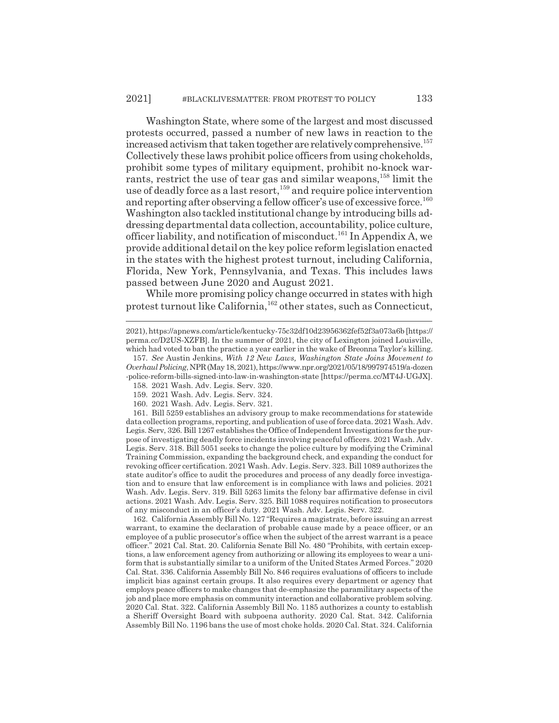Washington State, where some of the largest and most discussed protests occurred, passed a number of new laws in reaction to the increased activism that taken together are relatively comprehensive.<sup>157</sup> Collectively these laws prohibit police officers from using chokeholds, prohibit some types of military equipment, prohibit no-knock warrants, restrict the use of tear gas and similar weapons,<sup>158</sup> limit the use of deadly force as a last resort,<sup>159</sup> and require police intervention and reporting after observing a fellow officer's use of excessive force.<sup>160</sup> Washington also tackled institutional change by introducing bills addressing departmental data collection, accountability, police culture, officer liability, and notification of misconduct.<sup>161</sup> In Appendix A, we provide additional detail on the key police reform legislation enacted in the states with the highest protest turnout, including California, Florida, New York, Pennsylvania, and Texas. This includes laws passed between June 2020 and August 2021.

While more promising policy change occurred in states with high protest turnout like California,162 other states, such as Connecticut,

161. Bill 5259 establishes an advisory group to make recommendations for statewide data collection programs, reporting, and publication of use of force data. 2021 Wash. Adv. Legis. Serv, 326. Bill 1267 establishes the Office of Independent Investigations for the purpose of investigating deadly force incidents involving peaceful officers. 2021 Wash. Adv. Legis. Serv. 318. Bill 5051 seeks to change the police culture by modifying the Criminal Training Commission, expanding the background check, and expanding the conduct for revoking officer certification. 2021 Wash. Adv. Legis. Serv. 323. Bill 1089 authorizes the state auditor's office to audit the procedures and process of any deadly force investigation and to ensure that law enforcement is in compliance with laws and policies. 2021 Wash. Adv. Legis. Serv. 319. Bill 5263 limits the felony bar affirmative defense in civil actions. 2021 Wash. Adv. Legis. Serv. 325. Bill 1088 requires notification to prosecutors of any misconduct in an officer's duty. 2021 Wash. Adv. Legis. Serv. 322.

162. California Assembly Bill No. 127 "Requires a magistrate, before issuing an arrest warrant, to examine the declaration of probable cause made by a peace officer, or an employee of a public prosecutor's office when the subject of the arrest warrant is a peace officer." 2021 Cal. Stat. 20. California Senate Bill No. 480 "Prohibits, with certain exceptions, a law enforcement agency from authorizing or allowing its employees to wear a uniform that is substantially similar to a uniform of the United States Armed Forces." 2020 Cal. Stat. 336. California Assembly Bill No. 846 requires evaluations of officers to include implicit bias against certain groups. It also requires every department or agency that employs peace officers to make changes that de-emphasize the paramilitary aspects of the job and place more emphasis on community interaction and collaborative problem solving. 2020 Cal. Stat. 322. California Assembly Bill No. 1185 authorizes a county to establish a Sheriff Oversight Board with subpoena authority. 2020 Cal. Stat. 342. California Assembly Bill No. 1196 bans the use of most choke holds. 2020 Cal. Stat. 324. California

<sup>2021),</sup> https://apnews.com/article/kentucky-75c32df10d23956362fef52f3a073a6b [https:// perma.cc/D2US-XZFB]. In the summer of 2021, the city of Lexington joined Louisville, which had voted to ban the practice a year earlier in the wake of Breonna Taylor's killing.

<sup>157.</sup> *See* Austin Jenkins, *With 12 New Laws, Washington State Joins Movement to Overhaul Policing*, NPR (May 18, 2021), https://www.npr.org/2021/05/18/997974519/a-dozen -police-reform-bills-signed-into-law-in-washington-state [https://perma.cc/MT4J-UGJX].

<sup>158. 2021</sup> Wash. Adv. Legis. Serv. 320.

<sup>159. 2021</sup> Wash. Adv. Legis. Serv. 324.

<sup>160. 2021</sup> Wash. Adv. Legis. Serv. 321.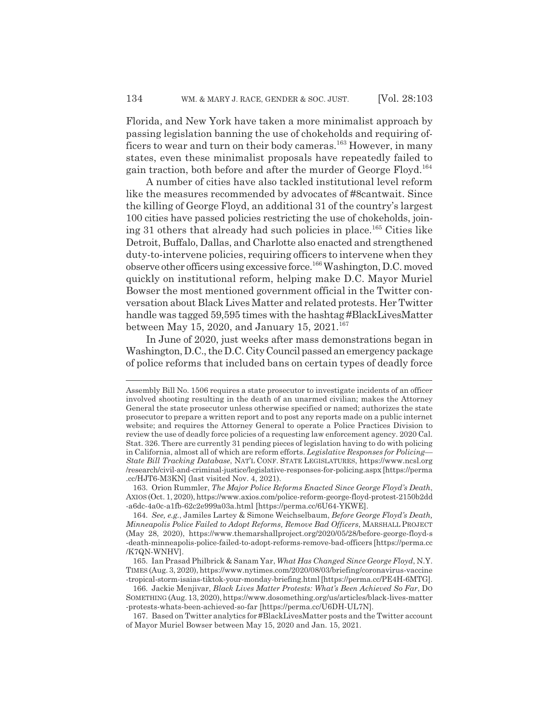Florida, and New York have taken a more minimalist approach by passing legislation banning the use of chokeholds and requiring officers to wear and turn on their body cameras.<sup>163</sup> However, in many states, even these minimalist proposals have repeatedly failed to gain traction, both before and after the murder of George Floyd.<sup>164</sup>

A number of cities have also tackled institutional level reform like the measures recommended by advocates of #8cantwait. Since the killing of George Floyd, an additional 31 of the country's largest 100 cities have passed policies restricting the use of chokeholds, joining 31 others that already had such policies in place.<sup>165</sup> Cities like Detroit, Buffalo, Dallas, and Charlotte also enacted and strengthened duty-to-intervene policies, requiring officers to intervene when they observe other officers using excessive force.166 Washington, D.C. moved quickly on institutional reform, helping make D.C. Mayor Muriel Bowser the most mentioned government official in the Twitter conversation about Black Lives Matter and related protests. Her Twitter handle was tagged 59,595 times with the hashtag #BlackLivesMatter between May 15, 2020, and January 15,  $2021$ .<sup>167</sup>

In June of 2020, just weeks after mass demonstrations began in Washington, D.C., the D.C. City Council passed an emergency package of police reforms that included bans on certain types of deadly force

Assembly Bill No. 1506 requires a state prosecutor to investigate incidents of an officer involved shooting resulting in the death of an unarmed civilian; makes the Attorney General the state prosecutor unless otherwise specified or named; authorizes the state prosecutor to prepare a written report and to post any reports made on a public internet website; and requires the Attorney General to operate a Police Practices Division to review the use of deadly force policies of a requesting law enforcement agency. 2020 Cal. Stat. 326. There are currently 31 pending pieces of legislation having to do with policing in California, almost all of which are reform efforts. *Legislative Responses for Policing— State Bill Tracking Database*, NAT'L CONF. STATE LEGISLATURES, https://www.ncsl.org /research/civil-and-criminal-justice/legislative-responses-for-policing.aspx [https://perma .cc/HJT6-M3KN] (last visited Nov. 4, 2021).

<sup>163.</sup> Orion Rummler, *The Major Police Reforms Enacted Since George Floyd's Death*, AXIOS (Oct. 1, 2020), https://www.axios.com/police-reform-george-floyd-protest-2150b2dd -a6dc-4a0c-a1fb-62c2e999a03a.html [https://perma.cc/6U64-YKWE].

<sup>164.</sup> *See, e.g.*, Jamiles Lartey & Simone Weichselbaum, *Before George Floyd's Death, Minneapolis Police Failed to Adopt Reforms, Remove Bad Officers*, MARSHALL PROJECT (May 28, 2020), https://www.themarshallproject.org/2020/05/28/before-george-floyd-s -death-minneapolis-police-failed-to-adopt-reforms-remove-bad-officers [https://perma.cc /K7QN-WNHV].

<sup>165.</sup> Ian Prasad Philbrick & Sanam Yar, *What Has Changed Since George Floyd*, N.Y. TIMES (Aug. 3, 2020), https://www.nytimes.com/2020/08/03/briefing/coronavirus-vaccine -tropical-storm-isaias-tiktok-your-monday-briefing.html [https://perma.cc/PE4H-6MTG].

<sup>166.</sup> Jackie Menjivar, *Black Lives Matter Protests: What's Been Achieved So Far*, DO SOMETHING (Aug. 13, 2020), https://www.dosomething.org/us/articles/black-lives-matter -protests-whats-been-achieved-so-far [https://perma.cc/U6DH-UL7N].

<sup>167.</sup> Based on Twitter analytics for #BlackLivesMatter posts and the Twitter account of Mayor Muriel Bowser between May 15, 2020 and Jan. 15, 2021.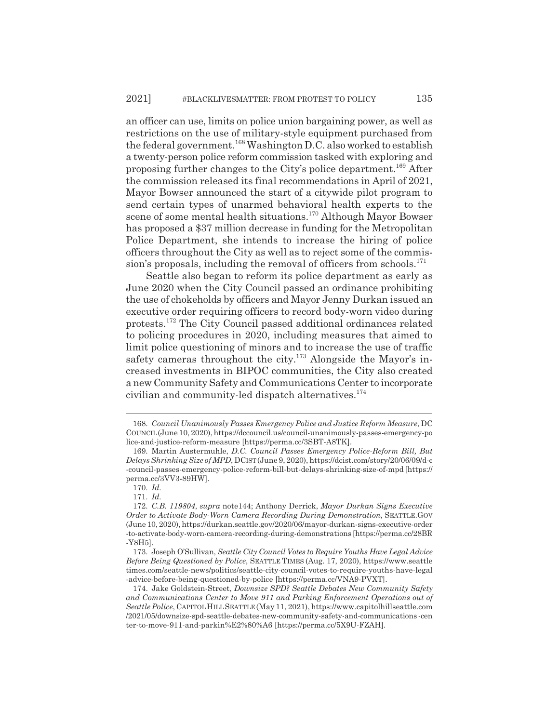an officer can use, limits on police union bargaining power, as well as restrictions on the use of military-style equipment purchased from the federal government.<sup>168</sup> Washington D.C. also worked to establish a twenty-person police reform commission tasked with exploring and proposing further changes to the City's police department.169 After the commission released its final recommendations in April of 2021, Mayor Bowser announced the start of a citywide pilot program to send certain types of unarmed behavioral health experts to the scene of some mental health situations.<sup>170</sup> Although Mayor Bowser has proposed a \$37 million decrease in funding for the Metropolitan Police Department, she intends to increase the hiring of police officers throughout the City as well as to reject some of the commission's proposals, including the removal of officers from schools.<sup>171</sup>

Seattle also began to reform its police department as early as June 2020 when the City Council passed an ordinance prohibiting the use of chokeholds by officers and Mayor Jenny Durkan issued an executive order requiring officers to record body-worn video during protests.172 The City Council passed additional ordinances related to policing procedures in 2020, including measures that aimed to limit police questioning of minors and to increase the use of traffic safety cameras throughout the city.<sup>173</sup> Alongside the Mayor's increased investments in BIPOC communities, the City also created a new Community Safety and Communications Center to incorporate civilian and community-led dispatch alternatives.174

<sup>168.</sup> *Council Unanimously Passes Emergency Police and Justice Reform Measure*, DC COUNCIL(June 10, 2020), https://dccouncil.us/council-unanimously-passes-emergency-po lice-and-justice-reform-measure [https://perma.cc/3SBT-A8TK].

<sup>169.</sup> Martin Austermuhle, *D.C. Council Passes Emergency Police-Reform Bill, But Delays Shrinking Size of MPD*, DCIST(June 9, 2020), https://dcist.com/story/20/06/09/d-c -council-passes-emergency-police-reform-bill-but-delays-shrinking-size-of-mpd [https:// perma.cc/3VV3-89HW].

<sup>170.</sup> *Id.*

<sup>171.</sup> *Id.*

<sup>172.</sup> *C.B. 119804*, *supra* note144; Anthony Derrick, *Mayor Durkan Signs Executive Order to Activate Body-Worn Camera Recording During Demonstration*, SEATTLE.GOV (June 10, 2020), https://durkan.seattle.gov/2020/06/mayor-durkan-signs-executive-order -to-activate-body-worn-camera-recording-during-demonstrations [https://perma.cc/28BR -Y8H5].

<sup>173.</sup> Joseph O'Sullivan, *Seattle City Council Votes to Require Youths Have Legal Advice Before Being Questioned by Police*, SEATTLE TIMES (Aug. 17, 2020), https://www.seattle times.com/seattle-news/politics/seattle-city-council-votes-to-require-youths-have-legal -advice-before-being-questioned-by-police [https://perma.cc/VNA9-PVXT].

<sup>174.</sup> Jake Goldstein-Street, *Downsize SPD? Seattle Debates New Community Safety and Communications Center to Move 911 and Parking Enforcement Operations out of Seattle Police*, CAPITOLHILLSEATTLE (May 11, 2021), https://www.capitolhillseattle.com /2021/05/downsize-spd-seattle-debates-new-community-safety-and-communications -cen ter-to-move-911-and-parkin%E2%80%A6 [https://perma.cc/5X9U-FZAH].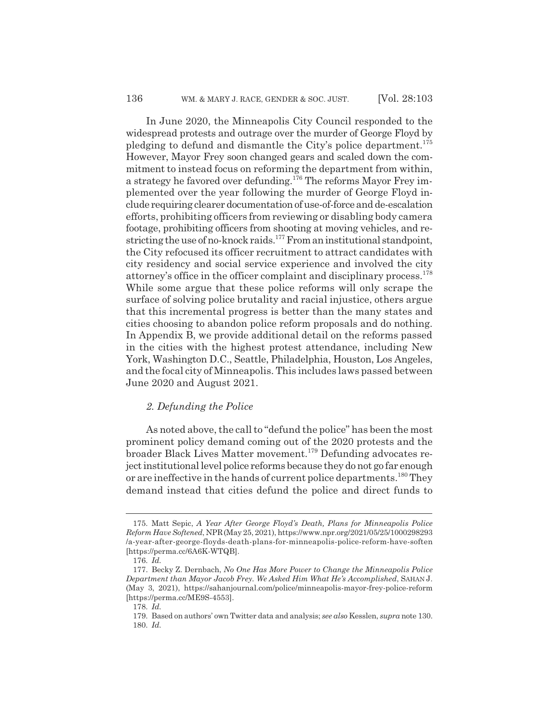In June 2020, the Minneapolis City Council responded to the widespread protests and outrage over the murder of George Floyd by pledging to defund and dismantle the City's police department.<sup>175</sup> However, Mayor Frey soon changed gears and scaled down the commitment to instead focus on reforming the department from within, a strategy he favored over defunding.176 The reforms Mayor Frey implemented over the year following the murder of George Floyd include requiring clearer documentation of use-of-force and de-escalation efforts, prohibiting officers from reviewing or disabling body camera footage, prohibiting officers from shooting at moving vehicles, and restricting the use of no-knock raids.177 From an institutional standpoint, the City refocused its officer recruitment to attract candidates with city residency and social service experience and involved the city attorney's office in the officer complaint and disciplinary process.178 While some argue that these police reforms will only scrape the surface of solving police brutality and racial injustice, others argue that this incremental progress is better than the many states and cities choosing to abandon police reform proposals and do nothing. In Appendix B, we provide additional detail on the reforms passed in the cities with the highest protest attendance, including New York, Washington D.C., Seattle, Philadelphia, Houston, Los Angeles, and the focal city of Minneapolis. This includes laws passed between June 2020 and August 2021.

#### *2. Defunding the Police*

As noted above, the call to "defund the police" has been the most prominent policy demand coming out of the 2020 protests and the broader Black Lives Matter movement.179 Defunding advocates reject institutional level police reforms because they do not go far enough or are ineffective in the hands of current police departments.<sup>180</sup> They demand instead that cities defund the police and direct funds to

<sup>175.</sup> Matt Sepic, *A Year After George Floyd's Death, Plans for Minneapolis Police Reform Have Softened*, NPR(May 25, 2021), https://www.npr.org/2021/05/25/1000298293 /a-year-after-george-floyds-death-plans-for-minneapolis-police-reform-have-soften [https://perma.cc/6A6K-WTQB].

<sup>176.</sup> *Id.*

<sup>177.</sup> Becky Z. Dernbach, *No One Has More Power to Change the Minneapolis Police Department than Mayor Jacob Frey. We Asked Him What He's Accomplished*, SAHAN J. (May 3, 2021), https://sahanjournal.com/police/minneapolis-mayor-frey-police-reform [https://perma.cc/ME9S-4553].

<sup>178.</sup> *Id.*

<sup>179.</sup> Based on authors' own Twitter data and analysis; *see also* Kesslen, *supra* note 130. 180. *Id.*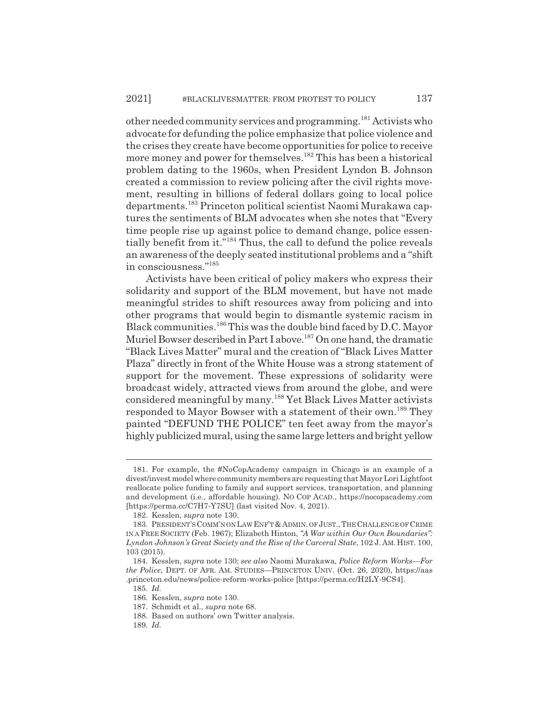other needed community services and programming.181 Activists who advocate for defunding the police emphasize that police violence and the crises they create have become opportunities for police to receive more money and power for themselves.<sup>182</sup> This has been a historical problem dating to the 1960s, when President Lyndon B. Johnson created a commission to review policing after the civil rights movement, resulting in billions of federal dollars going to local police departments.183 Princeton political scientist Naomi Murakawa captures the sentiments of BLM advocates when she notes that "Every time people rise up against police to demand change, police essentially benefit from it."184 Thus, the call to defund the police reveals an awareness of the deeply seated institutional problems and a "shift in consciousness."185

Activists have been critical of policy makers who express their solidarity and support of the BLM movement, but have not made meaningful strides to shift resources away from policing and into other programs that would begin to dismantle systemic racism in Black communities.186 This was the double bind faced by D.C. Mayor Muriel Bowser described in Part I above.<sup>187</sup> On one hand, the dramatic "Black Lives Matter" mural and the creation of "Black Lives Matter Plaza" directly in front of the White House was a strong statement of support for the movement. These expressions of solidarity were broadcast widely, attracted views from around the globe, and were considered meaningful by many.188 Yet Black Lives Matter activists responded to Mayor Bowser with a statement of their own.189 They painted "DEFUND THE POLICE" ten feet away from the mayor's highly publicized mural, using the same large letters and bright yellow

<sup>181.</sup> For example, the #NoCopAcademy campaign in Chicago is an example of a divest/invest model where community members are requesting that Mayor Lori Lightfoot reallocate police funding to family and support services, transportation, and planning and development (i.e., affordable housing). NO COP ACAD., https://nocopacademy.com [https://perma.cc/C7H7-Y7SU] (last visited Nov. 4, 2021).

<sup>182.</sup> Kesslen, *supra* note 130.

<sup>183.</sup> PRESIDENT'S COMM'N ON LAW ENF'T & ADMIN. OF JUST., THE CHALLENGE OF CRIME IN A FREE SOCIETY (Feb. 1967); Elizabeth Hinton, *"A War within Our Own Boundaries": Lyndon Johnson's Great Society and the Rise of the Carceral State*, 102 J. AM. HIST. 100, 103 (2015).

<sup>184.</sup> Kesslen, *supra* note 130; *see also* Naomi Murakawa, *Police Reform Works—For the Police*, DEPT. OF AFR. AM. STUDIES—PRINCETON UNIV. (Oct. 26, 2020), https://aas .princeton.edu/news/police-reform-works-police [https://perma.cc/H2LY-9CS4].

<sup>185.</sup> *Id.*

<sup>186.</sup> Kesslen, *supra* note 130.

<sup>187.</sup> Schmidt et al., *supra* note 68.

<sup>188.</sup> Based on authors' own Twitter analysis.

<sup>189.</sup> *Id.*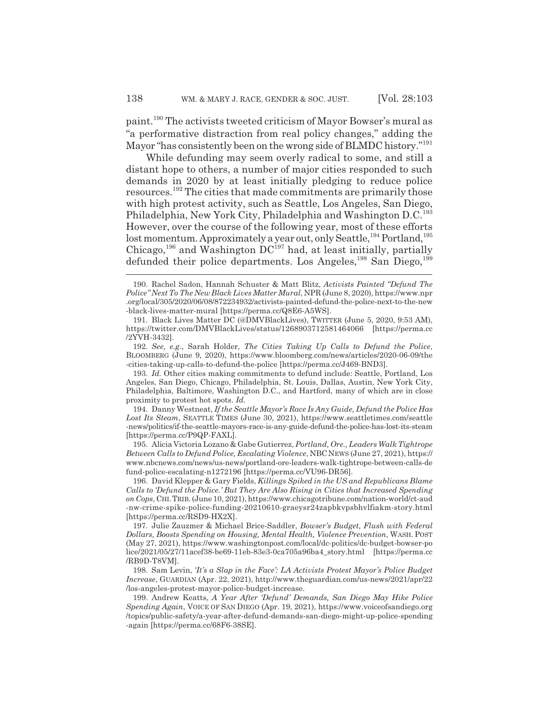paint.190 The activists tweeted criticism of Mayor Bowser's mural as "a performative distraction from real policy changes," adding the Mayor "has consistently been on the wrong side of BLMDC history."<sup>191</sup>

While defunding may seem overly radical to some, and still a distant hope to others, a number of major cities responded to such demands in 2020 by at least initially pledging to reduce police resources.192 The cities that made commitments are primarily those with high protest activity, such as Seattle, Los Angeles, San Diego, Philadelphia, New York City, Philadelphia and Washington D.C.193 However, over the course of the following year, most of these efforts lost momentum. Approximately a year out, only Seattle, <sup>194</sup> Portland, <sup>195</sup> Chicago,<sup>196</sup> and Washington  $DC^{197}$  had, at least initially, partially defunded their police departments. Los Angeles,<sup>198</sup> San Diego,<sup>199</sup>

195. Alicia Victoria Lozano & Gabe Gutierrez, *Portland, Ore., Leaders Walk Tightrope Between Calls to Defund Police, Escalating Violence*, NBC NEWS (June 27, 2021), https:// www.nbcnews.com/news/us-news/portland-ore-leaders-walk-tightrope-between-calls-de fund-police-escalating-n1272196 [https://perma.cc/VU96-DR56].

196. David Klepper & Gary Fields, *Killings Spiked in the US and Republicans Blame Calls to 'Defund the Police.' But They Are Also Rising in Cities that Increased Spending on Cops*, CHI.TRIB. (June 10, 2021), https://www.chicagotribune.com/nation-world/ct-aud -nw-crime-spike-police-funding-20210610-graeysr24zapbkvpsbhvlfiakm-story.html [https://perma.cc/RSD9-HX2X].

198. Sam Levin, *'It's a Slap in the Face': LA Activists Protest Mayor's Police Budget Increase*, GUARDIAN (Apr. 22, 2021), http://www.theguardian.com/us-news/2021/apr/22 /los-angeles-protest-mayor-police-budget-increase.

199. Andrew Keatts, *A Year After 'Defund' Demands, San Diego May Hike Police Spending Again*, VOICE OF SAN DIEGO (Apr. 19, 2021), https://www.voiceofsandiego.org /topics/public-safety/a-year-after-defund-demands-san-diego-might-up-police-spending -again [https://perma.cc/68F6-38SE].

<sup>190.</sup> Rachel Sadon, Hannah Schuster & Matt Blitz, *Activists Painted "Defund The Police" Next To The New Black Lives Matter Mural*, NPR (June 8, 2020), https://www.npr .org/local/305/2020/06/08/872234932/activists-painted-defund-the-police-next-to-the-new -black-lives-matter-mural [https://perma.cc/Q8E6-A5WS].

<sup>191.</sup> Black Lives Matter DC (@DMVBlackLives), TWITTER (June 5, 2020, 9:53 AM), https://twitter.com/DMVBlackLives/status/1268903712581464066 [https://perma.cc /2YVH-3432].

<sup>192.</sup> *See, e.g.*, Sarah Holder, *The Cities Taking Up Calls to Defund the Police*, BLOOMBERG (June 9, 2020), https://www.bloomberg.com/news/articles/2020-06-09/the -cities-taking-up-calls-to-defund-the-police [https://perma.cc/J469-BND3].

<sup>193.</sup> *Id.* Other cities making commitments to defund include: Seattle, Portland, Los Angeles, San Diego, Chicago, Philadelphia, St. Louis, Dallas, Austin, New York City, Philadelphia, Baltimore, Washington D.C., and Hartford, many of which are in close proximity to protest hot spots. *Id.*

<sup>194.</sup> Danny Westneat, *If the Seattle Mayor's Race Is Any Guide, Defund the Police Has* Lost Its Steam, SEATTLE TIMES (June 30, 2021), https://www.seattletimes.com/seattle -news/politics/if-the-seattle-mayors-race-is-any-guide-defund-the-police-has-lost-its-steam [https://perma.cc/P9QP-FAXL].

<sup>197.</sup> Julie Zauzmer & Michael Brice-Saddler, *Bowser's Budget, Flush with Federal Dollars, Boosts Spending on Housing, Mental Health, Violence Prevention*, WASH. POST (May 27, 2021), https://www.washingtonpost.com/local/dc-politics/dc-budget-bowser-po lice/2021/05/27/11acef38-be69-11eb-83e3-0ca705a96ba4\_story.html [https://perma.cc /RB9D-T8VM].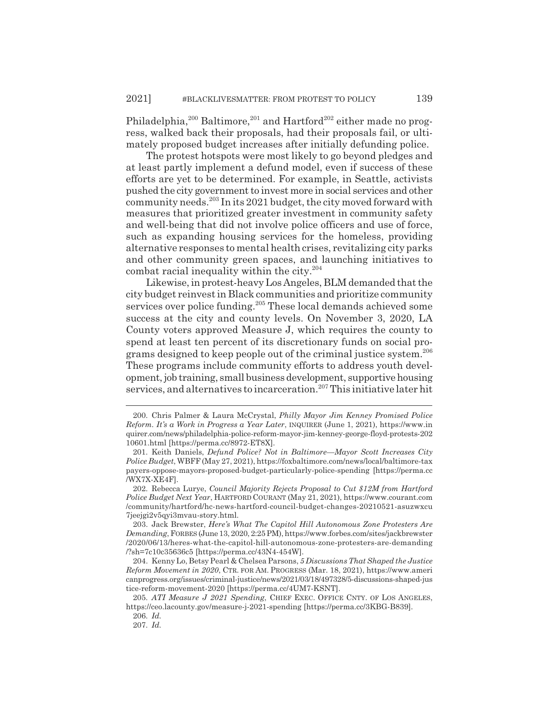Philadelphia, $200$  Baltimore, $201$  and Hartford $202$  either made no progress, walked back their proposals, had their proposals fail, or ultimately proposed budget increases after initially defunding police.

The protest hotspots were most likely to go beyond pledges and at least partly implement a defund model, even if success of these efforts are yet to be determined. For example, in Seattle, activists pushed the city government to invest more in social services and other community needs.203 In its 2021 budget, the city moved forward with measures that prioritized greater investment in community safety and well-being that did not involve police officers and use of force, such as expanding housing services for the homeless, providing alternative responses to mental health crises, revitalizing city parks and other community green spaces, and launching initiatives to combat racial inequality within the city.204

Likewise, in protest-heavy Los Angeles, BLM demanded that the city budget reinvest in Black communities and prioritize community services over police funding.<sup>205</sup> These local demands achieved some success at the city and county levels. On November 3, 2020, LA County voters approved Measure J, which requires the county to spend at least ten percent of its discretionary funds on social programs designed to keep people out of the criminal justice system.206 These programs include community efforts to address youth development, job training, small business development, supportive housing services, and alternatives to incarceration.<sup>207</sup> This initiative later hit

206. *Id.*

<sup>200.</sup> Chris Palmer & Laura McCrystal, *Philly Mayor Jim Kenney Promised Police Reform. It's a Work in Progress a Year Later*, INQUIRER (June 1, 2021), https://www.in quirer.com/news/philadelphia-police-reform-mayor-jim-kenney-george-floyd-protests-202 10601.html [https://perma.cc/8972-ET8X].

<sup>201.</sup> Keith Daniels, *Defund Police? Not in Baltimore—Mayor Scott Increases City Police Budget*, WBFF (May 27, 2021), https://foxbaltimore.com/news/local/baltimore-tax payers-oppose-mayors-proposed-budget-particularly-police-spending [https://perma.cc /WX7X-XE4F].

<sup>202.</sup> Rebecca Lurye, *Council Majority Rejects Proposal to Cut \$12M from Hartford Police Budget Next Year*, HARTFORD COURANT (May 21, 2021), https://www.courant.com /community/hartford/hc-news-hartford-council-budget-changes-20210521-asuzwxcu 7jeejgi2v5qyi3mvau-story.html.

<sup>203.</sup> Jack Brewster, *Here's What The Capitol Hill Autonomous Zone Protesters Are Demanding*, FORBES (June 13, 2020, 2:25 PM), https://www.forbes.com/sites/jackbrewster /2020/06/13/heres-what-the-capitol-hill-autonomous-zone-protesters-are-demanding /?sh=7c10c35636c5 [https://perma.cc/43N4-454W].

<sup>204.</sup> Kenny Lo, Betsy Pearl & Chelsea Parsons, *5 Discussions That Shaped the Justice Reform Movement in 2020*, CTR. FOR AM. PROGRESS (Mar. 18, 2021), https://www.ameri canprogress.org/issues/criminal-justice/news/2021/03/18/497328/5-discussions-shaped-jus tice-reform-movement-2020 [https://perma.cc/4UM7-KSNT].

<sup>205.</sup> *ATI Measure J 2021 Spending*, CHIEF EXEC. OFFICE CNTY. OF LOS ANGELES, https://ceo.lacounty.gov/measure-j-2021-spending [https://perma.cc/3KBG-B839].

<sup>207.</sup> *Id.*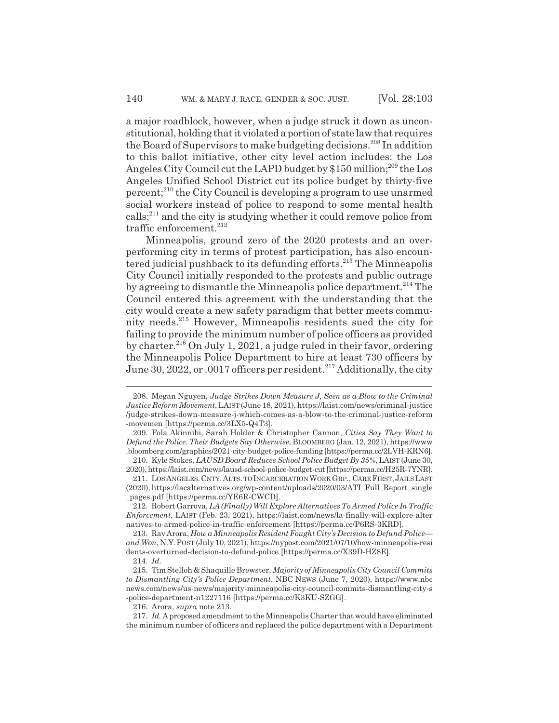a major roadblock, however, when a judge struck it down as unconstitutional, holding that it violated a portion of state law that requires the Board of Supervisors to make budgeting decisions.<sup>208</sup> In addition to this ballot initiative, other city level action includes: the Los Angeles City Council cut the LAPD budget by  $$150$  million;<sup>209</sup> the Los Angeles Unified School District cut its police budget by thirty-five percent;210 the City Council is developing a program to use unarmed social workers instead of police to respond to some mental health calls;211 and the city is studying whether it could remove police from traffic enforcement.<sup>212</sup>

Minneapolis, ground zero of the 2020 protests and an overperforming city in terms of protest participation, has also encountered judicial pushback to its defunding efforts.<sup>213</sup> The Minneapolis City Council initially responded to the protests and public outrage by agreeing to dismantle the Minneapolis police department.<sup>214</sup> The Council entered this agreement with the understanding that the city would create a new safety paradigm that better meets community needs.215 However, Minneapolis residents sued the city for failing to provide the minimum number of police officers as provided by charter.<sup>216</sup> On July 1, 2021, a judge ruled in their favor, ordering the Minneapolis Police Department to hire at least 730 officers by June 30, 2022, or .0017 officers per resident.<sup>217</sup> Additionally, the city

210. Kyle Stokes, *LAUSD Board Reduces School Police Budget By 35%*, LAIST (June 30, 2020), https://laist.com/news/lausd-school-police-budget-cut [https://perma.cc/H25R-7YNR].

212. Robert Garrova, *LA (Finally) Will Explore Alternatives To Armed Police In Traffic Enforcement*, LAIST (Feb. 23, 2021), https://laist.com/news/la-finally-will-explore-alter natives-to-armed-police-in-traffic-enforcement [https://perma.cc/P6RS-3KRD].

213. Rav Arora, *How a Minneapolis Resident Fought City's Decision to Defund Police and Won*, N.Y.POST (July 10, 2021), https://nypost.com/2021/07/10/how-minneapolis-resi dents-overturned-decision-to-defund-police [https://perma.cc/X39D-HZ8E].

216. Arora, *supra* note 213.

<sup>208.</sup> Megan Nguyen, *Judge Strikes Down Measure J, Seen as a Blow to the Criminal Justice Reform Movement*, LAIST (June 18, 2021), https://laist.com/news/criminal-justice /judge-strikes-down-measure-j-which-comes-as-a-blow-to-the-criminal-justice-reform -movemen [https://perma.cc/3LX5-Q4T3].

<sup>209.</sup> Fola Akinnibi, Sarah Holder & Christopher Cannon, *Cities Say They Want to Defund the Police. Their Budgets Say Otherwise*, BLOOMBERG (Jan. 12, 2021), https://www .bloomberg.com/graphics/2021-city-budget-police-funding [https://perma.cc/2LVH-KRN6].

<sup>211.</sup> LOSANGELES.CNTY.ALTS. TO INCARCERATION WORK GRP., CARE FIRST,JAILSLAST (2020), https://lacalternatives.org/wp-content/uploads/2020/03/ATI\_Full\_Report\_single \_pages.pdf [https://perma.cc/YE6R-CWCD].

<sup>214.</sup> *Id.*

<sup>215.</sup> Tim Stelloh & Shaquille Brewster, *Majority of Minneapolis City Council Commits to Dismantling City's Police Department*, NBC NEWS (June 7, 2020), https://www.nbc news.com/news/us-news/majority-minneapolis-city-council-commits-dismantling-city-s -police-department-n1227116 [https://perma.cc/K3KU-SZGG].

<sup>217.</sup> *Id.* A proposed amendment to the Minneapolis Charter that would have eliminated the minimum number of officers and replaced the police department with a Department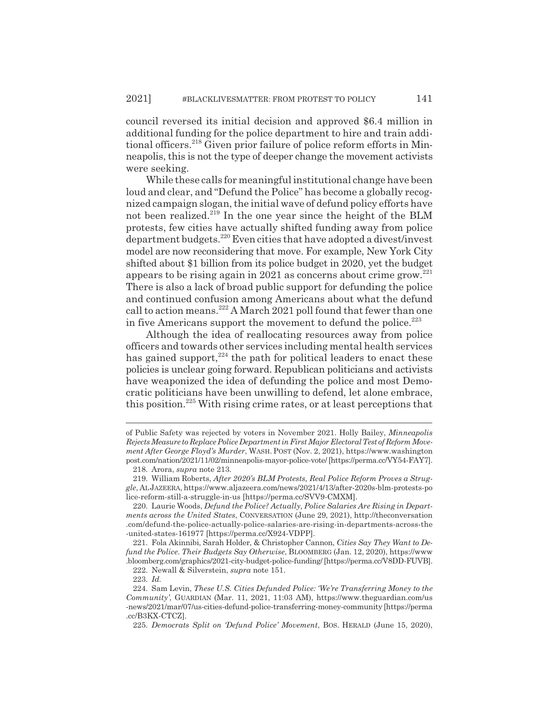council reversed its initial decision and approved \$6.4 million in additional funding for the police department to hire and train additional officers.<sup>218</sup> Given prior failure of police reform efforts in Minneapolis, this is not the type of deeper change the movement activists were seeking.

While these calls for meaningful institutional change have been loud and clear, and "Defund the Police" has become a globally recognized campaign slogan, the initial wave of defund policy efforts have not been realized.<sup>219</sup> In the one year since the height of the BLM protests, few cities have actually shifted funding away from police department budgets.220 Even cities that have adopted a divest/invest model are now reconsidering that move. For example, New York City shifted about \$1 billion from its police budget in 2020, yet the budget appears to be rising again in 2021 as concerns about crime grow.221 There is also a lack of broad public support for defunding the police and continued confusion among Americans about what the defund call to action means.<sup>222</sup> A March 2021 poll found that fewer than one in five Americans support the movement to defund the police. $223$ 

Although the idea of reallocating resources away from police officers and towards other services including mental health services has gained support, $224$  the path for political leaders to enact these policies is unclear going forward. Republican politicians and activists have weaponized the idea of defunding the police and most Democratic politicians have been unwilling to defend, let alone embrace, this position.225 With rising crime rates, or at least perceptions that

of Public Safety was rejected by voters in November 2021. Holly Bailey, *Minneapolis Rejects Measure to Replace Police Department in First Major Electoral Test of Reform Movement After George Floyd's Murder*, WASH. POST (Nov. 2, 2021), https://www.washington post.com/nation/2021/11/02/minneapolis-mayor-police-vote/ [https://perma.cc/VY54-FAY7].

<sup>218.</sup> Arora, *supra* note 213.

<sup>219.</sup> William Roberts, *After 2020's BLM Protests, Real Police Reform Proves a Struggle*, ALJAZEERA, https://www.aljazeera.com/news/2021/4/13/after-2020s-blm-protests-po lice-reform-still-a-struggle-in-us [https://perma.cc/SVV9-CMXM].

<sup>220.</sup> Laurie Woods, *Defund the Police? Actually, Police Salaries Are Rising in Departments across the United States*, CONVERSATION (June 29, 2021), http://theconversation .com/defund-the-police-actually-police-salaries-are-rising-in-departments-across-the -united-states-161977 [https://perma.cc/X924-VDPP].

<sup>221.</sup> Fola Akinnibi, Sarah Holder, & Christopher Cannon, *Cities Say They Want to Defund the Police. Their Budgets Say Otherwise*, BLOOMBERG (Jan. 12, 2020), https://www .bloomberg.com/graphics/2021-city-budget-police-funding/ [https://perma.cc/V8DD-FUVB].

<sup>222.</sup> Newall & Silverstein, *supra* note 151.

<sup>223.</sup> *Id.*

<sup>224.</sup> Sam Levin, *These U.S. Cities Defunded Police: 'We're Transferring Money to the Community'*, GUARDIAN (Mar. 11, 2021, 11:03 AM), https://www.theguardian.com/us -news/2021/mar/07/us-cities-defund-police-transferring-money-community [https://perma .cc/B3KX-CTCZ].

<sup>225.</sup> *Democrats Split on 'Defund Police' Movement*, BOS. HERALD (June 15, 2020),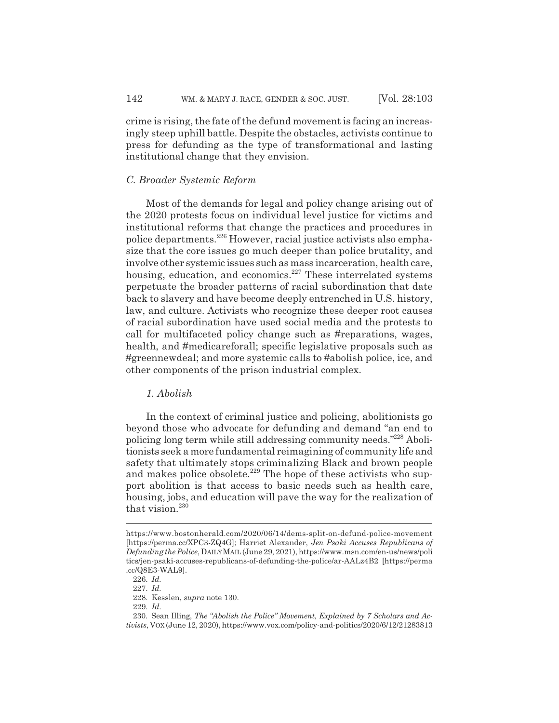crime is rising, the fate of the defund movement is facing an increasingly steep uphill battle. Despite the obstacles, activists continue to press for defunding as the type of transformational and lasting institutional change that they envision.

#### *C. Broader Systemic Reform*

Most of the demands for legal and policy change arising out of the 2020 protests focus on individual level justice for victims and institutional reforms that change the practices and procedures in police departments.226 However, racial justice activists also emphasize that the core issues go much deeper than police brutality, and involve other systemic issues such as mass incarceration, health care, housing, education, and economics.<sup>227</sup> These interrelated systems perpetuate the broader patterns of racial subordination that date back to slavery and have become deeply entrenched in U.S. history, law, and culture. Activists who recognize these deeper root causes of racial subordination have used social media and the protests to call for multifaceted policy change such as #reparations, wages, health, and #medicareforall; specific legislative proposals such as #greennewdeal; and more systemic calls to #abolish police, ice, and other components of the prison industrial complex.

### *1. Abolish*

In the context of criminal justice and policing, abolitionists go beyond those who advocate for defunding and demand "an end to policing long term while still addressing community needs."228 Abolitionists seek a more fundamental reimagining of community life and safety that ultimately stops criminalizing Black and brown people and makes police obsolete.<sup>229</sup> The hope of these activists who support abolition is that access to basic needs such as health care, housing, jobs, and education will pave the way for the realization of that vision.<sup>230</sup>

https://www.bostonherald.com/2020/06/14/dems-split-on-defund-police-movement [https://perma.cc/XPC3-ZQ4G]; Harriet Alexander, *Jen Psaki Accuses Republicans of Defunding the Police*, DAILYMAIL (June 29, 2021), https://www.msn.com/en-us/news/poli tics/jen-psaki-accuses-republicans-of-defunding-the-police/ar-AALz4B2 [https://perma .cc/Q8E3-WAL9].

<sup>226.</sup> *Id.*

<sup>227.</sup> *Id.*

<sup>228.</sup> Kesslen, *supra* note 130.

<sup>229.</sup> *Id.*

<sup>230.</sup> Sean Illing, *The "Abolish the Police" Movement, Explained by 7 Scholars and Activists*, VOX (June 12, 2020), https://www.vox.com/policy-and-politics/2020/6/12/21283813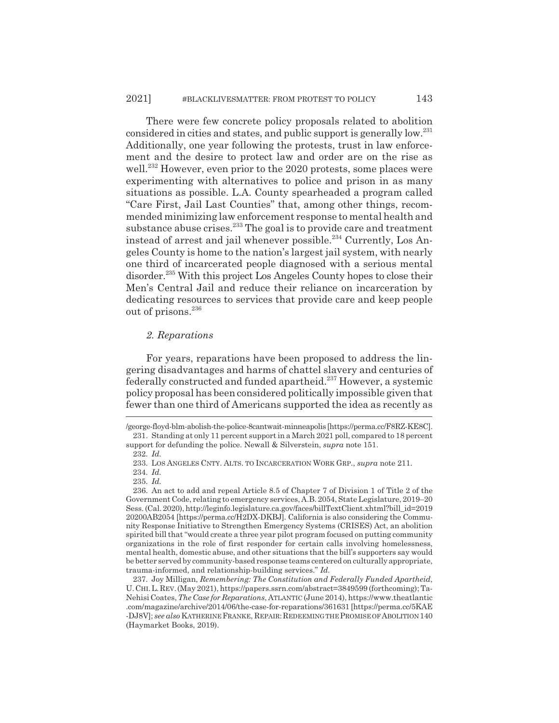There were few concrete policy proposals related to abolition considered in cities and states, and public support is generally low.231 Additionally, one year following the protests, trust in law enforcement and the desire to protect law and order are on the rise as well.<sup>232</sup> However, even prior to the 2020 protests, some places were experimenting with alternatives to police and prison in as many situations as possible. L.A. County spearheaded a program called "Care First, Jail Last Counties" that, among other things, recommended minimizing law enforcement response to mental health and substance abuse crises.<sup>233</sup> The goal is to provide care and treatment instead of arrest and jail whenever possible.<sup>234</sup> Currently, Los Angeles County is home to the nation's largest jail system, with nearly one third of incarcerated people diagnosed with a serious mental disorder.235 With this project Los Angeles County hopes to close their Men's Central Jail and reduce their reliance on incarceration by dedicating resources to services that provide care and keep people out of prisons.<sup>236</sup>

### *2. Reparations*

For years, reparations have been proposed to address the lingering disadvantages and harms of chattel slavery and centuries of federally constructed and funded apartheid.<sup>237</sup> However, a systemic policy proposal has been considered politically impossible given that fewer than one third of Americans supported the idea as recently as

<sup>/</sup>george-floyd-blm-abolish-the-police-8cantwait-minneapolis [https://perma.cc/F8RZ-KE8C]. 231. Standing at only 11 percent support in a March 2021 poll, compared to 18 percent support for defunding the police. Newall & Silverstein, *supra* note 151.

<sup>232.</sup> *Id.*

<sup>233.</sup> LOS ANGELES CNTY. ALTS. TO INCARCERATION WORK GRP., *supra* note 211.

<sup>234.</sup> *Id.*

<sup>235.</sup> *Id.*

<sup>236.</sup> An act to add and repeal Article 8.5 of Chapter 7 of Division 1 of Title 2 of the Government Code, relating to emergency services, A.B. 2054, State Legislature, 2019–20 Sess. (Cal. 2020), http://leginfo.legislature.ca.gov/faces/billTextClient.xhtml?bill\_id=2019 20200AB2054 [https://perma.cc/H2DX-DKBJ]. California is also considering the Community Response Initiative to Strengthen Emergency Systems (CRISES) Act, an abolition spirited bill that "would create a three year pilot program focused on putting community organizations in the role of first responder for certain calls involving homelessness, mental health, domestic abuse, and other situations that the bill's supporters say would be better served by community-based response teams centered on culturally appropriate, trauma-informed, and relationship-building services." *Id.*

<sup>237.</sup> Joy Milligan, *Remembering: The Constitution and Federally Funded Apartheid*, U.CHI.L.REV.(May 2021), https://papers.ssrn.com/abstract=3849599 (forthcoming); Ta-Nehisi Coates, *The Case for Reparations*, ATLANTIC (June 2014), https://www.theatlantic .com/magazine/archive/2014/06/the-case-for-reparations/361631 [https://perma.cc/5KAE -DJ8V]; *see also* KATHERINE FRANKE, REPAIR:REDEEMING THE PROMISE OF ABOLITION 140 (Haymarket Books, 2019).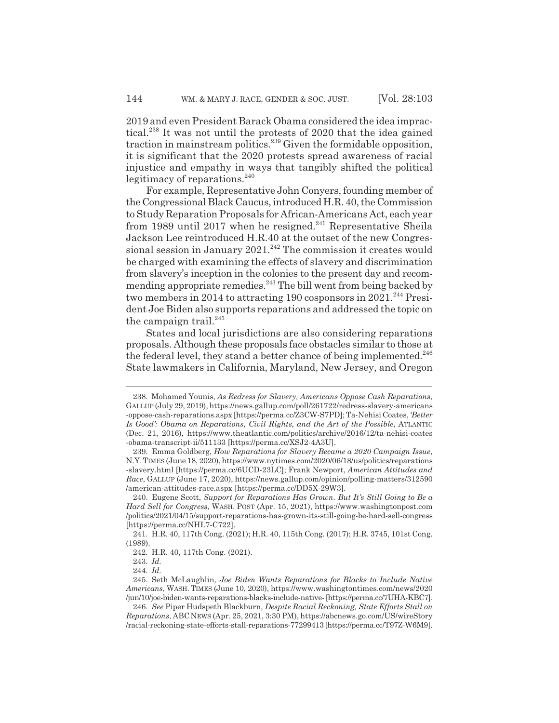2019 and even President Barack Obama considered the idea impractical.<sup>238</sup> It was not until the protests of 2020 that the idea gained traction in mainstream politics.<sup>239</sup> Given the formidable opposition, it is significant that the 2020 protests spread awareness of racial injustice and empathy in ways that tangibly shifted the political legitimacy of reparations.<sup>240</sup>

For example, Representative John Conyers, founding member of the Congressional Black Caucus, introduced H.R. 40, the Commission to Study Reparation Proposals for African-Americans Act, each year from 1989 until 2017 when he resigned.<sup>241</sup> Representative Sheila Jackson Lee reintroduced H.R.40 at the outset of the new Congressional session in January  $2021$ .<sup>242</sup> The commission it creates would be charged with examining the effects of slavery and discrimination from slavery's inception in the colonies to the present day and recommending appropriate remedies.<sup>243</sup> The bill went from being backed by two members in 2014 to attracting 190 cosponsors in  $2021$ .<sup>244</sup> President Joe Biden also supports reparations and addressed the topic on the campaign trail. $245$ 

States and local jurisdictions are also considering reparations proposals. Although these proposals face obstacles similar to those at the federal level, they stand a better chance of being implemented. $246$ State lawmakers in California, Maryland, New Jersey, and Oregon

<sup>238.</sup> Mohamed Younis, *As Redress for Slavery, Americans Oppose Cash Reparations*, GALLUP (July 29, 2019), https://news.gallup.com/poll/261722/redress-slavery-americans -oppose-cash-reparations.aspx [https://perma.cc/Z3CW-S7PD]; Ta-Nehisi Coates, *'Better Is Good': Obama on Reparations, Civil Rights, and the Art of the Possible*, ATLANTIC (Dec. 21, 2016), https://www.theatlantic.com/politics/archive/2016/12/ta-nehisi-coates -obama-transcript-ii/511133 [https://perma.cc/XSJ2-4A3U].

<sup>239.</sup> Emma Goldberg, *How Reparations for Slavery Became a 2020 Campaign Issue*, N.Y.TIMES (June 18, 2020), https://www.nytimes.com/2020/06/18/us/politics/reparations -slavery.html [https://perma.cc/6UCD-23LC]; Frank Newport, *American Attitudes and Race*, GALLUP (June 17, 2020), https://news.gallup.com/opinion/polling-matters/312590 /american-attitudes-race.aspx [https://perma.cc/DD5X-29W3].

<sup>240.</sup> Eugene Scott, *Support for Reparations Has Grown. But It's Still Going to Be a Hard Sell for Congress*, WASH. POST (Apr. 15, 2021), https://www.washingtonpost.com /politics/2021/04/15/support-reparations-has-grown-its-still-going-be-hard-sell-congress [https://perma.cc/NHL7-C722].

<sup>241.</sup> H.R. 40, 117th Cong. (2021); H.R. 40, 115th Cong. (2017); H.R. 3745, 101st Cong. (1989).

<sup>242.</sup> H.R. 40, 117th Cong. (2021).

<sup>243.</sup> *Id.*

<sup>244.</sup> *Id.*

<sup>245.</sup> Seth McLaughlin, *Joe Biden Wants Reparations for Blacks to Include Native Americans*, WASH. TIMES (June 10, 2020), https://www.washingtontimes.com/news/2020 /jun/10/joe-biden-wants-reparations-blacks-include-native- [https://perma.cc/7UHA-KBC7].

<sup>246.</sup> *See* Piper Hudspeth Blackburn, *Despite Racial Reckoning, State Efforts Stall on Reparations*, ABCNEWS (Apr. 25, 2021, 3:30 PM), https://abcnews.go.com/US/wireStory /racial-reckoning-state-efforts-stall-reparations-77299413 [https://perma.cc/T97Z-W6M9].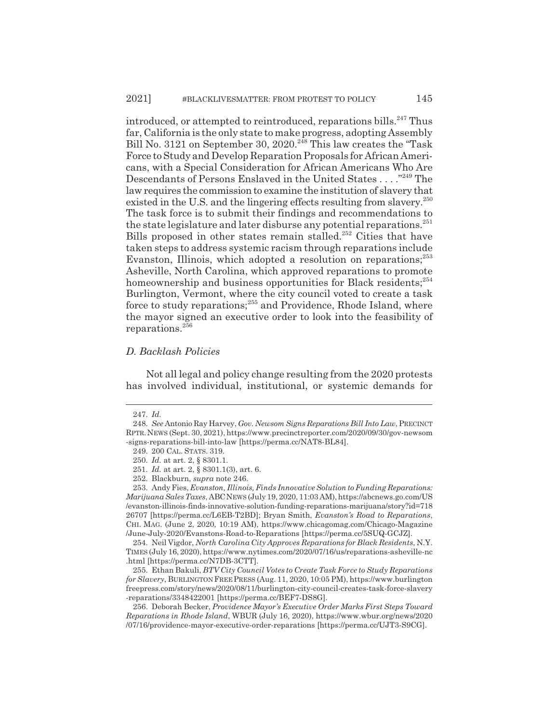introduced, or attempted to reintroduced, reparations bills.<sup>247</sup> Thus far, California is the only state to make progress, adopting Assembly Bill No. 3121 on September 30, 2020.<sup>248</sup> This law creates the "Task Force to Study and Develop Reparation Proposals for African Americans, with a Special Consideration for African Americans Who Are Descendants of Persons Enslaved in the United States . . . ."249 The law requires the commission to examine the institution of slavery that existed in the U.S. and the lingering effects resulting from slavery.<sup>250</sup> The task force is to submit their findings and recommendations to the state legislature and later disburse any potential reparations.<sup>251</sup> Bills proposed in other states remain stalled.<sup>252</sup> Cities that have taken steps to address systemic racism through reparations include Evanston, Illinois, which adopted a resolution on reparations;<sup>253</sup> Asheville, North Carolina, which approved reparations to promote homeownership and business opportunities for Black residents;<sup>254</sup> Burlington, Vermont, where the city council voted to create a task force to study reparations;<sup>255</sup> and Providence, Rhode Island, where the mayor signed an executive order to look into the feasibility of reparations.256

#### *D. Backlash Policies*

Not all legal and policy change resulting from the 2020 protests has involved individual, institutional, or systemic demands for

<sup>247.</sup> *Id.*

<sup>248.</sup> *See* Antonio Ray Harvey, *Gov. Newsom Signs Reparations Bill Into Law*, PRECINCT RPTR.NEWS (Sept. 30, 2021), https://www.precinctreporter.com/2020/09/30/gov-newsom -signs-reparations-bill-into-law [https://perma.cc/NAT8-BL84].

<sup>249. 200</sup> CAL. STATS. 319.

<sup>250.</sup> *Id.* at art. 2, § 8301.1.

<sup>251.</sup> *Id.* at art. 2, § 8301.1(3), art. 6.

<sup>252.</sup> Blackburn, *supra* note 246.

<sup>253.</sup> Andy Fies, *Evanston, Illinois, Finds Innovative Solution to Funding Reparations: Marijuana Sales Taxes*, ABCNEWS (July 19, 2020, 11:03 AM), https://abcnews.go.com/US /evanston-illinois-finds-innovative-solution-funding-reparations-marijuana/story?id=718 26707 [https://perma.cc/L6EB-T2BD]; Bryan Smith, *Evanston's Road to Reparations*, CHI. MAG. (June 2, 2020, 10:19 AM), https://www.chicagomag.com/Chicago-Magazine /June-July-2020/Evanstons-Road-to-Reparations [https://perma.cc/5SUQ-GCJZ].

<sup>254.</sup> Neil Vigdor, *North Carolina City Approves Reparations for Black Residents*, N.Y. TIMES (July 16, 2020), https://www.nytimes.com/2020/07/16/us/reparations-asheville-nc .html [https://perma.cc/N7DB-3CTT].

<sup>255.</sup> Ethan Bakuli, *BTV City Council Votes to Create Task Force to Study Reparations for Slavery*, BURLINGTON FREE PRESS (Aug. 11, 2020, 10:05 PM), https://www.burlington freepress.com/story/news/2020/08/11/burlington-city-council-creates-task-force-slavery -reparations/3348422001 [https://perma.cc/BEF7-DS8G].

<sup>256.</sup> Deborah Becker, *Providence Mayor's Executive Order Marks First Steps Toward Reparations in Rhode Island*, WBUR (July 16, 2020), https://www.wbur.org/news/2020 /07/16/providence-mayor-executive-order-reparations [https://perma.cc/UJT3-S9CG].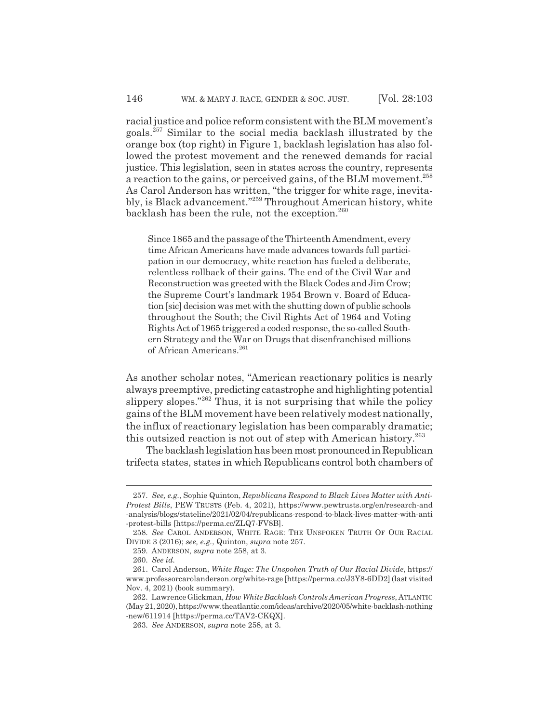racial justice and police reform consistent with the BLM movement's goals.257 Similar to the social media backlash illustrated by the orange box (top right) in Figure 1, backlash legislation has also followed the protest movement and the renewed demands for racial justice. This legislation, seen in states across the country, represents a reaction to the gains, or perceived gains, of the BLM movement.<sup>258</sup> As Carol Anderson has written, "the trigger for white rage, inevitably, is Black advancement."259 Throughout American history, white backlash has been the rule, not the exception.<sup>260</sup>

Since 1865 and the passage of the Thirteenth Amendment, every time African Americans have made advances towards full participation in our democracy, white reaction has fueled a deliberate, relentless rollback of their gains. The end of the Civil War and Reconstruction was greeted with the Black Codes and Jim Crow; the Supreme Court's landmark 1954 Brown v. Board of Education [sic] decision was met with the shutting down of public schools throughout the South; the Civil Rights Act of 1964 and Voting Rights Act of 1965 triggered a coded response, the so-called Southern Strategy and the War on Drugs that disenfranchised millions of African Americans.<sup>261</sup>

As another scholar notes, "American reactionary politics is nearly always preemptive, predicting catastrophe and highlighting potential slippery slopes."<sup>262</sup> Thus, it is not surprising that while the policy gains of the BLM movement have been relatively modest nationally, the influx of reactionary legislation has been comparably dramatic; this outsized reaction is not out of step with American history.<sup>263</sup>

The backlash legislation has been most pronounced in Republican trifecta states, states in which Republicans control both chambers of

<sup>257.</sup> *See, e.g.*, Sophie Quinton, *Republicans Respond to Black Lives Matter with Anti-Protest Bills*, PEW TRUSTS (Feb. 4, 2021), https://www.pewtrusts.org/en/research-and -analysis/blogs/stateline/2021/02/04/republicans-respond-to-black-lives-matter-with-anti -protest-bills [https://perma.cc/ZLQ7-FV8B].

<sup>258.</sup> *See* CAROL ANDERSON, WHITE RAGE: THE UNSPOKEN TRUTH OF OUR RACIAL DIVIDE 3 (2016); *see, e.g.*, Quinton, *supra* note 257.

<sup>259.</sup> ANDERSON, *supra* note 258, at 3.

<sup>260.</sup> *See id.*

<sup>261.</sup> Carol Anderson, *White Rage: The Unspoken Truth of Our Racial Divide*, https:// www.professorcarolanderson.org/white-rage [https://perma.cc/J3Y8-6DD2] (last visited Nov. 4, 2021) (book summary).

<sup>262.</sup> Lawrence Glickman, *How White Backlash Controls American Progress*, ATLANTIC (May 21, 2020), https://www.theatlantic.com/ideas/archive/2020/05/white-backlash-nothing -new/611914 [https://perma.cc/TAV2-CKQX].

<sup>263.</sup> *See* ANDERSON, *supra* note 258, at 3.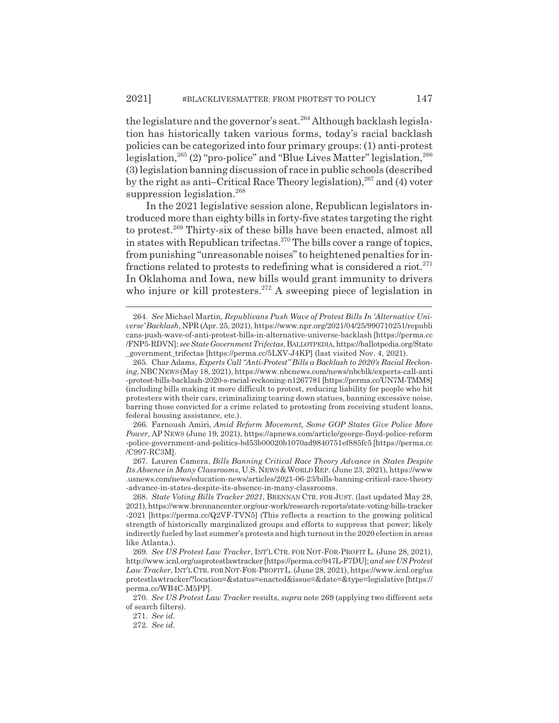the legislature and the governor's seat.<sup>264</sup> Although backlash legislation has historically taken various forms, today's racial backlash policies can be categorized into four primary groups: (1) anti-protest legislation,<sup>265</sup> (2) "pro-police" and "Blue Lives Matter" legislation,<sup>266</sup> (3) legislation banning discussion of race in public schools (described by the right as anti–Critical Race Theory legislation), $267$  and (4) voter suppression legislation.<sup>268</sup>

In the 2021 legislative session alone, Republican legislators introduced more than eighty bills in forty-five states targeting the right to protest.269 Thirty-six of these bills have been enacted, almost all in states with Republican trifectas.<sup>270</sup> The bills cover a range of topics, from punishing "unreasonable noises" to heightened penalties for infractions related to protests to redefining what is considered a riot.<sup>271</sup> In Oklahoma and Iowa, new bills would grant immunity to drivers who injure or kill protesters.<sup>272</sup> A sweeping piece of legislation in

266. Farnoush Amiri, *Amid Reform Movement, Some GOP States Give Police More Power*, AP NEWS (June 19, 2021), https://apnews.com/article/george-floyd-police-reform -police-government-and-politics-bd53b00020b1070ad9840751ef885fc5 [https://perma.cc /C997-RC3M].

267. Lauren Camera, *Bills Banning Critical Race Theory Advance in States Despite Its Absence in Many Classrooms*, U.S.NEWS & WORLD REP. (June 23, 2021), https://www .usnews.com/news/education-news/articles/2021-06-23/bills-banning-critical-race-theory -advance-in-states-despite-its-absence-in-many-classrooms.

<sup>264.</sup> *See* Michael Martin, *Republicans Push Wave of Protest Bills In 'Alternative Universe' Backlash*, NPR (Apr. 25, 2021), https://www.npr.org/2021/04/25/990710251/republi cans-push-wave-of-anti-protest-bills-in-alternative-universe-backlash [https://perma.cc /FNP5-RDVN]; *see State Government Trifectas*, BALLOTPEDIA, https://ballotpedia.org/State \_government\_trifectas [https://perma.cc/5LXV-J4KP] (last visited Nov. 4, 2021).

<sup>265.</sup> Char Adams, *Experts Call "Anti-Protest" Bills a Backlash to 2020's Racial Reckoning*, NBCNEWS (May 18, 2021), https://www.nbcnews.com/news/nbcblk/experts-call-anti -protest-bills-backlash-2020-s-racial-reckoning-n1267781 [https://perma.cc/UN7M-TMM8] (including bills making it more difficult to protest, reducing liability for people who hit protesters with their cars, criminalizing tearing down statues, banning excessive noise, barring those convicted for a crime related to protesting from receiving student loans, federal housing assistance, etc.).

<sup>268.</sup> *State Voting Bills Tracker 2021*, BRENNAN CTR. FOR JUST. (last updated May 28, 2021), https://www.brennancenter.org/our-work/research-reports/state-voting-bills-tracker -2021 [https://perma.cc/Q2VF-TVN5] (This reflects a reaction to the growing political strength of historically marginalized groups and efforts to suppress that power; likely indirectly fueled by last summer's protests and high turnout in the 2020 election in areas like Atlanta.).

<sup>269.</sup> *See US Protest Law Tracker*, INT'L CTR. FOR NOT-FOR-PROFIT L. (June 28, 2021), http://www.icnl.org/usprotestlawtracker [https://perma.cc/947L-F7DU]; *and see US Protest Law Tracker*, INT'LCTR. FOR NOT-FOR-PROFITL. (June 28, 2021), https://www.icnl.org/us protestlawtracker/?location=&status=enacted&issue=&date=&type=legislative [https:// perma.cc/WB4C-M5PP].

<sup>270.</sup> *See US Protest Law Tracker* results, *supra* note 269 (applying two different sets of search filters).

<sup>271.</sup> *See id.*

<sup>272.</sup> *See id.*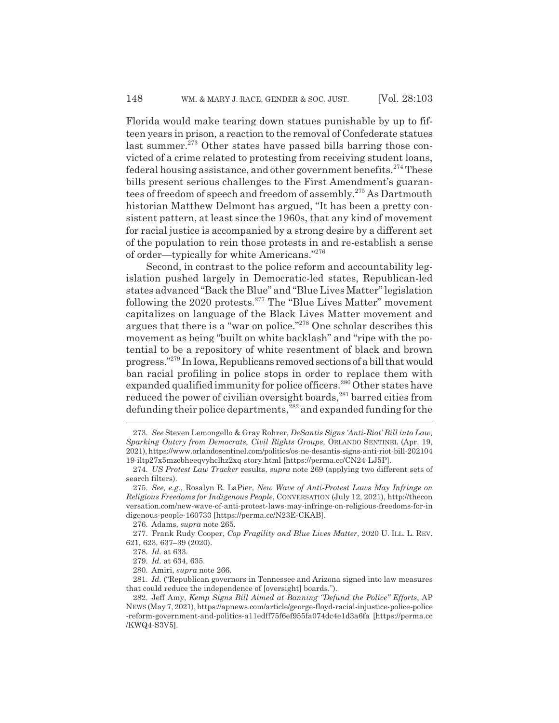Florida would make tearing down statues punishable by up to fifteen years in prison, a reaction to the removal of Confederate statues last summer.<sup>273</sup> Other states have passed bills barring those convicted of a crime related to protesting from receiving student loans, federal housing assistance, and other government benefits.<sup>274</sup> These bills present serious challenges to the First Amendment's guarantees of freedom of speech and freedom of assembly.<sup>275</sup> As Dartmouth historian Matthew Delmont has argued, "It has been a pretty consistent pattern, at least since the 1960s, that any kind of movement for racial justice is accompanied by a strong desire by a different set of the population to rein those protests in and re-establish a sense of order—typically for white Americans."276

Second, in contrast to the police reform and accountability legislation pushed largely in Democratic-led states, Republican-led states advanced "Back the Blue" and "Blue Lives Matter" legislation following the  $2020$  protests.<sup>277</sup> The "Blue Lives Matter" movement capitalizes on language of the Black Lives Matter movement and argues that there is a "war on police."278 One scholar describes this movement as being "built on white backlash" and "ripe with the potential to be a repository of white resentment of black and brown progress."279 In Iowa, Republicans removed sections of a bill that would ban racial profiling in police stops in order to replace them with expanded qualified immunity for police officers.<sup>280</sup> Other states have reduced the power of civilian oversight boards,<sup>281</sup> barred cities from defunding their police departments,282 and expanded funding for the

<sup>273.</sup> *See* Steven Lemongello & Gray Rohrer, *DeSantis Signs 'Anti-Riot' Bill into Law, Sparking Outcry from Democrats, Civil Rights Groups*, ORLANDO SENTINEL (Apr. 19, 2021), https://www.orlandosentinel.com/politics/os-ne-desantis-signs-anti-riot-bill-202104 19-iltp27x5mzcbheeqvyhclhz2xq-story.html [https://perma.cc/CN24-LJ5P].

<sup>274.</sup> *US Protest Law Tracker* results, *supra* note 269 (applying two different sets of search filters).

<sup>275.</sup> *See, e.g.*, Rosalyn R. LaPier, *New Wave of Anti-Protest Laws May Infringe on Religious Freedoms for Indigenous People*, CONVERSATION (July 12, 2021), http://thecon versation.com/new-wave-of-anti-protest-laws-may-infringe-on-religious-freedoms-for-in digenous-people-160733 [https://perma.cc/N23E-CKAB].

<sup>276.</sup> Adams, *supra* note 265.

<sup>277.</sup> Frank Rudy Cooper, *Cop Fragility and Blue Lives Matter*, 2020 U. ILL. L. REV. 621, 623, 637–39 (2020).

<sup>278.</sup> *Id.* at 633.

<sup>279.</sup> *Id.* at 634, 635.

<sup>280.</sup> Amiri, *supra* note 266.

<sup>281.</sup> *Id.* ("Republican governors in Tennessee and Arizona signed into law measures that could reduce the independence of [oversight] boards.").

<sup>282.</sup> Jeff Amy, *Kemp Signs Bill Aimed at Banning "Defund the Police" Efforts*, AP NEWS (May 7, 2021), https://apnews.com/article/george-floyd-racial-injustice-police-police -reform-government-and-politics-a11edff75f6ef955fa074dc4e1d3a6fa [https://perma.cc /KWQ4-S3V5].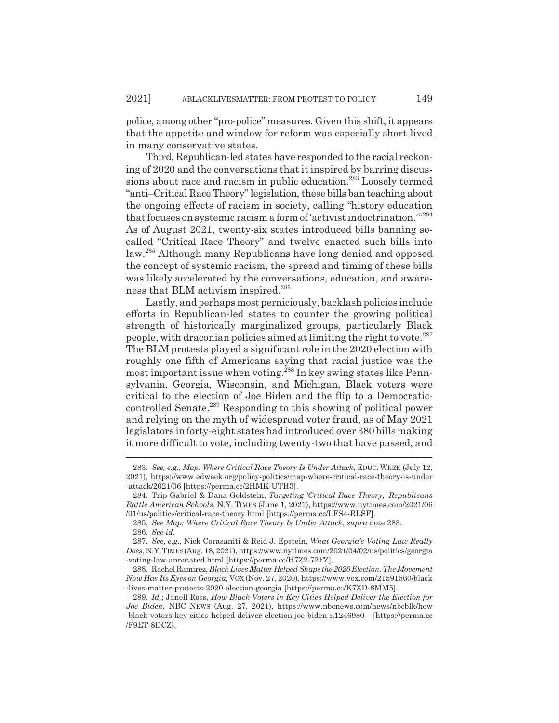police, among other "pro-police" measures. Given this shift, it appears that the appetite and window for reform was especially short-lived in many conservative states.

Third, Republican-led states have responded to the racial reckoning of 2020 and the conversations that it inspired by barring discussions about race and racism in public education.<sup>283</sup> Loosely termed "anti–Critical Race Theory" legislation, these bills ban teaching about the ongoing effects of racism in society, calling "history education that focuses on systemic racism a form of 'activist indoctrination.'"<sup>284</sup> As of August 2021, twenty-six states introduced bills banning socalled "Critical Race Theory" and twelve enacted such bills into law.285 Although many Republicans have long denied and opposed the concept of systemic racism, the spread and timing of these bills was likely accelerated by the conversations, education, and awareness that BLM activism inspired.<sup>286</sup>

Lastly, and perhaps most perniciously, backlash policies include efforts in Republican-led states to counter the growing political strength of historically marginalized groups, particularly Black people, with draconian policies aimed at limiting the right to vote.<sup>287</sup> The BLM protests played a significant role in the 2020 election with roughly one fifth of Americans saying that racial justice was the most important issue when voting.288 In key swing states like Pennsylvania, Georgia, Wisconsin, and Michigan, Black voters were critical to the election of Joe Biden and the flip to a Democraticcontrolled Senate.289 Responding to this showing of political power and relying on the myth of widespread voter fraud, as of May 2021 legislators in forty-eight states had introduced over 380 bills making it more difficult to vote, including twenty-two that have passed, and

<sup>283.</sup> *See, e.g.*, *Map: Where Critical Race Theory Is Under Attack*, EDUC. WEEK (July 12, 2021), https://www.edweek.org/policy-politics/map-where-critical-race-theory-is-under -attack/2021/06 [https://perma.cc/2HMK-UTH3].

<sup>284.</sup> Trip Gabriel & Dana Goldstein, *Targeting 'Critical Race Theory,' Republicans Rattle American Schools*, N.Y. TIMES (June 1, 2021), https://www.nytimes.com/2021/06 /01/us/politics/critical-race-theory.html [https://perma.cc/LFS4-RLSF].

<sup>285.</sup> *See Map: Where Critical Race Theory Is Under Attack*, *supra* note 283. 286. *See id.*

<sup>287.</sup> *See, e.g.*, Nick Corasaniti & Reid J. Epstein, *What Georgia's Voting Law Really Does*, N.Y.TIMES(Aug. 18, 2021), https://www.nytimes.com/2021/04/02/us/politics/georgia -voting-law-annotated.html [https://perma.cc/H7Z2-72FZ].

<sup>288.</sup> Rachel Ramirez, *Black Lives Matter Helped Shape the 2020 Election. The Movement Now Has Its Eyes on Georgia*, VOX (Nov. 27, 2020), https://www.vox.com/21591560/black -lives-matter-protests-2020-election-georgia [https://perma.cc/K7XD-8MM5].

<sup>289.</sup> *Id.*; Janell Ross, *How Black Voters in Key Cities Helped Deliver the Election for Joe Biden*, NBC NEWS (Aug. 27, 2021), https://www.nbcnews.com/news/nbcblk/how -black-voters-key-cities-helped-deliver-election-joe-biden-n1246980 [https://perma.cc /F9ET-8DCZ].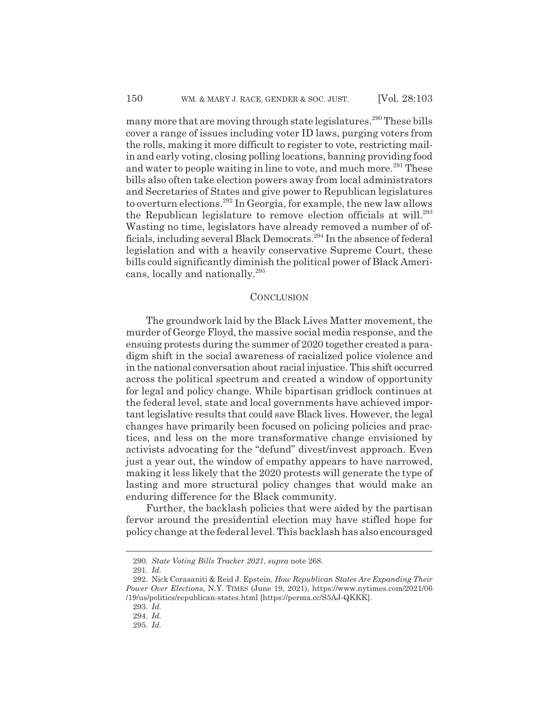many more that are moving through state legislatures.<sup>290</sup> These bills cover a range of issues including voter ID laws, purging voters from the rolls, making it more difficult to register to vote, restricting mailin and early voting, closing polling locations, banning providing food and water to people waiting in line to vote, and much more.<sup>291</sup> These bills also often take election powers away from local administrators and Secretaries of States and give power to Republican legislatures to overturn elections.292 In Georgia, for example, the new law allows the Republican legislature to remove election officials at will.<sup>293</sup> Wasting no time, legislators have already removed a number of officials, including several Black Democrats.<sup>294</sup> In the absence of federal legislation and with a heavily conservative Supreme Court, these bills could significantly diminish the political power of Black Americans, locally and nationally.<sup>295</sup>

#### **CONCLUSION**

The groundwork laid by the Black Lives Matter movement, the murder of George Floyd, the massive social media response, and the ensuing protests during the summer of 2020 together created a paradigm shift in the social awareness of racialized police violence and in the national conversation about racial injustice. This shift occurred across the political spectrum and created a window of opportunity for legal and policy change. While bipartisan gridlock continues at the federal level, state and local governments have achieved important legislative results that could save Black lives. However, the legal changes have primarily been focused on policing policies and practices, and less on the more transformative change envisioned by activists advocating for the "defund" divest/invest approach. Even just a year out, the window of empathy appears to have narrowed, making it less likely that the 2020 protests will generate the type of lasting and more structural policy changes that would make an enduring difference for the Black community.

Further, the backlash policies that were aided by the partisan fervor around the presidential election may have stifled hope for policy change at the federal level. This backlash has also encouraged

<sup>290.</sup> *State Voting Bills Tracker 2021*, *supra* note 268.

<sup>291.</sup> *Id.*

<sup>292.</sup> Nick Corasaniti & Reid J. Epstein, *How Republican States Are Expanding Their Power Over Elections*, N.Y. TIMES (June 19, 2021), https://www.nytimes.com/2021/06 /19/us/politics/republican-states.html [https://perma.cc/S5AJ-QKKK].

<sup>293.</sup> *Id.*

<sup>294.</sup> *Id.*

<sup>295.</sup> *Id.*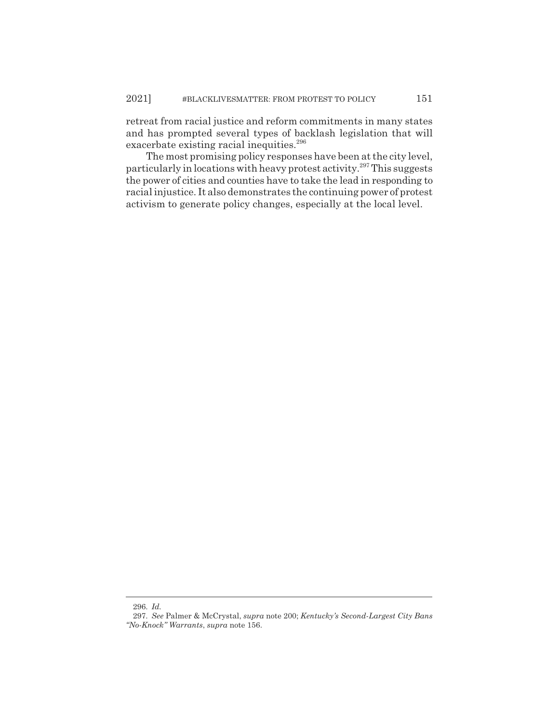retreat from racial justice and reform commitments in many states and has prompted several types of backlash legislation that will exacerbate existing racial inequities.<sup>296</sup>

The most promising policy responses have been at the city level, particularly in locations with heavy protest activity.297 This suggests the power of cities and counties have to take the lead in responding to racial injustice. It also demonstrates the continuing power of protest activism to generate policy changes, especially at the local level.

<sup>296.</sup> *Id.*

<sup>297.</sup> *See* Palmer & McCrystal, *supra* note 200; *Kentucky's Second-Largest City Bans "No-Knock" Warrants*, *supra* note 156.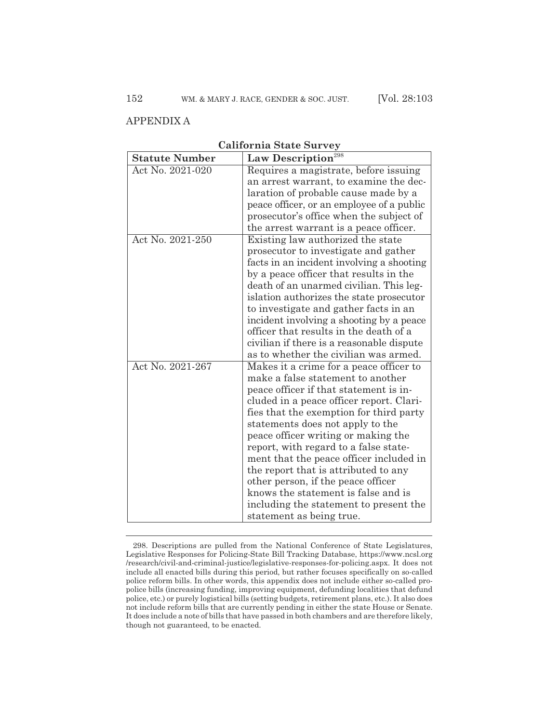### APPENDIX A

| <b>Statute Number</b> | Law Description <sup>298</sup>            |
|-----------------------|-------------------------------------------|
| Act No. 2021-020      | Requires a magistrate, before issuing     |
|                       | an arrest warrant, to examine the dec-    |
|                       | laration of probable cause made by a      |
|                       | peace officer, or an employee of a public |
|                       | prosecutor's office when the subject of   |
|                       | the arrest warrant is a peace officer.    |
| Act No. 2021-250      | Existing law authorized the state         |
|                       | prosecutor to investigate and gather      |
|                       | facts in an incident involving a shooting |
|                       | by a peace officer that results in the    |
|                       | death of an unarmed civilian. This leg-   |
|                       | islation authorizes the state prosecutor  |
|                       | to investigate and gather facts in an     |
|                       | incident involving a shooting by a peace  |
|                       | officer that results in the death of a    |
|                       | civilian if there is a reasonable dispute |
|                       | as to whether the civilian was armed.     |
| Act No. 2021-267      | Makes it a crime for a peace officer to   |
|                       | make a false statement to another         |
|                       | peace officer if that statement is in-    |
|                       | cluded in a peace officer report. Clari-  |
|                       | fies that the exemption for third party   |
|                       | statements does not apply to the          |
|                       | peace officer writing or making the       |
|                       | report, with regard to a false state-     |
|                       | ment that the peace officer included in   |
|                       | the report that is attributed to any      |
|                       | other person, if the peace officer        |
|                       | knows the statement is false and is       |
|                       | including the statement to present the    |
|                       | statement as being true.                  |

**California State Survey**

<sup>298.</sup> Descriptions are pulled from the National Conference of State Legislatures, Legislative Responses for Policing-State Bill Tracking Database, https://www.ncsl.org /research/civil-and-criminal-justice/legislative-responses-for-policing.aspx. It does not include all enacted bills during this period, but rather focuses specifically on so-called police reform bills. In other words, this appendix does not include either so-called propolice bills (increasing funding, improving equipment, defunding localities that defund police, etc.) or purely logistical bills (setting budgets, retirement plans, etc.). It also does not include reform bills that are currently pending in either the state House or Senate. It does include a note of bills that have passed in both chambers and are therefore likely, though not guaranteed, to be enacted.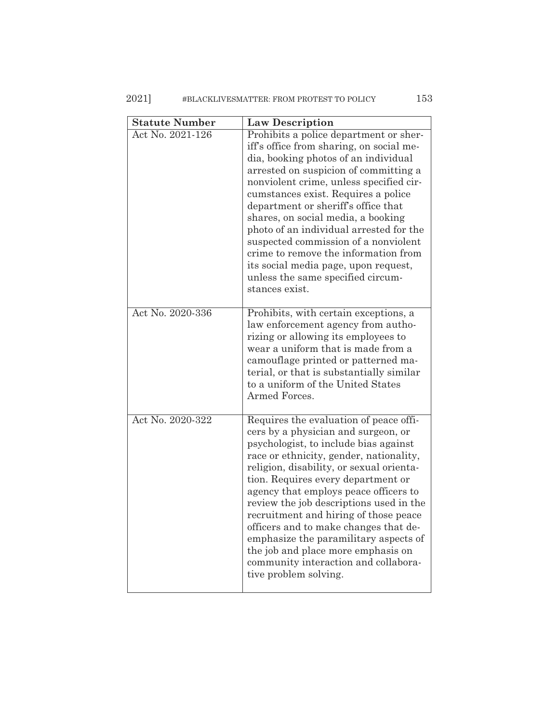| <b>Statute Number</b> | <b>Law Description</b>                                                                                                                                                                                                                                                                                                                                                                                                                                                                                                                                                    |
|-----------------------|---------------------------------------------------------------------------------------------------------------------------------------------------------------------------------------------------------------------------------------------------------------------------------------------------------------------------------------------------------------------------------------------------------------------------------------------------------------------------------------------------------------------------------------------------------------------------|
| Act No. 2021-126      | Prohibits a police department or sher-<br>iff's office from sharing, on social me-<br>dia, booking photos of an individual<br>arrested on suspicion of committing a<br>nonviolent crime, unless specified cir-<br>cumstances exist. Requires a police<br>department or sheriff's office that<br>shares, on social media, a booking<br>photo of an individual arrested for the<br>suspected commission of a nonviolent<br>crime to remove the information from<br>its social media page, upon request,<br>unless the same specified circum-<br>stances exist.              |
| Act No. 2020-336      | Prohibits, with certain exceptions, a<br>law enforcement agency from autho-<br>rizing or allowing its employees to<br>wear a uniform that is made from a<br>camouflage printed or patterned ma-<br>terial, or that is substantially similar<br>to a uniform of the United States<br>Armed Forces.                                                                                                                                                                                                                                                                         |
| Act No. 2020-322      | Requires the evaluation of peace offi-<br>cers by a physician and surgeon, or<br>psychologist, to include bias against<br>race or ethnicity, gender, nationality,<br>religion, disability, or sexual orienta-<br>tion. Requires every department or<br>agency that employs peace officers to<br>review the job descriptions used in the<br>recruitment and hiring of those peace<br>officers and to make changes that de-<br>emphasize the paramilitary aspects of<br>the job and place more emphasis on<br>community interaction and collabora-<br>tive problem solving. |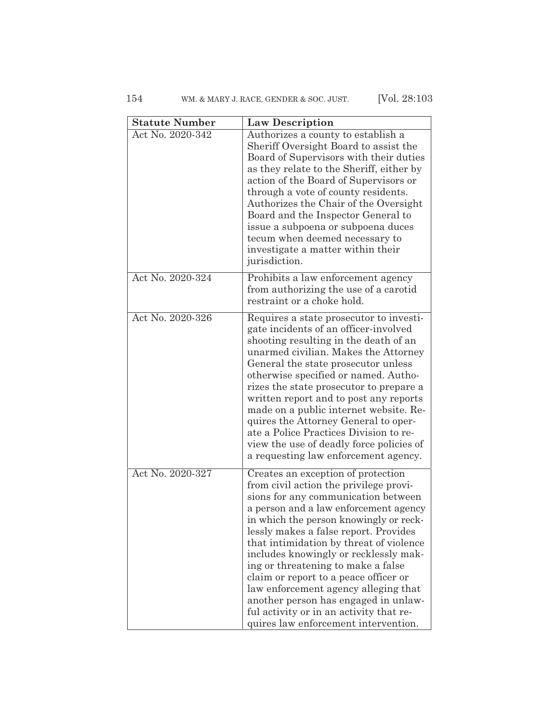154 WM. & MARY J. RACE, GENDER & SOC. JUST. [Vol. 28:103

| <b>Statute Number</b> | <b>Law Description</b>                                                                                                                                                                                                                                                                                                                                                                                                                                                                                                                                                                |
|-----------------------|---------------------------------------------------------------------------------------------------------------------------------------------------------------------------------------------------------------------------------------------------------------------------------------------------------------------------------------------------------------------------------------------------------------------------------------------------------------------------------------------------------------------------------------------------------------------------------------|
| Act No. 2020-342      | Authorizes a county to establish a<br>Sheriff Oversight Board to assist the<br>Board of Supervisors with their duties<br>as they relate to the Sheriff, either by<br>action of the Board of Supervisors or<br>through a vote of county residents.<br>Authorizes the Chair of the Oversight<br>Board and the Inspector General to<br>issue a subpoena or subpoena duces<br>tecum when deemed necessary to<br>investigate a matter within their<br>jurisdiction.                                                                                                                        |
| Act No. 2020-324      | Prohibits a law enforcement agency<br>from authorizing the use of a carotid<br>restraint or a choke hold.                                                                                                                                                                                                                                                                                                                                                                                                                                                                             |
| Act No. 2020-326      | Requires a state prosecutor to investi-<br>gate incidents of an officer-involved<br>shooting resulting in the death of an<br>unarmed civilian. Makes the Attorney<br>General the state prosecutor unless<br>otherwise specified or named. Autho-<br>rizes the state prosecutor to prepare a<br>written report and to post any reports<br>made on a public internet website. Re-<br>quires the Attorney General to oper-<br>ate a Police Practices Division to re-<br>view the use of deadly force policies of<br>a requesting law enforcement agency.                                 |
| Act No. 2020-327      | Creates an exception of protection<br>from civil action the privilege provi-<br>sions for any communication between<br>a person and a law enforcement agency<br>in which the person knowingly or reck-<br>lessly makes a false report. Provides<br>that intimidation by threat of violence<br>includes knowingly or recklessly mak-<br>ing or threatening to make a false<br>claim or report to a peace officer or<br>law enforcement agency alleging that<br>another person has engaged in unlaw-<br>ful activity or in an activity that re-<br>quires law enforcement intervention. |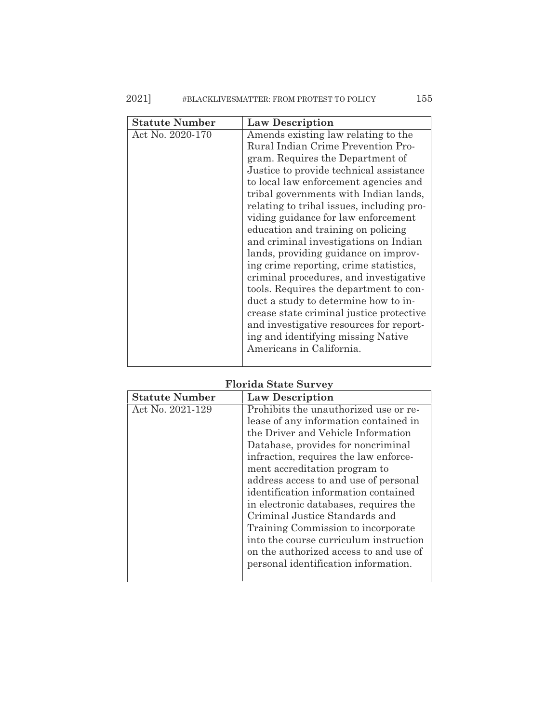| <b>Statute Number</b> | <b>Law Description</b>                                                                                                                                                                                                                                                                                                                                                                                                                                                                                                                                                                                                                                              |
|-----------------------|---------------------------------------------------------------------------------------------------------------------------------------------------------------------------------------------------------------------------------------------------------------------------------------------------------------------------------------------------------------------------------------------------------------------------------------------------------------------------------------------------------------------------------------------------------------------------------------------------------------------------------------------------------------------|
| Act No. 2020-170      | Amends existing law relating to the<br>Rural Indian Crime Prevention Pro-<br>gram. Requires the Department of                                                                                                                                                                                                                                                                                                                                                                                                                                                                                                                                                       |
|                       | Justice to provide technical assistance<br>to local law enforcement agencies and<br>tribal governments with Indian lands,<br>relating to tribal issues, including pro-<br>viding guidance for law enforcement<br>education and training on policing<br>and criminal investigations on Indian<br>lands, providing guidance on improv-<br>ing crime reporting, crime statistics,<br>criminal procedures, and investigative<br>tools. Requires the department to con-<br>duct a study to determine how to in-<br>crease state criminal justice protective<br>and investigative resources for report-<br>ing and identifying missing Native<br>Americans in California. |
|                       |                                                                                                                                                                                                                                                                                                                                                                                                                                                                                                                                                                                                                                                                     |

## **Florida State Survey**

| <b>Statute Number</b> | <b>Law Description</b>                 |
|-----------------------|----------------------------------------|
| Act No. 2021-129      | Prohibits the unauthorized use or re-  |
|                       | lease of any information contained in  |
|                       | the Driver and Vehicle Information     |
|                       | Database, provides for noncriminal     |
|                       | infraction, requires the law enforce-  |
|                       | ment accreditation program to          |
|                       | address access to and use of personal  |
|                       | identification information contained   |
|                       | in electronic databases, requires the  |
|                       | Criminal Justice Standards and         |
|                       | Training Commission to incorporate     |
|                       | into the course curriculum instruction |
|                       | on the authorized access to and use of |
|                       | personal identification information.   |
|                       |                                        |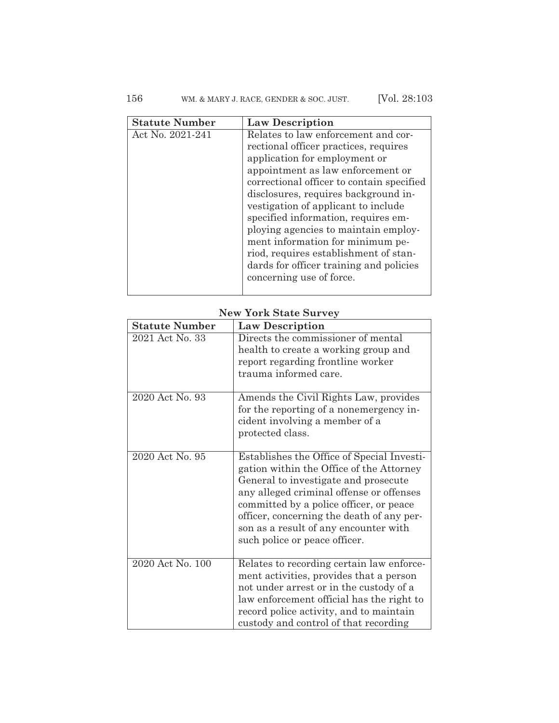## 156 WM. & MARY J. RACE, GENDER & SOC. JUST. [Vol. 28:103

| <b>Statute Number</b> | <b>Law Description</b>                    |
|-----------------------|-------------------------------------------|
| Act No. 2021-241      | Relates to law enforcement and cor-       |
|                       | rectional officer practices, requires     |
|                       | application for employment or             |
|                       | appointment as law enforcement or         |
|                       | correctional officer to contain specified |
|                       | disclosures, requires background in-      |
|                       | vestigation of applicant to include       |
|                       | specified information, requires em-       |
|                       | ploying agencies to maintain employ-      |
|                       | ment information for minimum pe-          |
|                       | riod, requires establishment of stan-     |
|                       | dards for officer training and policies   |
|                       | concerning use of force.                  |
|                       |                                           |

## **New York State Survey**

| <b>Statute Number</b> | <b>Law Description</b>                                                                                                                                                                                                                                                                                                                       |
|-----------------------|----------------------------------------------------------------------------------------------------------------------------------------------------------------------------------------------------------------------------------------------------------------------------------------------------------------------------------------------|
| 2021 Act No. 33       | Directs the commissioner of mental<br>health to create a working group and<br>report regarding frontline worker<br>trauma informed care.                                                                                                                                                                                                     |
| 2020 Act No. 93       | Amends the Civil Rights Law, provides<br>for the reporting of a nonemergency in-<br>cident involving a member of a<br>protected class.                                                                                                                                                                                                       |
| 2020 Act No. 95       | Establishes the Office of Special Investi-<br>gation within the Office of the Attorney<br>General to investigate and prosecute<br>any alleged criminal offense or offenses<br>committed by a police officer, or peace<br>officer, concerning the death of any per-<br>son as a result of any encounter with<br>such police or peace officer. |
| 2020 Act No. 100      | Relates to recording certain law enforce-<br>ment activities, provides that a person<br>not under arrest or in the custody of a<br>law enforcement official has the right to<br>record police activity, and to maintain<br>custody and control of that recording                                                                             |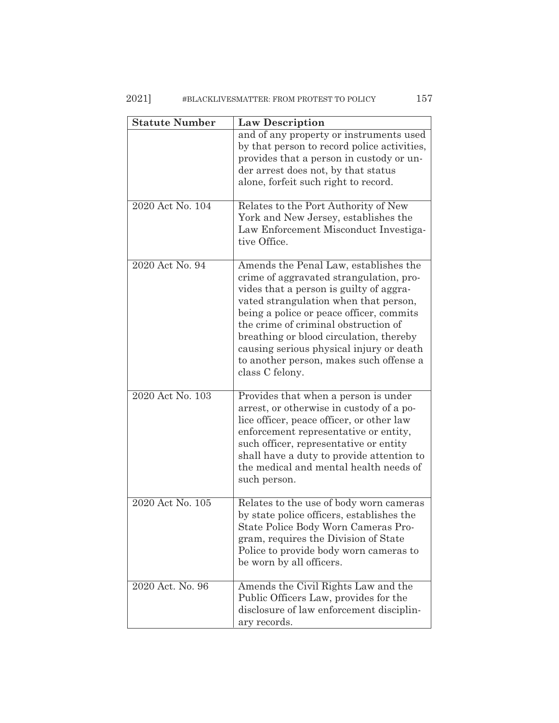## 2021] #BLACKLIVESMATTER: FROM PROTEST TO POLICY 157

| <b>Statute Number</b> | <b>Law Description</b>                                                                                                                                                                                                                                                                                                                                                                                        |
|-----------------------|---------------------------------------------------------------------------------------------------------------------------------------------------------------------------------------------------------------------------------------------------------------------------------------------------------------------------------------------------------------------------------------------------------------|
|                       | and of any property or instruments used<br>by that person to record police activities,<br>provides that a person in custody or un-<br>der arrest does not, by that status<br>alone, forfeit such right to record.                                                                                                                                                                                             |
| 2020 Act No. 104      | Relates to the Port Authority of New<br>York and New Jersey, establishes the<br>Law Enforcement Misconduct Investiga-<br>tive Office.                                                                                                                                                                                                                                                                         |
| 2020 Act No. 94       | Amends the Penal Law, establishes the<br>crime of aggravated strangulation, pro-<br>vides that a person is guilty of aggra-<br>vated strangulation when that person,<br>being a police or peace officer, commits<br>the crime of criminal obstruction of<br>breathing or blood circulation, thereby<br>causing serious physical injury or death<br>to another person, makes such offense a<br>class C felony. |
| 2020 Act No. 103      | Provides that when a person is under<br>arrest, or otherwise in custody of a po-<br>lice officer, peace officer, or other law<br>enforcement representative or entity,<br>such officer, representative or entity<br>shall have a duty to provide attention to<br>the medical and mental health needs of<br>such person.                                                                                       |
| 2020 Act No. 105      | Relates to the use of body worn cameras<br>by state police officers, establishes the<br>State Police Body Worn Cameras Pro-<br>gram, requires the Division of State<br>Police to provide body worn cameras to<br>be worn by all officers.                                                                                                                                                                     |
| 2020 Act. No. 96      | Amends the Civil Rights Law and the<br>Public Officers Law, provides for the<br>disclosure of law enforcement disciplin-<br>ary records.                                                                                                                                                                                                                                                                      |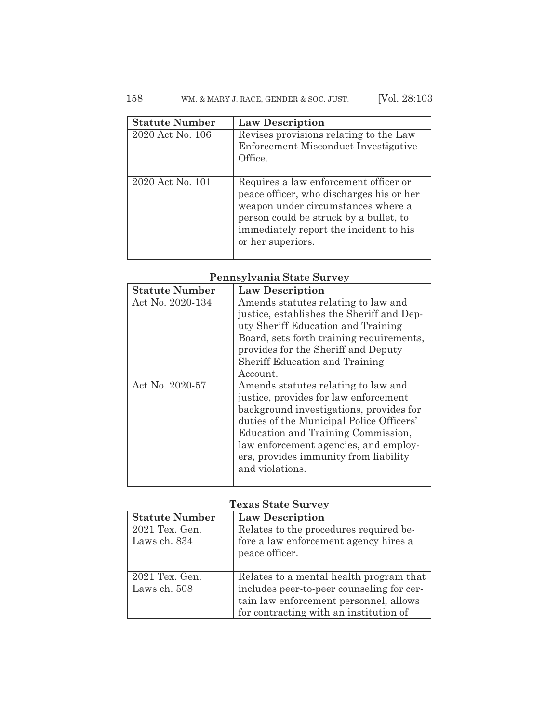## 158 WM. & MARY J. RACE, GENDER & SOC. JUST. [Vol. 28:103

| <b>Statute Number</b> | <b>Law Description</b>                                                                                                                                                                                                           |
|-----------------------|----------------------------------------------------------------------------------------------------------------------------------------------------------------------------------------------------------------------------------|
| 2020 Act No. 106      | Revises provisions relating to the Law<br>Enforcement Misconduct Investigative<br>Office.                                                                                                                                        |
| 2020 Act No. 101      | Requires a law enforcement officer or<br>peace officer, who discharges his or her<br>weapon under circumstances where a<br>person could be struck by a bullet, to<br>immediately report the incident to his<br>or her superiors. |

## **Pennsylvania State Survey**

| <b>Statute Number</b> | <b>Law Description</b>                    |
|-----------------------|-------------------------------------------|
| Act No. 2020-134      | Amends statutes relating to law and       |
|                       | justice, establishes the Sheriff and Dep- |
|                       | uty Sheriff Education and Training        |
|                       | Board, sets forth training requirements,  |
|                       | provides for the Sheriff and Deputy       |
|                       | <b>Sheriff Education and Training</b>     |
|                       | Account.                                  |
| Act No. 2020-57       | Amends statutes relating to law and       |
|                       | justice, provides for law enforcement     |
|                       | background investigations, provides for   |
|                       | duties of the Municipal Police Officers'  |
|                       | Education and Training Commission,        |
|                       | law enforcement agencies, and employ-     |
|                       | ers, provides immunity from liability     |
|                       | and violations.                           |
|                       |                                           |

### **Texas State Survey**

| <b>Statute Number</b>       | <b>Law Description</b>                    |
|-----------------------------|-------------------------------------------|
| 2021 Tex. Gen.              | Relates to the procedures required be-    |
| Laws ch. 834                | fore a law enforcement agency hires a     |
|                             | peace officer.                            |
|                             |                                           |
| $\overline{20}21$ Tex. Gen. | Relates to a mental health program that   |
| Laws ch. 508                | includes peer-to-peer counseling for cer- |
|                             | tain law enforcement personnel, allows    |
|                             | for contracting with an institution of    |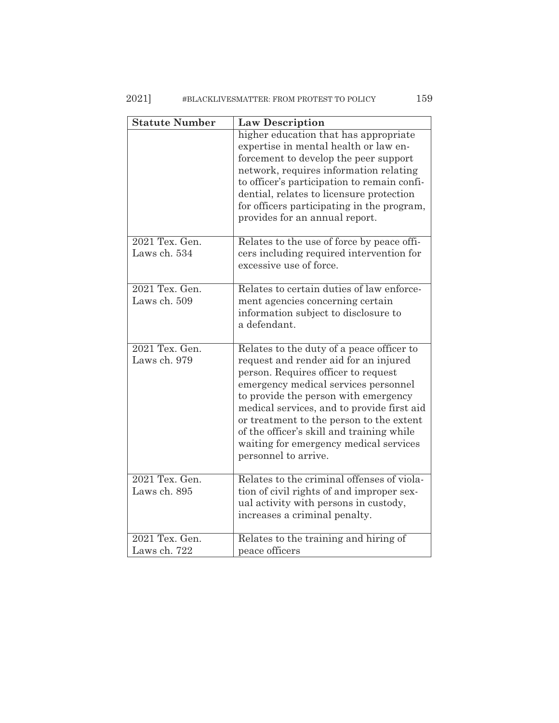## 2021] #BLACKLIVESMATTER: FROM PROTEST TO POLICY 159

| <b>Statute Number</b>          | <b>Law Description</b>                                                                                                                                                                                                                                                                                                                                                                                             |
|--------------------------------|--------------------------------------------------------------------------------------------------------------------------------------------------------------------------------------------------------------------------------------------------------------------------------------------------------------------------------------------------------------------------------------------------------------------|
|                                | higher education that has appropriate<br>expertise in mental health or law en-<br>forcement to develop the peer support<br>network, requires information relating<br>to officer's participation to remain confi-<br>dential, relates to licensure protection<br>for officers participating in the program,<br>provides for an annual report.                                                                       |
| 2021 Tex. Gen.<br>Laws ch. 534 | Relates to the use of force by peace offi-<br>cers including required intervention for<br>excessive use of force.                                                                                                                                                                                                                                                                                                  |
| 2021 Tex. Gen.<br>Laws ch. 509 | Relates to certain duties of law enforce-<br>ment agencies concerning certain<br>information subject to disclosure to<br>a defendant.                                                                                                                                                                                                                                                                              |
| 2021 Tex. Gen.<br>Laws ch. 979 | Relates to the duty of a peace officer to<br>request and render aid for an injured<br>person. Requires officer to request<br>emergency medical services personnel<br>to provide the person with emergency<br>medical services, and to provide first aid<br>or treatment to the person to the extent<br>of the officer's skill and training while<br>waiting for emergency medical services<br>personnel to arrive. |
| 2021 Tex. Gen.<br>Laws ch. 895 | Relates to the criminal offenses of viola-<br>tion of civil rights of and improper sex-<br>ual activity with persons in custody,<br>increases a criminal penalty.                                                                                                                                                                                                                                                  |
| 2021 Tex. Gen.<br>Laws ch. 722 | Relates to the training and hiring of<br>peace officers                                                                                                                                                                                                                                                                                                                                                            |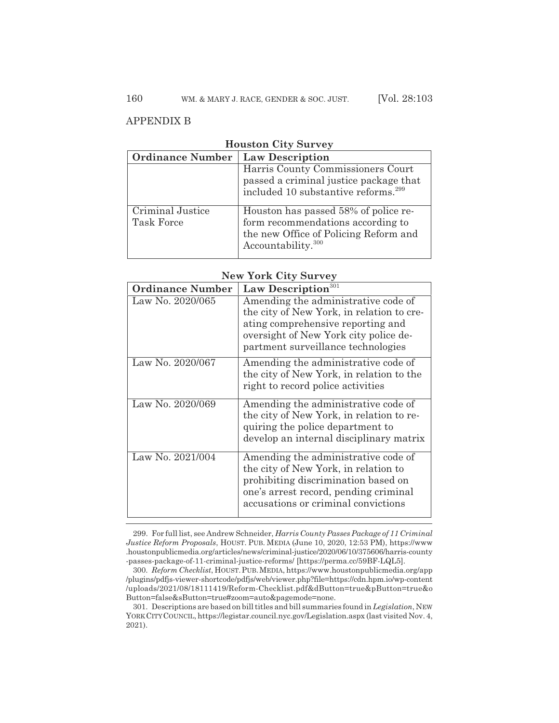### APPENDIX B

| <b>HOUSLON</b> UILY DUIVEY                |                                                                                                                                                      |
|-------------------------------------------|------------------------------------------------------------------------------------------------------------------------------------------------------|
| <b>Ordinance Number   Law Description</b> |                                                                                                                                                      |
|                                           | Harris County Commissioners Court<br>passed a criminal justice package that<br>included 10 substantive reforms. <sup>299</sup>                       |
| Criminal Justice<br>Task Force            | Houston has passed 58% of police re-<br>form recommendations according to<br>the new Office of Policing Reform and<br>Accountability. <sup>300</sup> |

### **Houston City Survey**

#### **New York City Survey**

| <b>Ordinance Number</b> | Law Description <sup>301</sup>                                                                                                                                                                       |
|-------------------------|------------------------------------------------------------------------------------------------------------------------------------------------------------------------------------------------------|
| Law No. 2020/065        | Amending the administrative code of<br>the city of New York, in relation to cre-<br>ating comprehensive reporting and<br>oversight of New York city police de-<br>partment surveillance technologies |
| Law No. 2020/067        | Amending the administrative code of<br>the city of New York, in relation to the<br>right to record police activities                                                                                 |
| Law No. 2020/069        | Amending the administrative code of<br>the city of New York, in relation to re-<br>quiring the police department to<br>develop an internal disciplinary matrix                                       |
| Law No. 2021/004        | Amending the administrative code of<br>the city of New York, in relation to<br>prohibiting discrimination based on<br>one's arrest record, pending criminal<br>accusations or criminal convictions   |

<sup>299.</sup> For full list, see Andrew Schneider, *Harris County Passes Package of 11 Criminal Justice Reform Proposals*, HOUST. PUB. MEDIA (June 10, 2020, 12:53 PM), https://www .houstonpublicmedia.org/articles/news/criminal-justice/2020/06/10/375606/harris-county -passes-package-of-11-criminal-justice-reforms/ [https://perma.cc/59BF-LQL5].

<sup>300.</sup> *Reform Checklist*, HOUST.PUB.MEDIA, https://www.houstonpublicmedia.org/app /plugins/pdfjs-viewer-shortcode/pdfjs/web/viewer.php?file=https://cdn.hpm.io/wp-content /uploads/2021/08/18111419/Reform-Checklist.pdf&dButton=true&pButton=true&o Button=false&sButton=true#zoom=auto&pagemode=none.

<sup>301.</sup> Descriptions are based on bill titles and bill summaries found in *Legislation*, NEW YORKCITYCOUNCIL, https://legistar.council.nyc.gov/Legislation.aspx (last visited Nov. 4, 2021).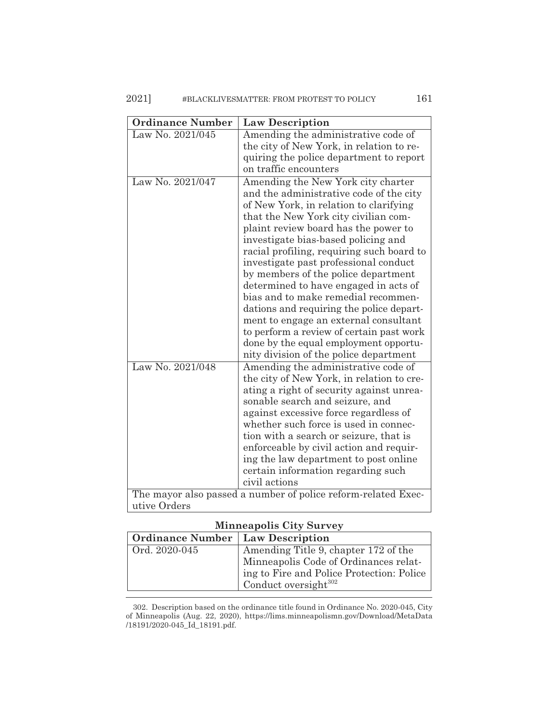## 2021] #BLACKLIVESMATTER: FROM PROTEST TO POLICY 161

| <b>Ordinance Number</b> | <b>Law Description</b>                                                                                                                                                                                                                                                                                                                                                                                                                                                                                                                                                                                                                |
|-------------------------|---------------------------------------------------------------------------------------------------------------------------------------------------------------------------------------------------------------------------------------------------------------------------------------------------------------------------------------------------------------------------------------------------------------------------------------------------------------------------------------------------------------------------------------------------------------------------------------------------------------------------------------|
| Law No. 2021/045        | Amending the administrative code of                                                                                                                                                                                                                                                                                                                                                                                                                                                                                                                                                                                                   |
|                         | the city of New York, in relation to re-                                                                                                                                                                                                                                                                                                                                                                                                                                                                                                                                                                                              |
|                         | quiring the police department to report                                                                                                                                                                                                                                                                                                                                                                                                                                                                                                                                                                                               |
|                         | on traffic encounters                                                                                                                                                                                                                                                                                                                                                                                                                                                                                                                                                                                                                 |
| Law No. 2021/047        | Amending the New York city charter<br>and the administrative code of the city<br>of New York, in relation to clarifying<br>that the New York city civilian com-<br>plaint review board has the power to<br>investigate bias-based policing and<br>racial profiling, requiring such board to<br>investigate past professional conduct<br>by members of the police department<br>determined to have engaged in acts of<br>bias and to make remedial recommen-<br>dations and requiring the police depart-<br>ment to engage an external consultant<br>to perform a review of certain past work<br>done by the equal employment opportu- |
| Law No. 2021/048        | nity division of the police department<br>Amending the administrative code of                                                                                                                                                                                                                                                                                                                                                                                                                                                                                                                                                         |
|                         | the city of New York, in relation to cre-<br>ating a right of security against unrea-<br>sonable search and seizure, and<br>against excessive force regardless of<br>whether such force is used in connec-<br>tion with a search or seizure, that is<br>enforceable by civil action and requir-<br>ing the law department to post online<br>certain information regarding such<br>civil actions                                                                                                                                                                                                                                       |
|                         | The mayor also passed a number of police reform-related Exec-                                                                                                                                                                                                                                                                                                                                                                                                                                                                                                                                                                         |
| utive Orders            |                                                                                                                                                                                                                                                                                                                                                                                                                                                                                                                                                                                                                                       |

# **Minneapolis City Survey**

| <b>Ordinance Number   Law Description</b> |                                           |
|-------------------------------------------|-------------------------------------------|
| Ord. 2020-045                             | Amending Title 9, chapter 172 of the      |
|                                           | Minneapolis Code of Ordinances relat-     |
|                                           | ing to Fire and Police Protection: Police |
|                                           | Conduct oversight <sup>302</sup>          |

302. Description based on the ordinance title found in Ordinance No. 2020-045, City of Minneapolis (Aug. 22, 2020), https://lims.minneapolismn.gov/Download/MetaData /18191/2020-045\_Id\_18191.pdf.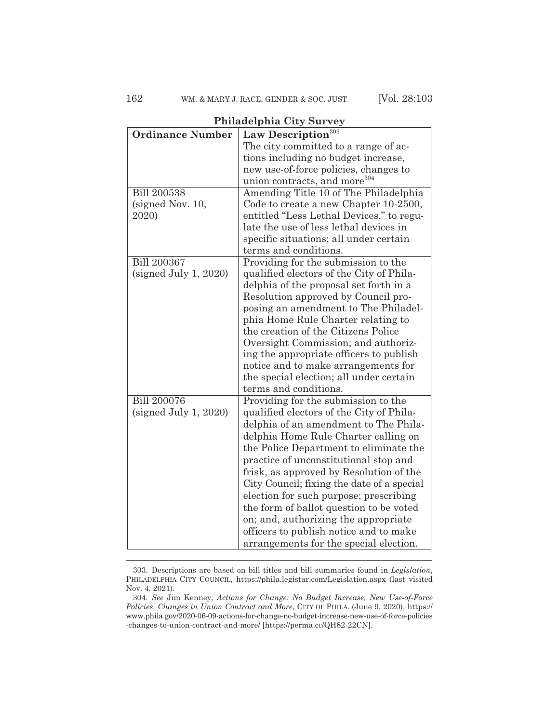**Ordinance Number Law Description**<sup>303</sup> The city committed to a range of actions including no budget increase, new use-of-force policies, changes to union contracts, and more<sup>304</sup> Bill 200538 (signed Nov. 10, 2020) Amending Title 10 of The Philadelphia Code to create a new Chapter 10-2500, entitled "Less Lethal Devices," to regulate the use of less lethal devices in specific situations; all under certain terms and conditions. Bill 200367 (signed July 1, 2020) Providing for the submission to the qualified electors of the City of Philadelphia of the proposal set forth in a Resolution approved by Council proposing an amendment to The Philadelphia Home Rule Charter relating to the creation of the Citizens Police Oversight Commission; and authorizing the appropriate officers to publish notice and to make arrangements for the special election; all under certain terms and conditions. Bill 200076 (signed July 1, 2020) Providing for the submission to the qualified electors of the City of Philadelphia of an amendment to The Philadelphia Home Rule Charter calling on the Police Department to eliminate the practice of unconstitutional stop and frisk, as approved by Resolution of the City Council; fixing the date of a special election for such purpose; prescribing the form of ballot question to be voted on; and, authorizing the appropriate officers to publish notice and to make

#### **Philadelphia City Survey**

arrangements for the special election.

<sup>303.</sup> Descriptions are based on bill titles and bill summaries found in *Legislation*, PHILADELPHIA CITY COUNCIL, https://phila.legistar.com/Legislation.aspx (last visited Nov. 4, 2021).

<sup>304.</sup> *See* Jim Kenney, *Actions for Change: No Budget Increase, New Use-of-Force Policies, Changes in Union Contract and More*, CITY OF PHILA. (June 9, 2020), https:// www.phila.gov/2020-06-09-actions-for-change-no-budget-increase-new-use-of-force-policies -changes-to-union-contract-and-more/ [https://perma.cc/QH82-22CN].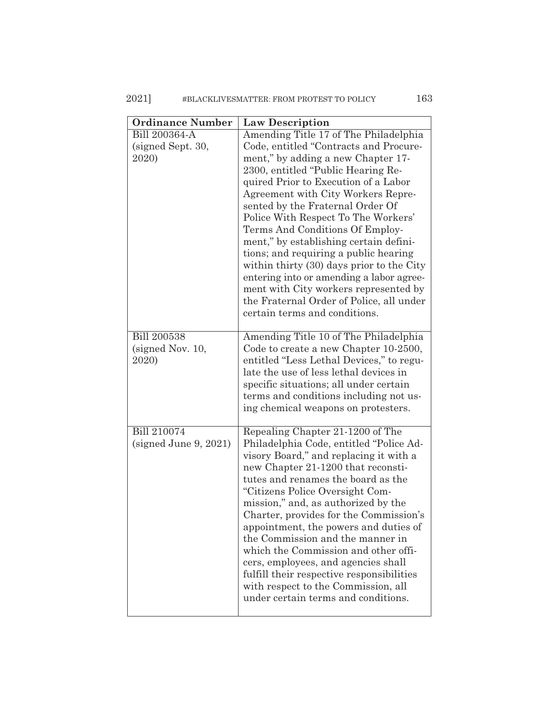## 2021] #BLACKLIVESMATTER: FROM PROTEST TO POLICY 163

| <b>Ordinance Number</b>                            | <b>Law Description</b>                                                                                                                                                                                                                                                                                                                                                                                                                                                                                                                                                                                                                                    |
|----------------------------------------------------|-----------------------------------------------------------------------------------------------------------------------------------------------------------------------------------------------------------------------------------------------------------------------------------------------------------------------------------------------------------------------------------------------------------------------------------------------------------------------------------------------------------------------------------------------------------------------------------------------------------------------------------------------------------|
| <b>Bill 200364-A</b><br>(signed Sept. 30,<br>2020) | Amending Title 17 of The Philadelphia<br>Code, entitled "Contracts and Procure-<br>ment," by adding a new Chapter 17-<br>2300, entitled "Public Hearing Re-<br>quired Prior to Execution of a Labor<br>Agreement with City Workers Repre-<br>sented by the Fraternal Order Of<br>Police With Respect To The Workers'<br>Terms And Conditions Of Employ-<br>ment," by establishing certain defini-<br>tions; and requiring a public hearing<br>within thirty (30) days prior to the City<br>entering into or amending a labor agree-<br>ment with City workers represented by<br>the Fraternal Order of Police, all under<br>certain terms and conditions. |
| <b>Bill 200538</b><br>(signed Nov. 10,<br>2020)    | Amending Title 10 of The Philadelphia<br>Code to create a new Chapter 10-2500,<br>entitled "Less Lethal Devices," to regu-<br>late the use of less lethal devices in<br>specific situations; all under certain<br>terms and conditions including not us-<br>ing chemical weapons on protesters.                                                                                                                                                                                                                                                                                                                                                           |
| Bill 210074<br>(signed June 9, 2021)               | Repealing Chapter 21-1200 of The<br>Philadelphia Code, entitled "Police Ad-<br>visory Board," and replacing it with a<br>new Chapter 21-1200 that reconsti-<br>tutes and renames the board as the<br>"Citizens Police Oversight Com-<br>mission," and, as authorized by the<br>Charter, provides for the Commission's<br>appointment, the powers and duties of<br>the Commission and the manner in<br>which the Commission and other offi-<br>cers, employees, and agencies shall<br>fulfill their respective responsibilities<br>with respect to the Commission, all<br>under certain terms and conditions.                                              |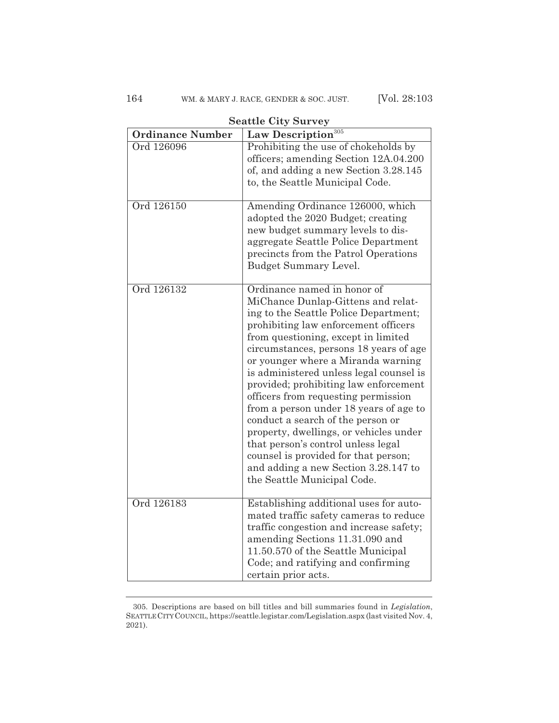| <b>Ordinance Number</b> | Deathle Olty Dul vey<br>Law Description <sup>305</sup>                                                                                                                                                                                                                                                                                                                                                                                                                                                                                                                                                                                                                             |
|-------------------------|------------------------------------------------------------------------------------------------------------------------------------------------------------------------------------------------------------------------------------------------------------------------------------------------------------------------------------------------------------------------------------------------------------------------------------------------------------------------------------------------------------------------------------------------------------------------------------------------------------------------------------------------------------------------------------|
| Ord 126096              | Prohibiting the use of chokeholds by<br>officers; amending Section 12A.04.200<br>of, and adding a new Section 3.28.145<br>to, the Seattle Municipal Code.                                                                                                                                                                                                                                                                                                                                                                                                                                                                                                                          |
| Ord 126150              | Amending Ordinance 126000, which<br>adopted the 2020 Budget; creating<br>new budget summary levels to dis-<br>aggregate Seattle Police Department<br>precincts from the Patrol Operations<br><b>Budget Summary Level.</b>                                                                                                                                                                                                                                                                                                                                                                                                                                                          |
| Ord 126132              | Ordinance named in honor of<br>MiChance Dunlap-Gittens and relat-<br>ing to the Seattle Police Department;<br>prohibiting law enforcement officers<br>from questioning, except in limited<br>circumstances, persons 18 years of age<br>or younger where a Miranda warning<br>is administered unless legal counsel is<br>provided; prohibiting law enforcement<br>officers from requesting permission<br>from a person under 18 years of age to<br>conduct a search of the person or<br>property, dwellings, or vehicles under<br>that person's control unless legal<br>counsel is provided for that person;<br>and adding a new Section 3.28.147 to<br>the Seattle Municipal Code. |
| Ord 126183              | Establishing additional uses for auto-<br>mated traffic safety cameras to reduce<br>traffic congestion and increase safety;<br>amending Sections 11.31.090 and<br>11.50.570 of the Seattle Municipal<br>Code; and ratifying and confirming<br>certain prior acts.                                                                                                                                                                                                                                                                                                                                                                                                                  |

**Seattle City Survey**

<sup>305.</sup> Descriptions are based on bill titles and bill summaries found in *Legislation*, SEATTLE CITYCOUNCIL, https://seattle.legistar.com/Legislation.aspx (last visited Nov. 4, 2021).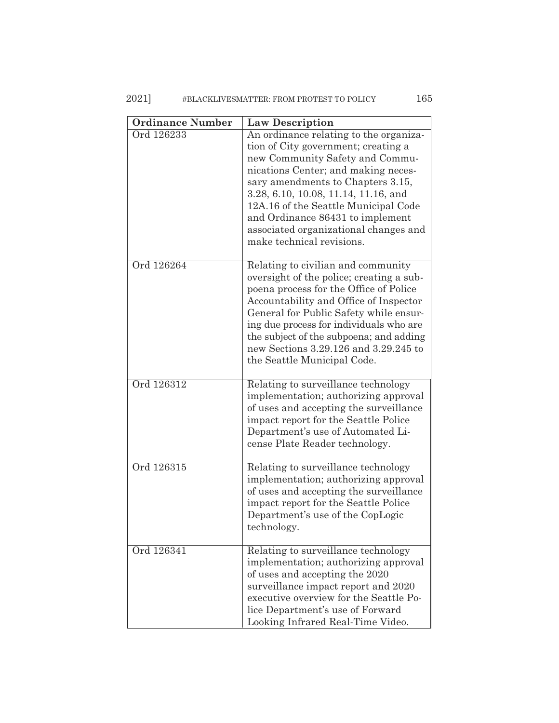## 2021] #BLACKLIVESMATTER: FROM PROTEST TO POLICY 165

| <b>Ordinance Number</b> | <b>Law Description</b>                                                                                                                                                                                                                                                                                                                                                                 |
|-------------------------|----------------------------------------------------------------------------------------------------------------------------------------------------------------------------------------------------------------------------------------------------------------------------------------------------------------------------------------------------------------------------------------|
| Ord 126233              | An ordinance relating to the organiza-<br>tion of City government; creating a<br>new Community Safety and Commu-<br>nications Center; and making neces-<br>sary amendments to Chapters 3.15,<br>3.28, 6.10, 10.08, 11.14, 11.16, and<br>12A.16 of the Seattle Municipal Code<br>and Ordinance 86431 to implement<br>associated organizational changes and<br>make technical revisions. |
| Ord 126264              | Relating to civilian and community<br>oversight of the police; creating a sub-<br>poena process for the Office of Police<br>Accountability and Office of Inspector<br>General for Public Safety while ensur-<br>ing due process for individuals who are<br>the subject of the subpoena; and adding<br>new Sections 3.29.126 and 3.29.245 to<br>the Seattle Municipal Code.             |
| Ord 126312              | Relating to surveillance technology<br>implementation; authorizing approval<br>of uses and accepting the surveillance<br>impact report for the Seattle Police<br>Department's use of Automated Li-<br>cense Plate Reader technology.                                                                                                                                                   |
| Ord 126315              | Relating to surveillance technology<br>implementation; authorizing approval<br>of uses and accepting the surveillance<br>impact report for the Seattle Police<br>Department's use of the CopLogic<br>technology.                                                                                                                                                                       |
| Ord 126341              | Relating to surveillance technology<br>implementation; authorizing approval<br>of uses and accepting the 2020<br>surveillance impact report and 2020<br>executive overview for the Seattle Po-<br>lice Department's use of Forward<br>Looking Infrared Real-Time Video.                                                                                                                |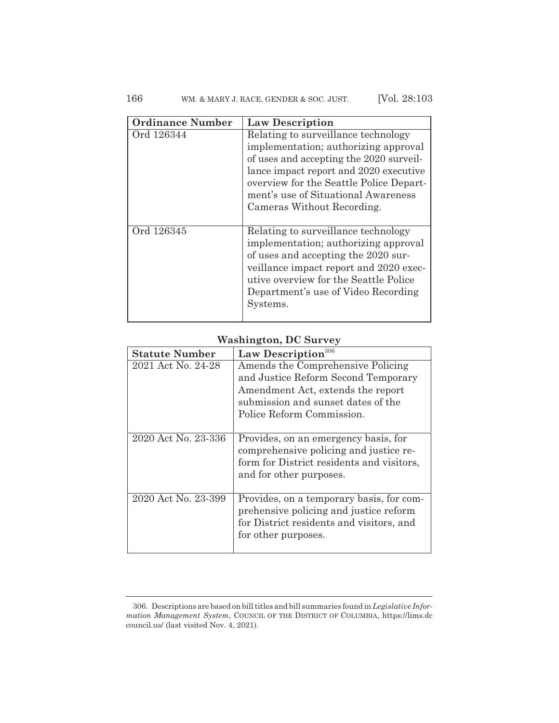## 166 WM. & MARY J. RACE, GENDER & SOC. JUST. [Vol. 28:103

| <b>Ordinance Number</b> | <b>Law Description</b>                                                                                                                                                                                                                                                           |
|-------------------------|----------------------------------------------------------------------------------------------------------------------------------------------------------------------------------------------------------------------------------------------------------------------------------|
| Ord 126344              | Relating to surveillance technology<br>implementation; authorizing approval<br>of uses and accepting the 2020 surveil-<br>lance impact report and 2020 executive<br>overview for the Seattle Police Depart-<br>ment's use of Situational Awareness<br>Cameras Without Recording. |
| Ord 126345              | Relating to surveillance technology<br>implementation; authorizing approval<br>of uses and accepting the 2020 sur-<br>veillance impact report and 2020 exec-<br>utive overview for the Seattle Police<br>Department's use of Video Recording<br>Systems.                         |

## **Washington, DC Survey**

| <b>Statute Number</b> | Law Description <sup>306</sup>                                                                                                                         |
|-----------------------|--------------------------------------------------------------------------------------------------------------------------------------------------------|
| 2021 Act No. 24-28    | Amends the Comprehensive Policing<br>and Justice Reform Second Temporary<br>Amendment Act, extends the report                                          |
|                       | submission and sunset dates of the                                                                                                                     |
|                       | Police Reform Commission.                                                                                                                              |
| 2020 Act No. 23-336   | Provides, on an emergency basis, for<br>comprehensive policing and justice re-<br>form for District residents and visitors,<br>and for other purposes. |
| 2020 Act No. 23-399   | Provides, on a temporary basis, for com-<br>prehensive policing and justice reform<br>for District residents and visitors, and<br>for other purposes.  |

<sup>306.</sup> Descriptions are based on bill titles and bill summaries found in *Legislative Information Management System*, COUNCIL OF THE DISTRICT OF COLUMBIA, https://lims.dc council.us/ (last visited Nov. 4, 2021).